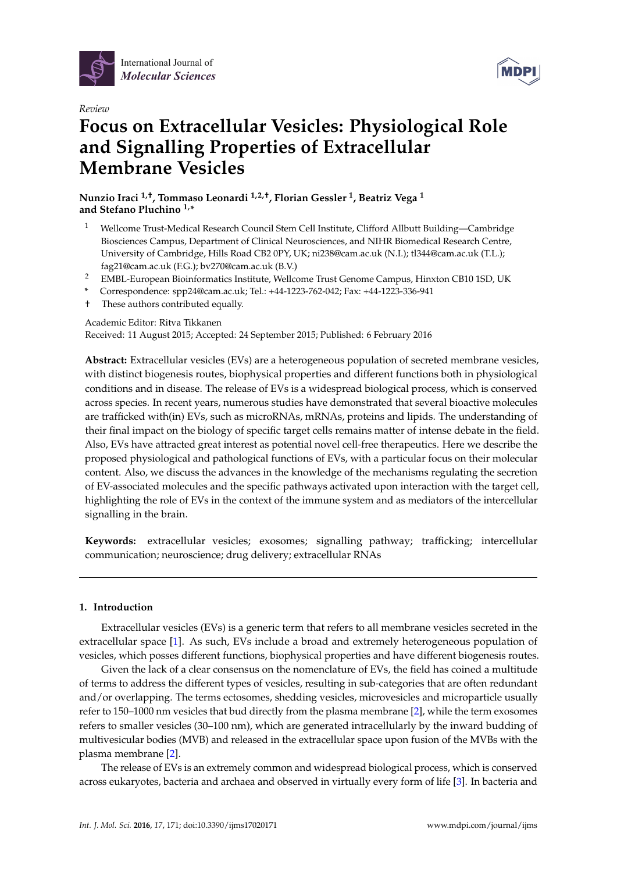

*Review*



# **Focus on Extracellular Vesicles: Physiological Role and Signalling Properties of Extracellular Membrane Vesicles**

**Nunzio Iraci 1,†, Tommaso Leonardi 1,2,†, Florian Gessler <sup>1</sup> , Beatriz Vega <sup>1</sup> and Stefano Pluchino 1,\***

- <sup>1</sup> Wellcome Trust-Medical Research Council Stem Cell Institute, Clifford Allbutt Building—Cambridge Biosciences Campus, Department of Clinical Neurosciences, and NIHR Biomedical Research Centre, University of Cambridge, Hills Road CB2 0PY, UK; ni238@cam.ac.uk (N.I.); tl344@cam.ac.uk (T.L.); fag21@cam.ac.uk (F.G.); bv270@cam.ac.uk (B.V.)
- <sup>2</sup> EMBL-European Bioinformatics Institute, Wellcome Trust Genome Campus, Hinxton CB10 1SD, UK
- **\*** Correspondence: spp24@cam.ac.uk; Tel.: +44-1223-762-042; Fax: +44-1223-336-941
- † These authors contributed equally.

# Academic Editor: Ritva Tikkanen

Received: 11 August 2015; Accepted: 24 September 2015; Published: 6 February 2016

**Abstract:** Extracellular vesicles (EVs) are a heterogeneous population of secreted membrane vesicles, with distinct biogenesis routes, biophysical properties and different functions both in physiological conditions and in disease. The release of EVs is a widespread biological process, which is conserved across species. In recent years, numerous studies have demonstrated that several bioactive molecules are trafficked with(in) EVs, such as microRNAs, mRNAs, proteins and lipids. The understanding of their final impact on the biology of specific target cells remains matter of intense debate in the field. Also, EVs have attracted great interest as potential novel cell-free therapeutics. Here we describe the proposed physiological and pathological functions of EVs, with a particular focus on their molecular content. Also, we discuss the advances in the knowledge of the mechanisms regulating the secretion of EV-associated molecules and the specific pathways activated upon interaction with the target cell, highlighting the role of EVs in the context of the immune system and as mediators of the intercellular signalling in the brain.

**Keywords:** extracellular vesicles; exosomes; signalling pathway; trafficking; intercellular communication; neuroscience; drug delivery; extracellular RNAs

# **1. Introduction**

Extracellular vesicles (EVs) is a generic term that refers to all membrane vesicles secreted in the extracellular space [\[1\]](#page-17-0). As such, EVs include a broad and extremely heterogeneous population of vesicles, which posses different functions, biophysical properties and have different biogenesis routes.

Given the lack of a clear consensus on the nomenclature of EVs, the field has coined a multitude of terms to address the different types of vesicles, resulting in sub-categories that are often redundant and/or overlapping. The terms ectosomes, shedding vesicles, microvesicles and microparticle usually refer to 150–1000 nm vesicles that bud directly from the plasma membrane [\[2\]](#page-17-1), while the term exosomes refers to smaller vesicles (30–100 nm), which are generated intracellularly by the inward budding of multivesicular bodies (MVB) and released in the extracellular space upon fusion of the MVBs with the plasma membrane [\[2\]](#page-17-1).

The release of EVs is an extremely common and widespread biological process, which is conserved across eukaryotes, bacteria and archaea and observed in virtually every form of life [\[3\]](#page-17-2). In bacteria and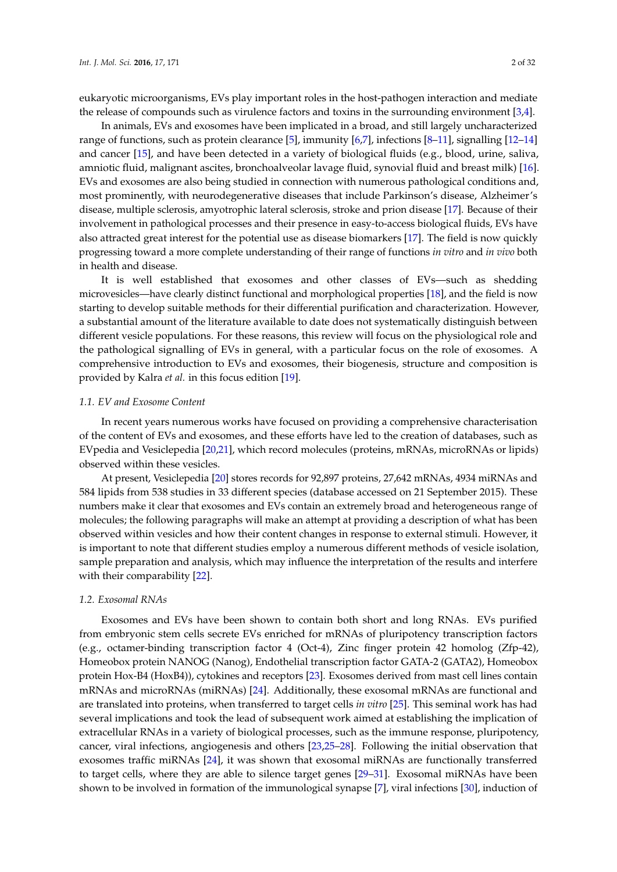eukaryotic microorganisms, EVs play important roles in the host-pathogen interaction and mediate the release of compounds such as virulence factors and toxins in the surrounding environment [\[3,](#page-17-2)[4\]](#page-17-3).

In animals, EVs and exosomes have been implicated in a broad, and still largely uncharacterized range of functions, such as protein clearance [\[5\]](#page-17-4), immunity [\[6](#page-17-5)[,7\]](#page-17-6), infections [\[8](#page-17-7)[–11\]](#page-17-8), signalling [\[12](#page-17-9)[–14\]](#page-18-0) and cancer [\[15\]](#page-18-1), and have been detected in a variety of biological fluids (e.g., blood, urine, saliva, amniotic fluid, malignant ascites, bronchoalveolar lavage fluid, synovial fluid and breast milk) [\[16\]](#page-18-2). EVs and exosomes are also being studied in connection with numerous pathological conditions and, most prominently, with neurodegenerative diseases that include Parkinson's disease, Alzheimer's disease, multiple sclerosis, amyotrophic lateral sclerosis, stroke and prion disease [\[17\]](#page-18-3). Because of their involvement in pathological processes and their presence in easy-to-access biological fluids, EVs have also attracted great interest for the potential use as disease biomarkers [\[17\]](#page-18-3). The field is now quickly progressing toward a more complete understanding of their range of functions *in vitro* and *in vivo* both in health and disease.

It is well established that exosomes and other classes of EVs—such as shedding microvesicles—have clearly distinct functional and morphological properties [\[18\]](#page-18-4), and the field is now starting to develop suitable methods for their differential purification and characterization. However, a substantial amount of the literature available to date does not systematically distinguish between different vesicle populations. For these reasons, this review will focus on the physiological role and the pathological signalling of EVs in general, with a particular focus on the role of exosomes. A comprehensive introduction to EVs and exosomes, their biogenesis, structure and composition is provided by Kalra *et al.* in this focus edition [\[19\]](#page-18-5).

# *1.1. EV and Exosome Content*

In recent years numerous works have focused on providing a comprehensive characterisation of the content of EVs and exosomes, and these efforts have led to the creation of databases, such as EVpedia and Vesiclepedia [\[20](#page-18-6)[,21\]](#page-18-7), which record molecules (proteins, mRNAs, microRNAs or lipids) observed within these vesicles.

At present, Vesiclepedia [\[20\]](#page-18-6) stores records for 92,897 proteins, 27,642 mRNAs, 4934 miRNAs and 584 lipids from 538 studies in 33 different species (database accessed on 21 September 2015). These numbers make it clear that exosomes and EVs contain an extremely broad and heterogeneous range of molecules; the following paragraphs will make an attempt at providing a description of what has been observed within vesicles and how their content changes in response to external stimuli. However, it is important to note that different studies employ a numerous different methods of vesicle isolation, sample preparation and analysis, which may influence the interpretation of the results and interfere with their comparability [\[22\]](#page-18-8).

#### *1.2. Exosomal RNAs*

Exosomes and EVs have been shown to contain both short and long RNAs. EVs purified from embryonic stem cells secrete EVs enriched for mRNAs of pluripotency transcription factors (e.g., octamer-binding transcription factor 4 (Oct-4), Zinc finger protein 42 homolog (Zfp-42), Homeobox protein NANOG (Nanog), Endothelial transcription factor GATA-2 (GATA2), Homeobox protein Hox-B4 (HoxB4)), cytokines and receptors [\[23\]](#page-18-9). Exosomes derived from mast cell lines contain mRNAs and microRNAs (miRNAs) [\[24\]](#page-18-10). Additionally, these exosomal mRNAs are functional and are translated into proteins, when transferred to target cells *in vitro* [\[25\]](#page-18-11). This seminal work has had several implications and took the lead of subsequent work aimed at establishing the implication of extracellular RNAs in a variety of biological processes, such as the immune response, pluripotency, cancer, viral infections, angiogenesis and others [\[23,](#page-18-9)[25](#page-18-11)[–28\]](#page-18-12). Following the initial observation that exosomes traffic miRNAs [\[24\]](#page-18-10), it was shown that exosomal miRNAs are functionally transferred to target cells, where they are able to silence target genes [\[29–](#page-18-13)[31\]](#page-18-14). Exosomal miRNAs have been shown to be involved in formation of the immunological synapse [\[7\]](#page-17-6), viral infections [\[30\]](#page-18-15), induction of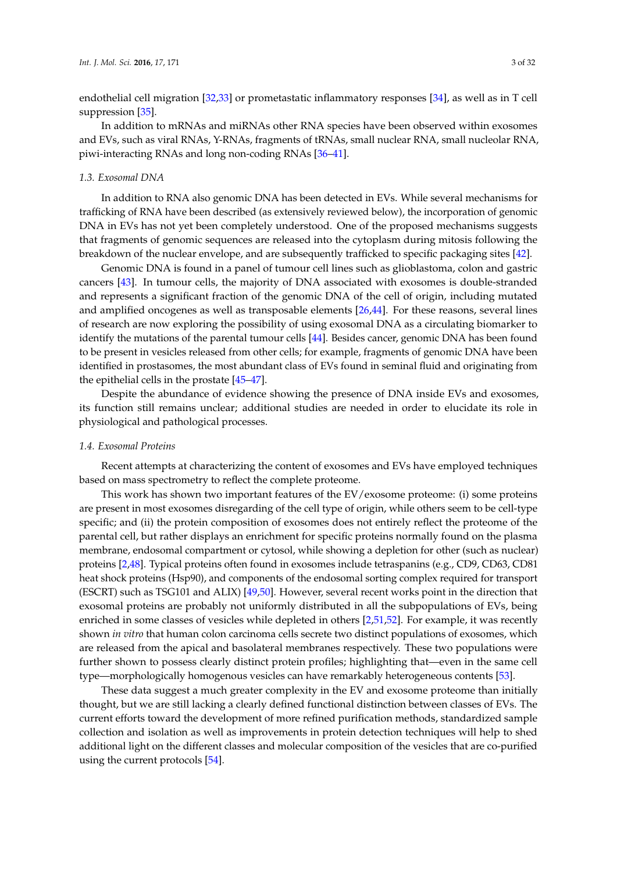endothelial cell migration [\[32](#page-18-16)[,33\]](#page-19-0) or prometastatic inflammatory responses [\[34\]](#page-19-1), as well as in T cell suppression [\[35\]](#page-19-2).

In addition to mRNAs and miRNAs other RNA species have been observed within exosomes and EVs, such as viral RNAs, Y-RNAs, fragments of tRNAs, small nuclear RNA, small nucleolar RNA, piwi-interacting RNAs and long non-coding RNAs [\[36](#page-19-3)[–41\]](#page-19-4).

## *1.3. Exosomal DNA*

In addition to RNA also genomic DNA has been detected in EVs. While several mechanisms for trafficking of RNA have been described (as extensively reviewed below), the incorporation of genomic DNA in EVs has not yet been completely understood. One of the proposed mechanisms suggests that fragments of genomic sequences are released into the cytoplasm during mitosis following the breakdown of the nuclear envelope, and are subsequently trafficked to specific packaging sites [\[42\]](#page-19-5).

Genomic DNA is found in a panel of tumour cell lines such as glioblastoma, colon and gastric cancers [\[43\]](#page-19-6). In tumour cells, the majority of DNA associated with exosomes is double-stranded and represents a significant fraction of the genomic DNA of the cell of origin, including mutated and amplified oncogenes as well as transposable elements [\[26](#page-18-17)[,44\]](#page-19-7). For these reasons, several lines of research are now exploring the possibility of using exosomal DNA as a circulating biomarker to identify the mutations of the parental tumour cells [\[44\]](#page-19-7). Besides cancer, genomic DNA has been found to be present in vesicles released from other cells; for example, fragments of genomic DNA have been identified in prostasomes, the most abundant class of EVs found in seminal fluid and originating from the epithelial cells in the prostate [\[45](#page-19-8)[–47\]](#page-19-9).

Despite the abundance of evidence showing the presence of DNA inside EVs and exosomes, its function still remains unclear; additional studies are needed in order to elucidate its role in physiological and pathological processes.

### *1.4. Exosomal Proteins*

Recent attempts at characterizing the content of exosomes and EVs have employed techniques based on mass spectrometry to reflect the complete proteome.

This work has shown two important features of the EV/exosome proteome: (i) some proteins are present in most exosomes disregarding of the cell type of origin, while others seem to be cell-type specific; and (ii) the protein composition of exosomes does not entirely reflect the proteome of the parental cell, but rather displays an enrichment for specific proteins normally found on the plasma membrane, endosomal compartment or cytosol, while showing a depletion for other (such as nuclear) proteins [\[2](#page-17-1)[,48\]](#page-19-10). Typical proteins often found in exosomes include tetraspanins (e.g., CD9, CD63, CD81 heat shock proteins (Hsp90), and components of the endosomal sorting complex required for transport (ESCRT) such as TSG101 and ALIX) [\[49](#page-19-11)[,50\]](#page-19-12). However, several recent works point in the direction that exosomal proteins are probably not uniformly distributed in all the subpopulations of EVs, being enriched in some classes of vesicles while depleted in others [\[2](#page-17-1)[,51](#page-19-13)[,52\]](#page-19-14). For example, it was recently shown *in vitro* that human colon carcinoma cells secrete two distinct populations of exosomes, which are released from the apical and basolateral membranes respectively. These two populations were further shown to possess clearly distinct protein profiles; highlighting that—even in the same cell type—morphologically homogenous vesicles can have remarkably heterogeneous contents [\[53\]](#page-20-0).

These data suggest a much greater complexity in the EV and exosome proteome than initially thought, but we are still lacking a clearly defined functional distinction between classes of EVs. The current efforts toward the development of more refined purification methods, standardized sample collection and isolation as well as improvements in protein detection techniques will help to shed additional light on the different classes and molecular composition of the vesicles that are co-purified using the current protocols [\[54\]](#page-20-1).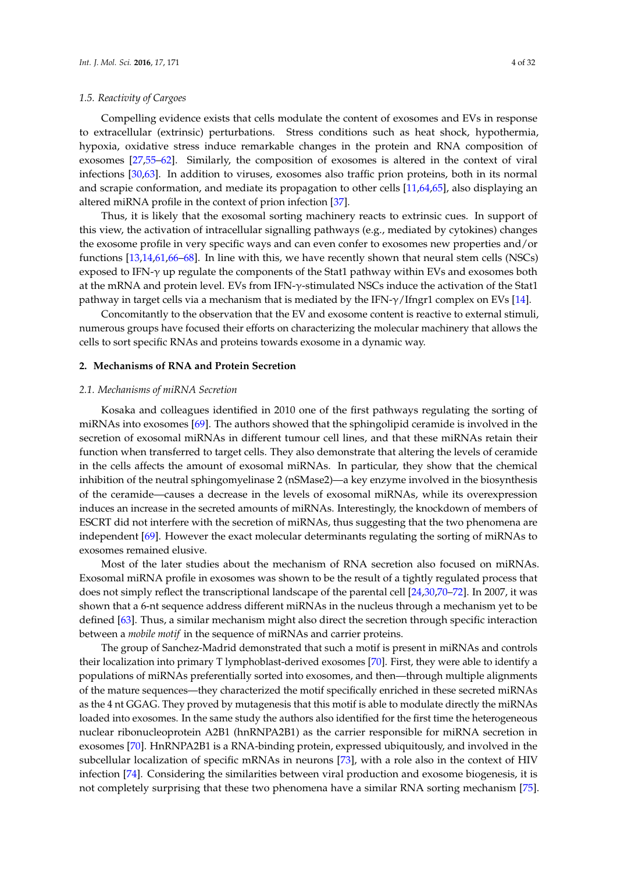Compelling evidence exists that cells modulate the content of exosomes and EVs in response to extracellular (extrinsic) perturbations. Stress conditions such as heat shock, hypothermia, hypoxia, oxidative stress induce remarkable changes in the protein and RNA composition of exosomes [\[27,](#page-18-18)[55–](#page-20-2)[62\]](#page-20-3). Similarly, the composition of exosomes is altered in the context of viral infections [\[30,](#page-18-15)[63\]](#page-20-4). In addition to viruses, exosomes also traffic prion proteins, both in its normal

and scrapie conformation, and mediate its propagation to other cells [\[11](#page-17-8)[,64](#page-20-5)[,65\]](#page-20-6), also displaying an altered miRNA profile in the context of prion infection [\[37\]](#page-19-15). Thus, it is likely that the exosomal sorting machinery reacts to extrinsic cues. In support of

this view, the activation of intracellular signalling pathways (e.g., mediated by cytokines) changes the exosome profile in very specific ways and can even confer to exosomes new properties and/or functions [\[13](#page-18-19)[,14](#page-18-0)[,61](#page-20-7)[,66](#page-20-8)[–68\]](#page-20-9). In line with this, we have recently shown that neural stem cells (NSCs) exposed to IFN- $\gamma$  up regulate the components of the Stat1 pathway within EVs and exosomes both at the mRNA and protein level. EVs from IFN-γ-stimulated NSCs induce the activation of the Stat1 pathway in target cells via a mechanism that is mediated by the IFN- $\gamma$ /Ifngr1 complex on EVs [\[14\]](#page-18-0).

Concomitantly to the observation that the EV and exosome content is reactive to external stimuli, numerous groups have focused their efforts on characterizing the molecular machinery that allows the cells to sort specific RNAs and proteins towards exosome in a dynamic way.

## **2. Mechanisms of RNA and Protein Secretion**

# *2.1. Mechanisms of miRNA Secretion*

Kosaka and colleagues identified in 2010 one of the first pathways regulating the sorting of miRNAs into exosomes [\[69\]](#page-20-10). The authors showed that the sphingolipid ceramide is involved in the secretion of exosomal miRNAs in different tumour cell lines, and that these miRNAs retain their function when transferred to target cells. They also demonstrate that altering the levels of ceramide in the cells affects the amount of exosomal miRNAs. In particular, they show that the chemical inhibition of the neutral sphingomyelinase 2 (nSMase2)—a key enzyme involved in the biosynthesis of the ceramide—causes a decrease in the levels of exosomal miRNAs, while its overexpression induces an increase in the secreted amounts of miRNAs. Interestingly, the knockdown of members of ESCRT did not interfere with the secretion of miRNAs, thus suggesting that the two phenomena are independent [\[69\]](#page-20-10). However the exact molecular determinants regulating the sorting of miRNAs to exosomes remained elusive.

Most of the later studies about the mechanism of RNA secretion also focused on miRNAs. Exosomal miRNA profile in exosomes was shown to be the result of a tightly regulated process that does not simply reflect the transcriptional landscape of the parental cell [\[24,](#page-18-10)[30,](#page-18-15)[70](#page-20-11)[–72\]](#page-20-12). In 2007, it was shown that a 6-nt sequence address different miRNAs in the nucleus through a mechanism yet to be defined [\[63\]](#page-20-4). Thus, a similar mechanism might also direct the secretion through specific interaction between a *mobile motif* in the sequence of miRNAs and carrier proteins.

The group of Sanchez-Madrid demonstrated that such a motif is present in miRNAs and controls their localization into primary T lymphoblast-derived exosomes [\[70\]](#page-20-11). First, they were able to identify a populations of miRNAs preferentially sorted into exosomes, and then—through multiple alignments of the mature sequences—they characterized the motif specifically enriched in these secreted miRNAs as the 4 nt GGAG. They proved by mutagenesis that this motif is able to modulate directly the miRNAs loaded into exosomes. In the same study the authors also identified for the first time the heterogeneous nuclear ribonucleoprotein A2B1 (hnRNPA2B1) as the carrier responsible for miRNA secretion in exosomes [\[70\]](#page-20-11). HnRNPA2B1 is a RNA-binding protein, expressed ubiquitously, and involved in the subcellular localization of specific mRNAs in neurons [\[73\]](#page-21-0), with a role also in the context of HIV infection [\[74\]](#page-21-1). Considering the similarities between viral production and exosome biogenesis, it is not completely surprising that these two phenomena have a similar RNA sorting mechanism [\[75\]](#page-21-2).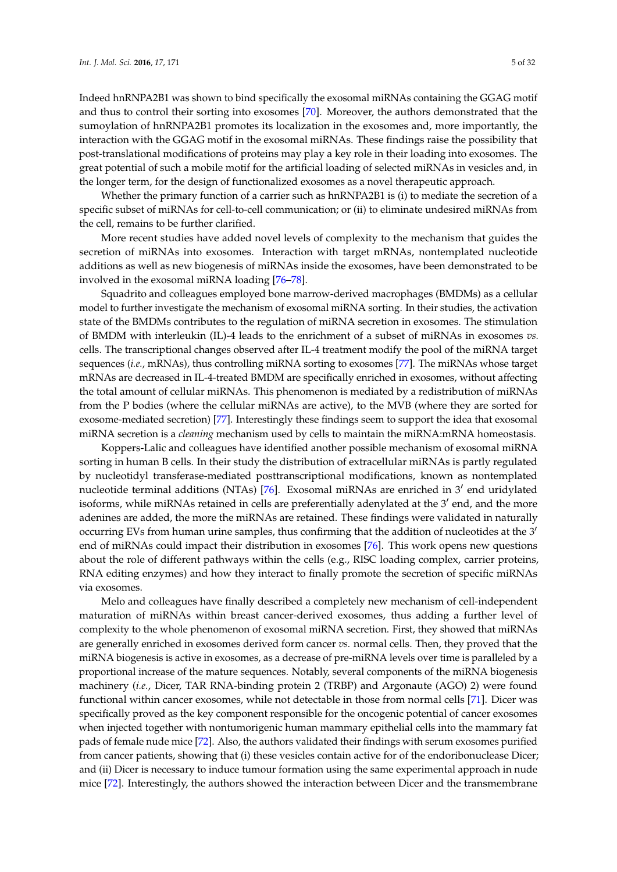Indeed hnRNPA2B1 was shown to bind specifically the exosomal miRNAs containing the GGAG motif and thus to control their sorting into exosomes [\[70\]](#page-20-11). Moreover, the authors demonstrated that the sumoylation of hnRNPA2B1 promotes its localization in the exosomes and, more importantly, the interaction with the GGAG motif in the exosomal miRNAs. These findings raise the possibility that post-translational modifications of proteins may play a key role in their loading into exosomes. The great potential of such a mobile motif for the artificial loading of selected miRNAs in vesicles and, in the longer term, for the design of functionalized exosomes as a novel therapeutic approach.

Whether the primary function of a carrier such as hnRNPA2B1 is (i) to mediate the secretion of a specific subset of miRNAs for cell-to-cell communication; or (ii) to eliminate undesired miRNAs from the cell, remains to be further clarified.

More recent studies have added novel levels of complexity to the mechanism that guides the secretion of miRNAs into exosomes. Interaction with target mRNAs, nontemplated nucleotide additions as well as new biogenesis of miRNAs inside the exosomes, have been demonstrated to be involved in the exosomal miRNA loading [\[76](#page-21-3)[–78\]](#page-21-4).

Squadrito and colleagues employed bone marrow-derived macrophages (BMDMs) as a cellular model to further investigate the mechanism of exosomal miRNA sorting. In their studies, the activation state of the BMDMs contributes to the regulation of miRNA secretion in exosomes. The stimulation of BMDM with interleukin (IL)-4 leads to the enrichment of a subset of miRNAs in exosomes *vs.* cells. The transcriptional changes observed after IL-4 treatment modify the pool of the miRNA target sequences (*i.e.*, mRNAs), thus controlling miRNA sorting to exosomes [\[77\]](#page-21-5). The miRNAs whose target mRNAs are decreased in IL-4-treated BMDM are specifically enriched in exosomes, without affecting the total amount of cellular miRNAs. This phenomenon is mediated by a redistribution of miRNAs from the P bodies (where the cellular miRNAs are active), to the MVB (where they are sorted for exosome-mediated secretion) [\[77\]](#page-21-5). Interestingly these findings seem to support the idea that exosomal miRNA secretion is a *cleaning* mechanism used by cells to maintain the miRNA:mRNA homeostasis.

Koppers-Lalic and colleagues have identified another possible mechanism of exosomal miRNA sorting in human B cells. In their study the distribution of extracellular miRNAs is partly regulated by nucleotidyl transferase-mediated posttranscriptional modifications, known as nontemplated nucleotide terminal additions (NTAs) [\[76\]](#page-21-3). Exosomal miRNAs are enriched in 3' end uridylated isoforms, while miRNAs retained in cells are preferentially adenylated at the 3' end, and the more adenines are added, the more the miRNAs are retained. These findings were validated in naturally occurring EVs from human urine samples, thus confirming that the addition of nucleotides at the 3<sup>1</sup> end of miRNAs could impact their distribution in exosomes [\[76\]](#page-21-3). This work opens new questions about the role of different pathways within the cells (e.g., RISC loading complex, carrier proteins, RNA editing enzymes) and how they interact to finally promote the secretion of specific miRNAs via exosomes.

Melo and colleagues have finally described a completely new mechanism of cell-independent maturation of miRNAs within breast cancer-derived exosomes, thus adding a further level of complexity to the whole phenomenon of exosomal miRNA secretion. First, they showed that miRNAs are generally enriched in exosomes derived form cancer *vs.* normal cells. Then, they proved that the miRNA biogenesis is active in exosomes, as a decrease of pre-miRNA levels over time is paralleled by a proportional increase of the mature sequences. Notably, several components of the miRNA biogenesis machinery (*i.e.*, Dicer, TAR RNA-binding protein 2 (TRBP) and Argonaute (AGO) 2) were found functional within cancer exosomes, while not detectable in those from normal cells [\[71\]](#page-20-13). Dicer was specifically proved as the key component responsible for the oncogenic potential of cancer exosomes when injected together with nontumorigenic human mammary epithelial cells into the mammary fat pads of female nude mice [\[72\]](#page-20-12). Also, the authors validated their findings with serum exosomes purified from cancer patients, showing that (i) these vesicles contain active for of the endoribonuclease Dicer; and (ii) Dicer is necessary to induce tumour formation using the same experimental approach in nude mice [\[72\]](#page-20-12). Interestingly, the authors showed the interaction between Dicer and the transmembrane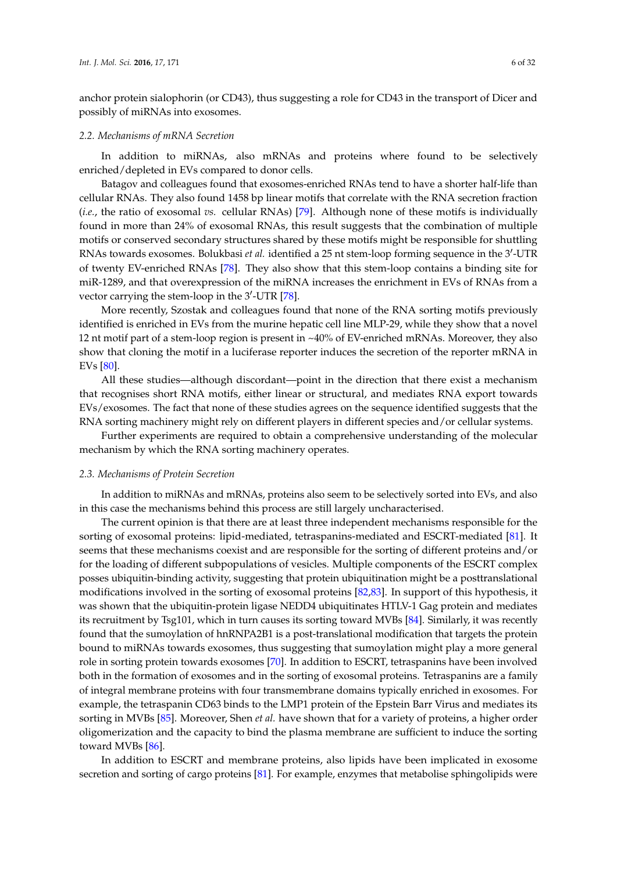anchor protein sialophorin (or CD43), thus suggesting a role for CD43 in the transport of Dicer and possibly of miRNAs into exosomes.

#### *2.2. Mechanisms of mRNA Secretion*

In addition to miRNAs, also mRNAs and proteins where found to be selectively enriched/depleted in EVs compared to donor cells.

Batagov and colleagues found that exosomes-enriched RNAs tend to have a shorter half-life than cellular RNAs. They also found 1458 bp linear motifs that correlate with the RNA secretion fraction (*i.e.*, the ratio of exosomal *vs.* cellular RNAs) [\[79\]](#page-21-6). Although none of these motifs is individually found in more than 24% of exosomal RNAs, this result suggests that the combination of multiple motifs or conserved secondary structures shared by these motifs might be responsible for shuttling RNAs towards exosomes. Bolukbasi et al. identified a 25 nt stem-loop forming sequence in the 3'-UTR of twenty EV-enriched RNAs [\[78\]](#page-21-4). They also show that this stem-loop contains a binding site for miR-1289, and that overexpression of the miRNA increases the enrichment in EVs of RNAs from a vector carrying the stem-loop in the 3'-UTR [\[78\]](#page-21-4).

More recently, Szostak and colleagues found that none of the RNA sorting motifs previously identified is enriched in EVs from the murine hepatic cell line MLP-29, while they show that a novel 12 nt motif part of a stem-loop region is present in ~40% of EV-enriched mRNAs. Moreover, they also show that cloning the motif in a luciferase reporter induces the secretion of the reporter mRNA in EVs [\[80\]](#page-21-7).

All these studies—although discordant—point in the direction that there exist a mechanism that recognises short RNA motifs, either linear or structural, and mediates RNA export towards EVs/exosomes. The fact that none of these studies agrees on the sequence identified suggests that the RNA sorting machinery might rely on different players in different species and/or cellular systems.

Further experiments are required to obtain a comprehensive understanding of the molecular mechanism by which the RNA sorting machinery operates.

## *2.3. Mechanisms of Protein Secretion*

In addition to miRNAs and mRNAs, proteins also seem to be selectively sorted into EVs, and also in this case the mechanisms behind this process are still largely uncharacterised.

The current opinion is that there are at least three independent mechanisms responsible for the sorting of exosomal proteins: lipid-mediated, tetraspanins-mediated and ESCRT-mediated [\[81\]](#page-21-8). It seems that these mechanisms coexist and are responsible for the sorting of different proteins and/or for the loading of different subpopulations of vesicles. Multiple components of the ESCRT complex posses ubiquitin-binding activity, suggesting that protein ubiquitination might be a posttranslational modifications involved in the sorting of exosomal proteins [\[82](#page-21-9)[,83\]](#page-21-10). In support of this hypothesis, it was shown that the ubiquitin-protein ligase NEDD4 ubiquitinates HTLV-1 Gag protein and mediates its recruitment by Tsg101, which in turn causes its sorting toward MVBs [\[84\]](#page-21-11). Similarly, it was recently found that the sumoylation of hnRNPA2B1 is a post-translational modification that targets the protein bound to miRNAs towards exosomes, thus suggesting that sumoylation might play a more general role in sorting protein towards exosomes [\[70\]](#page-20-11). In addition to ESCRT, tetraspanins have been involved both in the formation of exosomes and in the sorting of exosomal proteins. Tetraspanins are a family of integral membrane proteins with four transmembrane domains typically enriched in exosomes. For example, the tetraspanin CD63 binds to the LMP1 protein of the Epstein Barr Virus and mediates its sorting in MVBs [\[85\]](#page-21-12). Moreover, Shen *et al.* have shown that for a variety of proteins, a higher order oligomerization and the capacity to bind the plasma membrane are sufficient to induce the sorting toward MVBs [\[86\]](#page-21-13).

In addition to ESCRT and membrane proteins, also lipids have been implicated in exosome secretion and sorting of cargo proteins [\[81\]](#page-21-8). For example, enzymes that metabolise sphingolipids were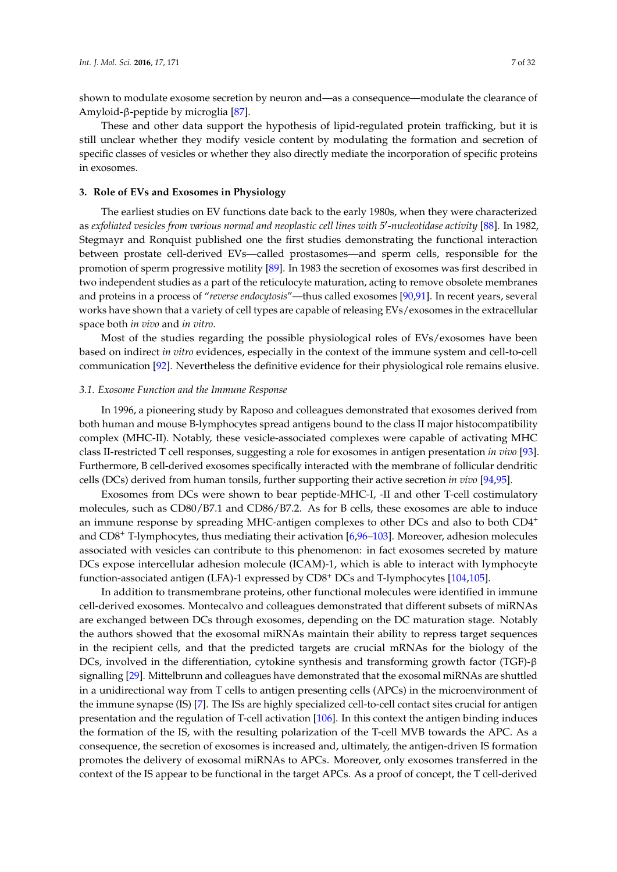shown to modulate exosome secretion by neuron and—as a consequence—modulate the clearance of Amyloid-β-peptide by microglia [\[87\]](#page-21-14).

These and other data support the hypothesis of lipid-regulated protein trafficking, but it is still unclear whether they modify vesicle content by modulating the formation and secretion of specific classes of vesicles or whether they also directly mediate the incorporation of specific proteins in exosomes.

#### **3. Role of EVs and Exosomes in Physiology**

The earliest studies on EV functions date back to the early 1980s, when they were characterized as *exfoliated vesicles from various normal and neoplastic cell lines with 5*<sup>1</sup> *-nucleotidase activity* [\[88\]](#page-21-15). In 1982, Stegmayr and Ronquist published one the first studies demonstrating the functional interaction between prostate cell-derived EVs—called prostasomes—and sperm cells, responsible for the promotion of sperm progressive motility [\[89\]](#page-21-16). In 1983 the secretion of exosomes was first described in two independent studies as a part of the reticulocyte maturation, acting to remove obsolete membranes and proteins in a process of "*reverse endocytosis*"—thus called exosomes [\[90](#page-21-17)[,91\]](#page-21-18). In recent years, several works have shown that a variety of cell types are capable of releasing EVs/exosomes in the extracellular space both *in vivo* and *in vitro*.

Most of the studies regarding the possible physiological roles of EVs/exosomes have been based on indirect *in vitro* evidences, especially in the context of the immune system and cell-to-cell communication [\[92\]](#page-21-19). Nevertheless the definitive evidence for their physiological role remains elusive.

## *3.1. Exosome Function and the Immune Response*

In 1996, a pioneering study by Raposo and colleagues demonstrated that exosomes derived from both human and mouse B-lymphocytes spread antigens bound to the class II major histocompatibility complex (MHC-II). Notably, these vesicle-associated complexes were capable of activating MHC class II-restricted T cell responses, suggesting a role for exosomes in antigen presentation *in vivo* [\[93\]](#page-21-20). Furthermore, B cell-derived exosomes specifically interacted with the membrane of follicular dendritic cells (DCs) derived from human tonsils, further supporting their active secretion *in vivo* [\[94,](#page-22-0)[95\]](#page-22-1).

Exosomes from DCs were shown to bear peptide-MHC-I, -II and other T-cell costimulatory molecules, such as CD80/B7.1 and CD86/B7.2. As for B cells, these exosomes are able to induce an immune response by spreading MHC-antigen complexes to other DCs and also to both CD4<sup>+</sup> and CD8<sup>+</sup> T-lymphocytes, thus mediating their activation [\[6](#page-17-5)[,96–](#page-22-2)[103\]](#page-22-3). Moreover, adhesion molecules associated with vesicles can contribute to this phenomenon: in fact exosomes secreted by mature DCs expose intercellular adhesion molecule (ICAM)-1, which is able to interact with lymphocyte function-associated antigen (LFA)-1 expressed by CD8<sup>+</sup> DCs and T-lymphocytes [\[104](#page-22-4)[,105\]](#page-22-5).

In addition to transmembrane proteins, other functional molecules were identified in immune cell-derived exosomes. Montecalvo and colleagues demonstrated that different subsets of miRNAs are exchanged between DCs through exosomes, depending on the DC maturation stage. Notably the authors showed that the exosomal miRNAs maintain their ability to repress target sequences in the recipient cells, and that the predicted targets are crucial mRNAs for the biology of the DCs, involved in the differentiation, cytokine synthesis and transforming growth factor (TGF)-β signalling [\[29\]](#page-18-13). Mittelbrunn and colleagues have demonstrated that the exosomal miRNAs are shuttled in a unidirectional way from T cells to antigen presenting cells (APCs) in the microenvironment of the immune synapse (IS) [\[7\]](#page-17-6). The ISs are highly specialized cell-to-cell contact sites crucial for antigen presentation and the regulation of T-cell activation [\[106\]](#page-22-6). In this context the antigen binding induces the formation of the IS, with the resulting polarization of the T-cell MVB towards the APC. As a consequence, the secretion of exosomes is increased and, ultimately, the antigen-driven IS formation promotes the delivery of exosomal miRNAs to APCs. Moreover, only exosomes transferred in the context of the IS appear to be functional in the target APCs. As a proof of concept, the T cell-derived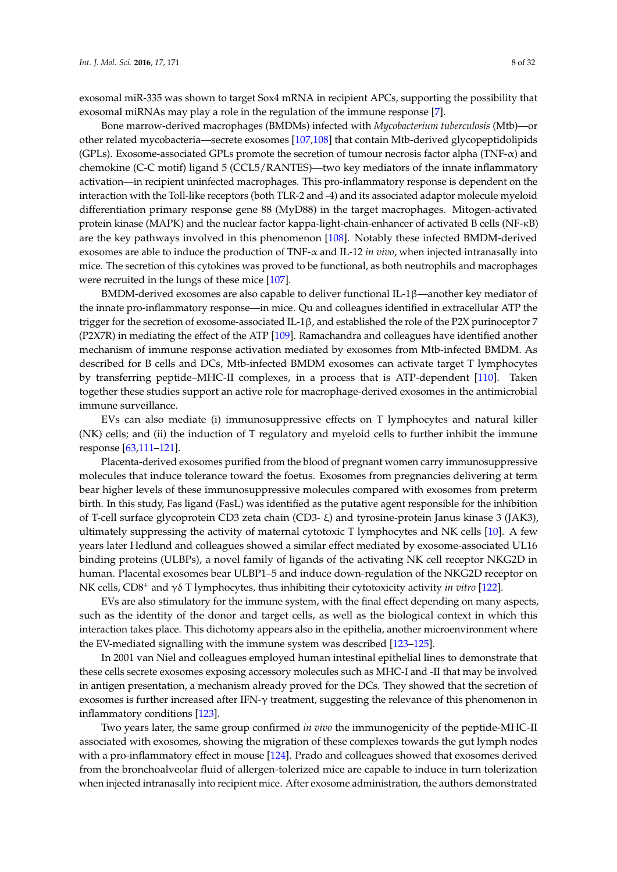exosomal miR-335 was shown to target Sox4 mRNA in recipient APCs, supporting the possibility that exosomal miRNAs may play a role in the regulation of the immune response [\[7\]](#page-17-6).

Bone marrow-derived macrophages (BMDMs) infected with *Mycobacterium tuberculosis* (Mtb)—or other related mycobacteria—secrete exosomes [\[107,](#page-22-7)[108\]](#page-22-8) that contain Mtb-derived glycopeptidolipids (GPLs). Exosome-associated GPLs promote the secretion of tumour necrosis factor alpha (TNF- $\alpha$ ) and chemokine (C-C motif) ligand 5 (CCL5/RANTES)—two key mediators of the innate inflammatory activation—in recipient uninfected macrophages. This pro-inflammatory response is dependent on the interaction with the Toll-like receptors (both TLR-2 and -4) and its associated adaptor molecule myeloid differentiation primary response gene 88 (MyD88) in the target macrophages. Mitogen-activated protein kinase (MAPK) and the nuclear factor kappa-light-chain-enhancer of activated B cells (NF-κB) are the key pathways involved in this phenomenon [\[108\]](#page-22-8). Notably these infected BMDM-derived exosomes are able to induce the production of TNF-α and IL-12 *in vivo*, when injected intranasally into mice. The secretion of this cytokines was proved to be functional, as both neutrophils and macrophages were recruited in the lungs of these mice [\[107\]](#page-22-7).

BMDM-derived exosomes are also capable to deliver functional IL-1β—another key mediator of the innate pro-inflammatory response—in mice. Qu and colleagues identified in extracellular ATP the trigger for the secretion of exosome-associated IL-1β, and established the role of the P2X purinoceptor 7 (P2X7R) in mediating the effect of the ATP [\[109\]](#page-22-9). Ramachandra and colleagues have identified another mechanism of immune response activation mediated by exosomes from Mtb-infected BMDM. As described for B cells and DCs, Mtb-infected BMDM exosomes can activate target T lymphocytes by transferring peptide–MHC-II complexes, in a process that is ATP-dependent [\[110\]](#page-22-10). Taken together these studies support an active role for macrophage-derived exosomes in the antimicrobial immune surveillance.

EVs can also mediate (i) immunosuppressive effects on T lymphocytes and natural killer (NK) cells; and (ii) the induction of T regulatory and myeloid cells to further inhibit the immune response [\[63](#page-20-4)[,111–](#page-22-11)[121\]](#page-23-0).

Placenta-derived exosomes purified from the blood of pregnant women carry immunosuppressive molecules that induce tolerance toward the foetus. Exosomes from pregnancies delivering at term bear higher levels of these immunosuppressive molecules compared with exosomes from preterm birth. In this study, Fas ligand (FasL) was identified as the putative agent responsible for the inhibition of T-cell surface glycoprotein CD3 zeta chain (CD3- ξ) and tyrosine-protein Janus kinase 3 (JAK3), ultimately suppressing the activity of maternal cytotoxic T lymphocytes and NK cells [\[10\]](#page-17-10). A few years later Hedlund and colleagues showed a similar effect mediated by exosome-associated UL16 binding proteins (ULBPs), a novel family of ligands of the activating NK cell receptor NKG2D in human. Placental exosomes bear ULBP1–5 and induce down-regulation of the NKG2D receptor on NK cells, CD8<sup>+</sup> and γδ T lymphocytes, thus inhibiting their cytotoxicity activity *in vitro* [\[122\]](#page-23-1).

EVs are also stimulatory for the immune system, with the final effect depending on many aspects, such as the identity of the donor and target cells, as well as the biological context in which this interaction takes place. This dichotomy appears also in the epithelia, another microenvironment where the EV-mediated signalling with the immune system was described [\[123](#page-23-2)[–125\]](#page-23-3).

In 2001 van Niel and colleagues employed human intestinal epithelial lines to demonstrate that these cells secrete exosomes exposing accessory molecules such as MHC-I and -II that may be involved in antigen presentation, a mechanism already proved for the DCs. They showed that the secretion of exosomes is further increased after IFN-γ treatment, suggesting the relevance of this phenomenon in inflammatory conditions [\[123\]](#page-23-2).

Two years later, the same group confirmed *in vivo* the immunogenicity of the peptide-MHC-II associated with exosomes, showing the migration of these complexes towards the gut lymph nodes with a pro-inflammatory effect in mouse [\[124\]](#page-23-4). Prado and colleagues showed that exosomes derived from the bronchoalveolar fluid of allergen-tolerized mice are capable to induce in turn tolerization when injected intranasally into recipient mice. After exosome administration, the authors demonstrated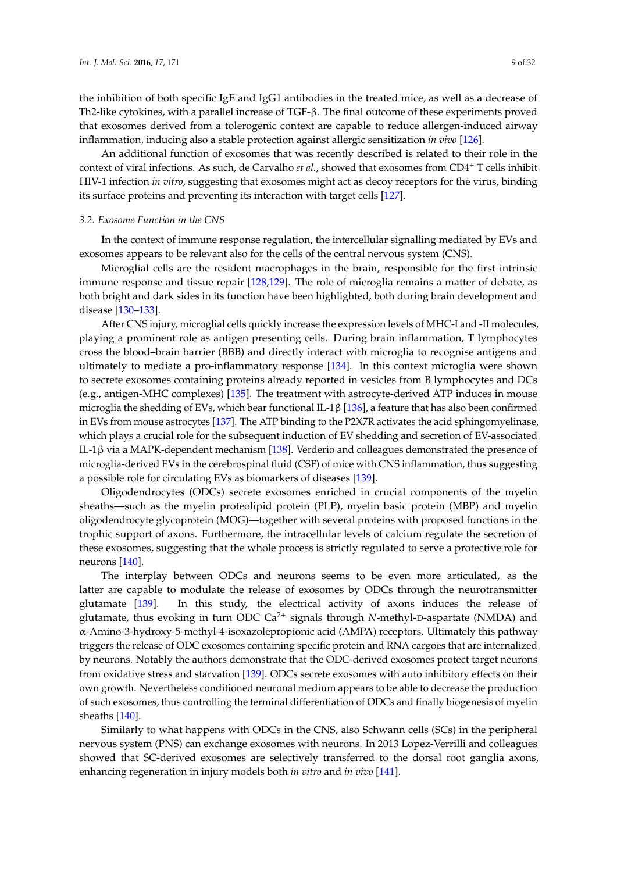the inhibition of both specific IgE and IgG1 antibodies in the treated mice, as well as a decrease of Th2-like cytokines, with a parallel increase of TGF-β. The final outcome of these experiments proved that exosomes derived from a tolerogenic context are capable to reduce allergen-induced airway inflammation, inducing also a stable protection against allergic sensitization *in vivo* [\[126\]](#page-23-5).

An additional function of exosomes that was recently described is related to their role in the context of viral infections. As such, de Carvalho *et al.*, showed that exosomes from CD4<sup>+</sup> T cells inhibit HIV-1 infection *in vitro*, suggesting that exosomes might act as decoy receptors for the virus, binding its surface proteins and preventing its interaction with target cells [\[127\]](#page-23-6).

# *3.2. Exosome Function in the CNS*

In the context of immune response regulation, the intercellular signalling mediated by EVs and exosomes appears to be relevant also for the cells of the central nervous system (CNS).

Microglial cells are the resident macrophages in the brain, responsible for the first intrinsic immune response and tissue repair [\[128,](#page-23-7)[129\]](#page-23-8). The role of microglia remains a matter of debate, as both bright and dark sides in its function have been highlighted, both during brain development and disease [\[130](#page-23-9)[–133\]](#page-23-10).

After CNS injury, microglial cells quickly increase the expression levels of MHC-I and -II molecules, playing a prominent role as antigen presenting cells. During brain inflammation, T lymphocytes cross the blood–brain barrier (BBB) and directly interact with microglia to recognise antigens and ultimately to mediate a pro-inflammatory response [\[134\]](#page-24-0). In this context microglia were shown to secrete exosomes containing proteins already reported in vesicles from B lymphocytes and DCs (e.g., antigen-MHC complexes) [\[135\]](#page-24-1). The treatment with astrocyte-derived ATP induces in mouse microglia the shedding of EVs, which bear functional IL-1 $\beta$  [\[136\]](#page-24-2), a feature that has also been confirmed in EVs from mouse astrocytes [\[137\]](#page-24-3). The ATP binding to the P2X7R activates the acid sphingomyelinase, which plays a crucial role for the subsequent induction of EV shedding and secretion of EV-associated IL-1β via a MAPK-dependent mechanism [\[138\]](#page-24-4). Verderio and colleagues demonstrated the presence of microglia-derived EVs in the cerebrospinal fluid (CSF) of mice with CNS inflammation, thus suggesting a possible role for circulating EVs as biomarkers of diseases [\[139\]](#page-24-5).

Oligodendrocytes (ODCs) secrete exosomes enriched in crucial components of the myelin sheaths—such as the myelin proteolipid protein (PLP), myelin basic protein (MBP) and myelin oligodendrocyte glycoprotein (MOG)—together with several proteins with proposed functions in the trophic support of axons. Furthermore, the intracellular levels of calcium regulate the secretion of these exosomes, suggesting that the whole process is strictly regulated to serve a protective role for neurons [\[140\]](#page-24-6).

The interplay between ODCs and neurons seems to be even more articulated, as the latter are capable to modulate the release of exosomes by ODCs through the neurotransmitter glutamate [\[139\]](#page-24-5). In this study, the electrical activity of axons induces the release of glutamate, thus evoking in turn ODC Ca2+ signals through *N*-methyl-D-aspartate (NMDA) and α-Amino-3-hydroxy-5-methyl-4-isoxazolepropionic acid (AMPA) receptors. Ultimately this pathway triggers the release of ODC exosomes containing specific protein and RNA cargoes that are internalized by neurons. Notably the authors demonstrate that the ODC-derived exosomes protect target neurons from oxidative stress and starvation [\[139\]](#page-24-5). ODCs secrete exosomes with auto inhibitory effects on their own growth. Nevertheless conditioned neuronal medium appears to be able to decrease the production of such exosomes, thus controlling the terminal differentiation of ODCs and finally biogenesis of myelin sheaths [\[140\]](#page-24-6).

Similarly to what happens with ODCs in the CNS, also Schwann cells (SCs) in the peripheral nervous system (PNS) can exchange exosomes with neurons. In 2013 Lopez-Verrilli and colleagues showed that SC-derived exosomes are selectively transferred to the dorsal root ganglia axons, enhancing regeneration in injury models both *in vitro* and *in vivo* [\[141\]](#page-24-7).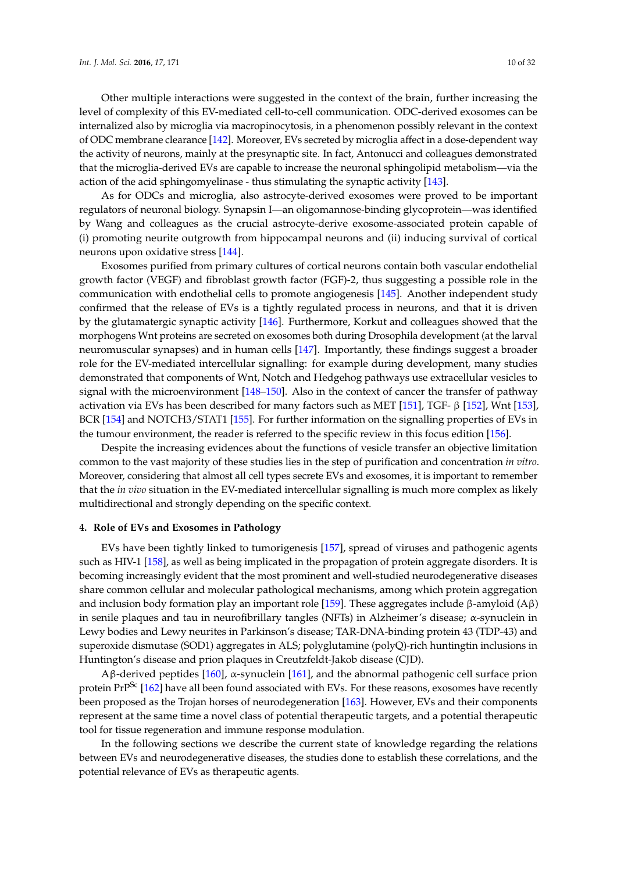action of the acid sphingomyelinase - thus stimulating the synaptic activity [\[143\]](#page-24-9). As for ODCs and microglia, also astrocyte-derived exosomes were proved to be important regulators of neuronal biology. Synapsin I—an oligomannose-binding glycoprotein—was identified by Wang and colleagues as the crucial astrocyte-derive exosome-associated protein capable of (i) promoting neurite outgrowth from hippocampal neurons and (ii) inducing survival of cortical neurons upon oxidative stress [\[144\]](#page-24-10).

Exosomes purified from primary cultures of cortical neurons contain both vascular endothelial growth factor (VEGF) and fibroblast growth factor (FGF)-2, thus suggesting a possible role in the communication with endothelial cells to promote angiogenesis [\[145\]](#page-24-11). Another independent study confirmed that the release of EVs is a tightly regulated process in neurons, and that it is driven by the glutamatergic synaptic activity [\[146\]](#page-24-12). Furthermore, Korkut and colleagues showed that the morphogens Wnt proteins are secreted on exosomes both during Drosophila development (at the larval neuromuscular synapses) and in human cells [\[147\]](#page-24-13). Importantly, these findings suggest a broader role for the EV-mediated intercellular signalling: for example during development, many studies demonstrated that components of Wnt, Notch and Hedgehog pathways use extracellular vesicles to signal with the microenvironment [\[148–](#page-24-14)[150\]](#page-24-15). Also in the context of cancer the transfer of pathway activation via EVs has been described for many factors such as MET [\[151\]](#page-24-16), TGF- β [\[152\]](#page-24-17), Wnt [\[153\]](#page-25-0), BCR [\[154\]](#page-25-1) and NOTCH3/STAT1 [\[155\]](#page-25-2). For further information on the signalling properties of EVs in the tumour environment, the reader is referred to the specific review in this focus edition [\[156\]](#page-25-3).

Despite the increasing evidences about the functions of vesicle transfer an objective limitation common to the vast majority of these studies lies in the step of purification and concentration *in vitro*. Moreover, considering that almost all cell types secrete EVs and exosomes, it is important to remember that the *in vivo* situation in the EV-mediated intercellular signalling is much more complex as likely multidirectional and strongly depending on the specific context.

#### **4. Role of EVs and Exosomes in Pathology**

EVs have been tightly linked to tumorigenesis [\[157\]](#page-25-4), spread of viruses and pathogenic agents such as HIV-1 [\[158\]](#page-25-5), as well as being implicated in the propagation of protein aggregate disorders. It is becoming increasingly evident that the most prominent and well-studied neurodegenerative diseases share common cellular and molecular pathological mechanisms, among which protein aggregation and inclusion body formation play an important role [\[159\]](#page-25-6). These aggregates include β-amyloid (Aβ) in senile plaques and tau in neurofibrillary tangles (NFTs) in Alzheimer's disease; α-synuclein in Lewy bodies and Lewy neurites in Parkinson's disease; TAR-DNA-binding protein 43 (TDP-43) and superoxide dismutase (SOD1) aggregates in ALS; polyglutamine (polyQ)-rich huntingtin inclusions in Huntington's disease and prion plaques in Creutzfeldt-Jakob disease (CJD).

Aβ-derived peptides [\[160\]](#page-25-7),  $\alpha$ -synuclein [\[161\]](#page-25-8), and the abnormal pathogenic cell surface prion protein  $Pr^{Sc}$  [\[162\]](#page-25-9) have all been found associated with EVs. For these reasons, exosomes have recently been proposed as the Trojan horses of neurodegeneration [\[163\]](#page-25-10). However, EVs and their components represent at the same time a novel class of potential therapeutic targets, and a potential therapeutic tool for tissue regeneration and immune response modulation.

In the following sections we describe the current state of knowledge regarding the relations between EVs and neurodegenerative diseases, the studies done to establish these correlations, and the potential relevance of EVs as therapeutic agents.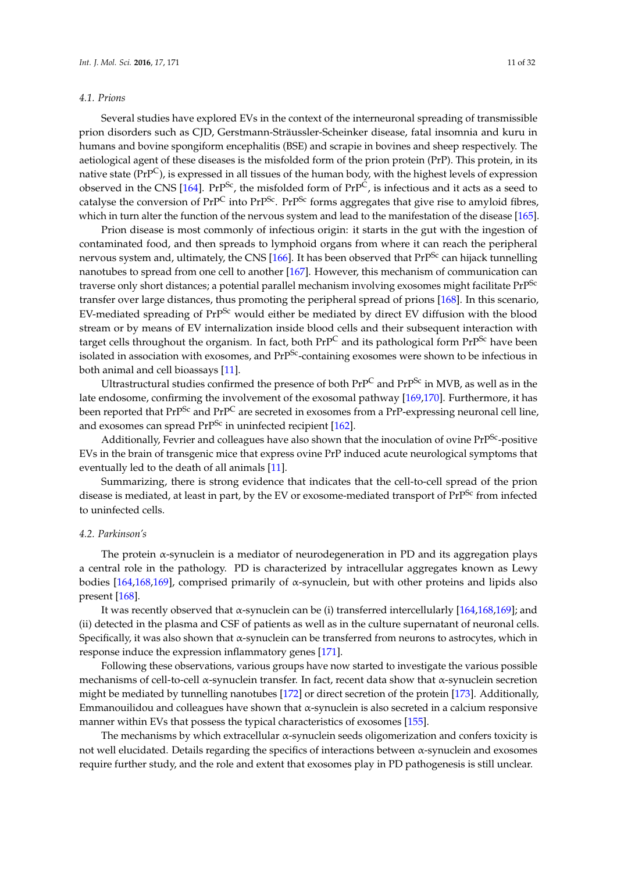#### *4.1. Prions*

Several studies have explored EVs in the context of the interneuronal spreading of transmissible prion disorders such as CJD, Gerstmann-Sträussler-Scheinker disease, fatal insomnia and kuru in humans and bovine spongiform encephalitis (BSE) and scrapie in bovines and sheep respectively. The aetiological agent of these diseases is the misfolded form of the prion protein (PrP). This protein, in its native state (PrPC), is expressed in all tissues of the human body, with the highest levels of expression observed in the CNS [\[164\]](#page-25-11). PrP<sup>Sc</sup>, the misfolded form of PrP<sup>C</sup>, is infectious and it acts as a seed to catalyse the conversion of  $Pr^{pc}$  into  $Pr^{pc}$ .  $Pr^{pc}$  forms aggregates that give rise to amyloid fibres, which in turn alter the function of the nervous system and lead to the manifestation of the disease [\[165\]](#page-25-12).

Prion disease is most commonly of infectious origin: it starts in the gut with the ingestion of contaminated food, and then spreads to lymphoid organs from where it can reach the peripheral nervous system and, ultimately, the CNS [\[166\]](#page-25-13). It has been observed that PrP<sup>Sc</sup> can hijack tunnelling nanotubes to spread from one cell to another [\[167\]](#page-25-14). However, this mechanism of communication can traverse only short distances; a potential parallel mechanism involving exosomes might facilitate PrP<sup>Sc</sup> transfer over large distances, thus promoting the peripheral spread of prions [\[168\]](#page-25-15). In this scenario, EV-mediated spreading of PrP<sup>Sc</sup> would either be mediated by direct EV diffusion with the blood stream or by means of EV internalization inside blood cells and their subsequent interaction with target cells throughout the organism. In fact, both  $Pr^{pc}$  and its pathological form  $Pr^{pc}$  have been isolated in association with exosomes, and PrP<sup>Sc</sup>-containing exosomes were shown to be infectious in both animal and cell bioassays [\[11\]](#page-17-8).

Ultrastructural studies confirmed the presence of both  $Pr^{pc}$  and  $Pr^{pc}$  in MVB, as well as in the late endosome, confirming the involvement of the exosomal pathway [\[169](#page-25-16)[,170\]](#page-25-17). Furthermore, it has been reported that PrP<sup>Sc</sup> and PrP<sup>C</sup> are secreted in exosomes from a PrP-expressing neuronal cell line, and exosomes can spread  $PrP^{Sc}$  in uninfected recipient [\[162\]](#page-25-9).

Additionally, Fevrier and colleagues have also shown that the inoculation of ovine  $PrP^{Sc}$ -positive EVs in the brain of transgenic mice that express ovine PrP induced acute neurological symptoms that eventually led to the death of all animals [\[11\]](#page-17-8).

Summarizing, there is strong evidence that indicates that the cell-to-cell spread of the prion disease is mediated, at least in part, by the EV or exosome-mediated transport of PrP<sup>Sc</sup> from infected to uninfected cells.

#### *4.2. Parkinson's*

The protein α-synuclein is a mediator of neurodegeneration in PD and its aggregation plays a central role in the pathology. PD is characterized by intracellular aggregates known as Lewy bodies [\[164](#page-25-11)[,168](#page-25-15)[,169\]](#page-25-16), comprised primarily of  $\alpha$ -synuclein, but with other proteins and lipids also present [\[168\]](#page-25-15).

It was recently observed that α-synuclein can be (i) transferred intercellularly [\[164,](#page-25-11)[168,](#page-25-15)[169\]](#page-25-16); and (ii) detected in the plasma and CSF of patients as well as in the culture supernatant of neuronal cells. Specifically, it was also shown that  $\alpha$ -synuclein can be transferred from neurons to astrocytes, which in response induce the expression inflammatory genes [\[171\]](#page-25-18).

Following these observations, various groups have now started to investigate the various possible mechanisms of cell-to-cell α-synuclein transfer. In fact, recent data show that α-synuclein secretion might be mediated by tunnelling nanotubes [\[172\]](#page-25-19) or direct secretion of the protein [\[173\]](#page-25-20). Additionally, Emmanouilidou and colleagues have shown that α-synuclein is also secreted in a calcium responsive manner within EVs that possess the typical characteristics of exosomes [\[155\]](#page-25-2).

The mechanisms by which extracellular  $\alpha$ -synuclein seeds oligomerization and confers toxicity is not well elucidated. Details regarding the specifics of interactions between α-synuclein and exosomes require further study, and the role and extent that exosomes play in PD pathogenesis is still unclear.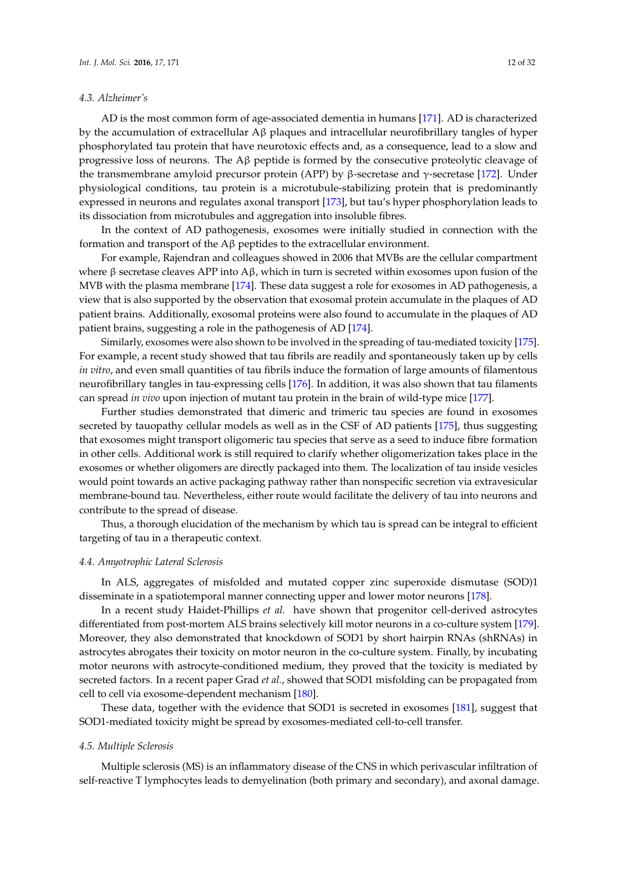#### *4.3. Alzheimer's*

AD is the most common form of age-associated dementia in humans [\[171\]](#page-25-18). AD is characterized by the accumulation of extracellular Aβ plaques and intracellular neurofibrillary tangles of hyper phosphorylated tau protein that have neurotoxic effects and, as a consequence, lead to a slow and progressive loss of neurons. The  $\mathbf{A}\beta$  peptide is formed by the consecutive proteolytic cleavage of the transmembrane amyloid precursor protein (APP) by β-secretase and  $γ$ -secretase [\[172\]](#page-25-19). Under physiological conditions, tau protein is a microtubule-stabilizing protein that is predominantly expressed in neurons and regulates axonal transport [\[173\]](#page-25-20), but tau's hyper phosphorylation leads to its dissociation from microtubules and aggregation into insoluble fibres.

In the context of AD pathogenesis, exosomes were initially studied in connection with the formation and transport of the Aβ peptides to the extracellular environment.

For example, Rajendran and colleagues showed in 2006 that MVBs are the cellular compartment where β secretase cleaves APP into  $\text{A} \beta$ , which in turn is secreted within exosomes upon fusion of the MVB with the plasma membrane [\[174\]](#page-26-0). These data suggest a role for exosomes in AD pathogenesis, a view that is also supported by the observation that exosomal protein accumulate in the plaques of AD patient brains. Additionally, exosomal proteins were also found to accumulate in the plaques of AD patient brains, suggesting a role in the pathogenesis of AD [\[174\]](#page-26-0).

Similarly, exosomes were also shown to be involved in the spreading of tau-mediated toxicity [\[175\]](#page-26-1). For example, a recent study showed that tau fibrils are readily and spontaneously taken up by cells *in vitro*, and even small quantities of tau fibrils induce the formation of large amounts of filamentous neurofibrillary tangles in tau-expressing cells [\[176\]](#page-26-2). In addition, it was also shown that tau filaments can spread *in vivo* upon injection of mutant tau protein in the brain of wild-type mice [\[177\]](#page-26-3).

Further studies demonstrated that dimeric and trimeric tau species are found in exosomes secreted by tauopathy cellular models as well as in the CSF of AD patients [\[175\]](#page-26-1), thus suggesting that exosomes might transport oligomeric tau species that serve as a seed to induce fibre formation in other cells. Additional work is still required to clarify whether oligomerization takes place in the exosomes or whether oligomers are directly packaged into them. The localization of tau inside vesicles would point towards an active packaging pathway rather than nonspecific secretion via extravesicular membrane-bound tau. Nevertheless, either route would facilitate the delivery of tau into neurons and contribute to the spread of disease.

Thus, a thorough elucidation of the mechanism by which tau is spread can be integral to efficient targeting of tau in a therapeutic context.

## *4.4. Amyotrophic Lateral Sclerosis*

In ALS, aggregates of misfolded and mutated copper zinc superoxide dismutase (SOD)1 disseminate in a spatiotemporal manner connecting upper and lower motor neurons [\[178\]](#page-26-4).

In a recent study Haidet-Phillips *et al.* have shown that progenitor cell-derived astrocytes differentiated from post-mortem ALS brains selectively kill motor neurons in a co-culture system [\[179\]](#page-26-5). Moreover, they also demonstrated that knockdown of SOD1 by short hairpin RNAs (shRNAs) in astrocytes abrogates their toxicity on motor neuron in the co-culture system. Finally, by incubating motor neurons with astrocyte-conditioned medium, they proved that the toxicity is mediated by secreted factors. In a recent paper Grad *et al.*, showed that SOD1 misfolding can be propagated from cell to cell via exosome-dependent mechanism [\[180\]](#page-26-6).

These data, together with the evidence that SOD1 is secreted in exosomes [\[181\]](#page-26-7), suggest that SOD1-mediated toxicity might be spread by exosomes-mediated cell-to-cell transfer.

#### *4.5. Multiple Sclerosis*

Multiple sclerosis (MS) is an inflammatory disease of the CNS in which perivascular infiltration of self-reactive T lymphocytes leads to demyelination (both primary and secondary), and axonal damage.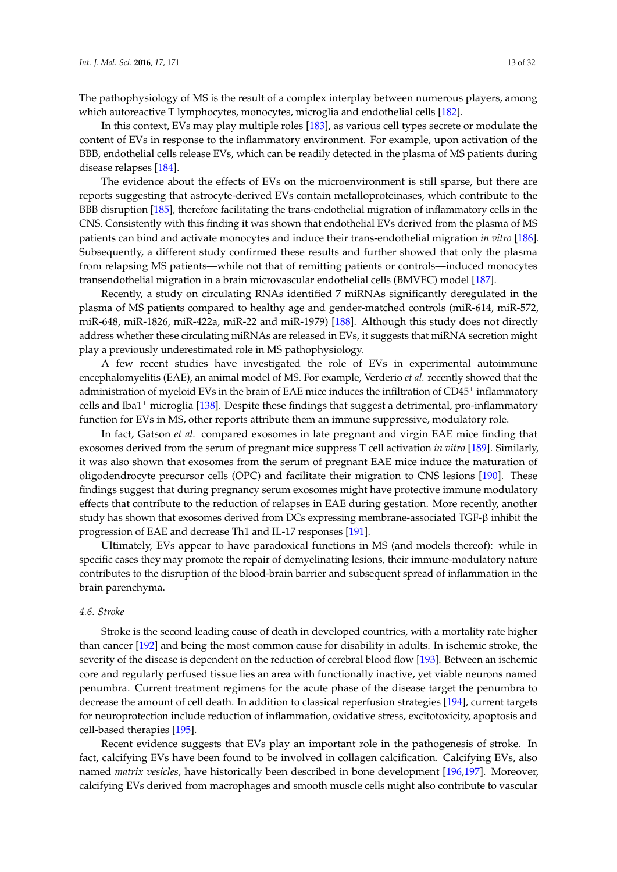The pathophysiology of MS is the result of a complex interplay between numerous players, among which autoreactive T lymphocytes, monocytes, microglia and endothelial cells [\[182\]](#page-26-8).

In this context, EVs may play multiple roles [\[183\]](#page-26-9), as various cell types secrete or modulate the content of EVs in response to the inflammatory environment. For example, upon activation of the BBB, endothelial cells release EVs, which can be readily detected in the plasma of MS patients during disease relapses [\[184\]](#page-26-10).

The evidence about the effects of EVs on the microenvironment is still sparse, but there are reports suggesting that astrocyte-derived EVs contain metalloproteinases, which contribute to the BBB disruption [\[185\]](#page-26-11), therefore facilitating the trans-endothelial migration of inflammatory cells in the CNS. Consistently with this finding it was shown that endothelial EVs derived from the plasma of MS patients can bind and activate monocytes and induce their trans-endothelial migration *in vitro* [\[186\]](#page-26-12). Subsequently, a different study confirmed these results and further showed that only the plasma from relapsing MS patients—while not that of remitting patients or controls—induced monocytes transendothelial migration in a brain microvascular endothelial cells (BMVEC) model [\[187\]](#page-26-13).

Recently, a study on circulating RNAs identified 7 miRNAs significantly deregulated in the plasma of MS patients compared to healthy age and gender-matched controls (miR-614, miR-572, miR-648, miR-1826, miR-422a, miR-22 and miR-1979) [\[188\]](#page-26-14). Although this study does not directly address whether these circulating miRNAs are released in EVs, it suggests that miRNA secretion might play a previously underestimated role in MS pathophysiology.

A few recent studies have investigated the role of EVs in experimental autoimmune encephalomyelitis (EAE), an animal model of MS. For example, Verderio *et al.* recently showed that the administration of myeloid EVs in the brain of EAE mice induces the infiltration of CD45<sup>+</sup> inflammatory cells and Iba1<sup>+</sup> microglia  $[138]$ . Despite these findings that suggest a detrimental, pro-inflammatory function for EVs in MS, other reports attribute them an immune suppressive, modulatory role.

In fact, Gatson *et al.* compared exosomes in late pregnant and virgin EAE mice finding that exosomes derived from the serum of pregnant mice suppress T cell activation *in vitro* [\[189\]](#page-26-15). Similarly, it was also shown that exosomes from the serum of pregnant EAE mice induce the maturation of oligodendrocyte precursor cells (OPC) and facilitate their migration to CNS lesions [\[190\]](#page-26-16). These findings suggest that during pregnancy serum exosomes might have protective immune modulatory effects that contribute to the reduction of relapses in EAE during gestation. More recently, another study has shown that exosomes derived from DCs expressing membrane-associated TGF-β inhibit the progression of EAE and decrease Th1 and IL-17 responses [\[191\]](#page-26-17).

Ultimately, EVs appear to have paradoxical functions in MS (and models thereof): while in specific cases they may promote the repair of demyelinating lesions, their immune-modulatory nature contributes to the disruption of the blood-brain barrier and subsequent spread of inflammation in the brain parenchyma.

# *4.6. Stroke*

Stroke is the second leading cause of death in developed countries, with a mortality rate higher than cancer [\[192\]](#page-26-18) and being the most common cause for disability in adults. In ischemic stroke, the severity of the disease is dependent on the reduction of cerebral blood flow [\[193\]](#page-26-19). Between an ischemic core and regularly perfused tissue lies an area with functionally inactive, yet viable neurons named penumbra. Current treatment regimens for the acute phase of the disease target the penumbra to decrease the amount of cell death. In addition to classical reperfusion strategies [\[194\]](#page-27-0), current targets for neuroprotection include reduction of inflammation, oxidative stress, excitotoxicity, apoptosis and cell-based therapies [\[195\]](#page-27-1).

Recent evidence suggests that EVs play an important role in the pathogenesis of stroke. In fact, calcifying EVs have been found to be involved in collagen calcification. Calcifying EVs, also named *matrix vesicles*, have historically been described in bone development [\[196,](#page-27-2)[197\]](#page-27-3). Moreover, calcifying EVs derived from macrophages and smooth muscle cells might also contribute to vascular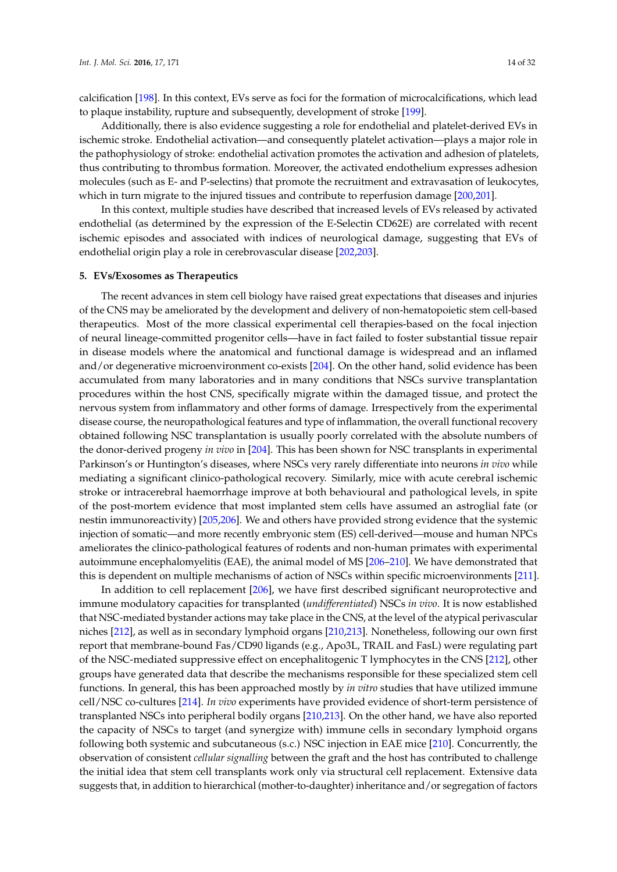calcification [\[198\]](#page-27-4). In this context, EVs serve as foci for the formation of microcalcifications, which lead to plaque instability, rupture and subsequently, development of stroke [\[199\]](#page-27-5).

Additionally, there is also evidence suggesting a role for endothelial and platelet-derived EVs in ischemic stroke. Endothelial activation—and consequently platelet activation—plays a major role in the pathophysiology of stroke: endothelial activation promotes the activation and adhesion of platelets, thus contributing to thrombus formation. Moreover, the activated endothelium expresses adhesion molecules (such as E- and P-selectins) that promote the recruitment and extravasation of leukocytes, which in turn migrate to the injured tissues and contribute to reperfusion damage [\[200](#page-27-6)[,201\]](#page-27-7).

In this context, multiple studies have described that increased levels of EVs released by activated endothelial (as determined by the expression of the E-Selectin CD62E) are correlated with recent ischemic episodes and associated with indices of neurological damage, suggesting that EVs of endothelial origin play a role in cerebrovascular disease [\[202,](#page-27-8)[203\]](#page-27-9).

# **5. EVs/Exosomes as Therapeutics**

The recent advances in stem cell biology have raised great expectations that diseases and injuries of the CNS may be ameliorated by the development and delivery of non-hematopoietic stem cell-based therapeutics. Most of the more classical experimental cell therapies-based on the focal injection of neural lineage-committed progenitor cells—have in fact failed to foster substantial tissue repair in disease models where the anatomical and functional damage is widespread and an inflamed and/or degenerative microenvironment co-exists [\[204\]](#page-27-10). On the other hand, solid evidence has been accumulated from many laboratories and in many conditions that NSCs survive transplantation procedures within the host CNS, specifically migrate within the damaged tissue, and protect the nervous system from inflammatory and other forms of damage. Irrespectively from the experimental disease course, the neuropathological features and type of inflammation, the overall functional recovery obtained following NSC transplantation is usually poorly correlated with the absolute numbers of the donor-derived progeny *in vivo* in [\[204\]](#page-27-10). This has been shown for NSC transplants in experimental Parkinson's or Huntington's diseases, where NSCs very rarely differentiate into neurons *in vivo* while mediating a significant clinico-pathological recovery. Similarly, mice with acute cerebral ischemic stroke or intracerebral haemorrhage improve at both behavioural and pathological levels, in spite of the post-mortem evidence that most implanted stem cells have assumed an astroglial fate (or nestin immunoreactivity) [\[205](#page-27-11)[,206\]](#page-27-12). We and others have provided strong evidence that the systemic injection of somatic—and more recently embryonic stem (ES) cell-derived—mouse and human NPCs ameliorates the clinico-pathological features of rodents and non-human primates with experimental autoimmune encephalomyelitis (EAE), the animal model of MS [\[206](#page-27-12)[–210\]](#page-27-13). We have demonstrated that this is dependent on multiple mechanisms of action of NSCs within specific microenvironments [\[211\]](#page-27-14).

In addition to cell replacement [\[206\]](#page-27-12), we have first described significant neuroprotective and immune modulatory capacities for transplanted (*undifferentiated*) NSCs *in vivo*. It is now established that NSC-mediated bystander actions may take place in the CNS, at the level of the atypical perivascular niches [\[212\]](#page-27-15), as well as in secondary lymphoid organs [\[210,](#page-27-13)[213\]](#page-28-0). Nonetheless, following our own first report that membrane-bound Fas/CD90 ligands (e.g., Apo3L, TRAIL and FasL) were regulating part of the NSC-mediated suppressive effect on encephalitogenic T lymphocytes in the CNS [\[212\]](#page-27-15), other groups have generated data that describe the mechanisms responsible for these specialized stem cell functions. In general, this has been approached mostly by *in vitro* studies that have utilized immune cell/NSC co-cultures [\[214\]](#page-28-1). *In vivo* experiments have provided evidence of short-term persistence of transplanted NSCs into peripheral bodily organs [\[210,](#page-27-13)[213\]](#page-28-0). On the other hand, we have also reported the capacity of NSCs to target (and synergize with) immune cells in secondary lymphoid organs following both systemic and subcutaneous (s.c.) NSC injection in EAE mice [\[210\]](#page-27-13). Concurrently, the observation of consistent *cellular signalling* between the graft and the host has contributed to challenge the initial idea that stem cell transplants work only via structural cell replacement. Extensive data suggests that, in addition to hierarchical (mother-to-daughter) inheritance and/or segregation of factors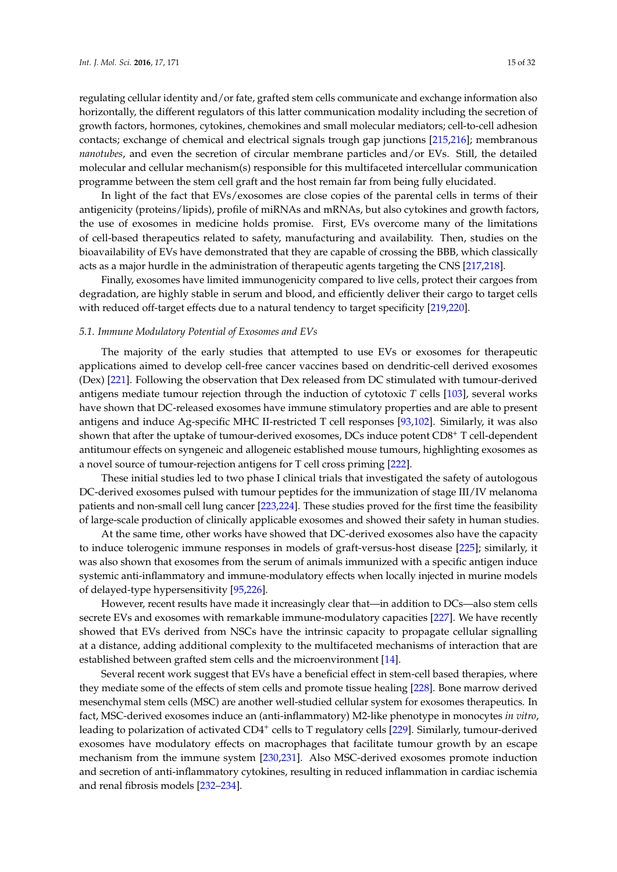regulating cellular identity and/or fate, grafted stem cells communicate and exchange information also horizontally, the different regulators of this latter communication modality including the secretion of growth factors, hormones, cytokines, chemokines and small molecular mediators; cell-to-cell adhesion contacts; exchange of chemical and electrical signals trough gap junctions [\[215,](#page-28-2)[216\]](#page-28-3); membranous *nanotubes*, and even the secretion of circular membrane particles and/or EVs. Still, the detailed molecular and cellular mechanism(s) responsible for this multifaceted intercellular communication programme between the stem cell graft and the host remain far from being fully elucidated.

In light of the fact that EVs/exosomes are close copies of the parental cells in terms of their antigenicity (proteins/lipids), profile of miRNAs and mRNAs, but also cytokines and growth factors, the use of exosomes in medicine holds promise. First, EVs overcome many of the limitations of cell-based therapeutics related to safety, manufacturing and availability. Then, studies on the bioavailability of EVs have demonstrated that they are capable of crossing the BBB, which classically acts as a major hurdle in the administration of therapeutic agents targeting the CNS [\[217](#page-28-4)[,218\]](#page-28-5).

Finally, exosomes have limited immunogenicity compared to live cells, protect their cargoes from degradation, are highly stable in serum and blood, and efficiently deliver their cargo to target cells with reduced off-target effects due to a natural tendency to target specificity [\[219,](#page-28-6)[220\]](#page-28-7).

## *5.1. Immune Modulatory Potential of Exosomes and EVs*

The majority of the early studies that attempted to use EVs or exosomes for therapeutic applications aimed to develop cell-free cancer vaccines based on dendritic-cell derived exosomes (Dex) [\[221\]](#page-28-8). Following the observation that Dex released from DC stimulated with tumour-derived antigens mediate tumour rejection through the induction of cytotoxic *T* cells [\[103\]](#page-22-3), several works have shown that DC-released exosomes have immune stimulatory properties and are able to present antigens and induce Ag-specific MHC II-restricted T cell responses [\[93](#page-21-20)[,102\]](#page-22-12). Similarly, it was also shown that after the uptake of tumour-derived exosomes, DCs induce potent CD8<sup>+</sup> T cell-dependent antitumour effects on syngeneic and allogeneic established mouse tumours, highlighting exosomes as a novel source of tumour-rejection antigens for T cell cross priming [\[222\]](#page-28-9).

These initial studies led to two phase I clinical trials that investigated the safety of autologous DC-derived exosomes pulsed with tumour peptides for the immunization of stage III/IV melanoma patients and non-small cell lung cancer [\[223,](#page-28-10)[224\]](#page-28-11). These studies proved for the first time the feasibility of large-scale production of clinically applicable exosomes and showed their safety in human studies.

At the same time, other works have showed that DC-derived exosomes also have the capacity to induce tolerogenic immune responses in models of graft-versus-host disease [\[225\]](#page-28-12); similarly, it was also shown that exosomes from the serum of animals immunized with a specific antigen induce systemic anti-inflammatory and immune-modulatory effects when locally injected in murine models of delayed-type hypersensitivity [\[95](#page-22-1)[,226\]](#page-28-13).

However, recent results have made it increasingly clear that—in addition to DCs—also stem cells secrete EVs and exosomes with remarkable immune-modulatory capacities [\[227\]](#page-28-14). We have recently showed that EVs derived from NSCs have the intrinsic capacity to propagate cellular signalling at a distance, adding additional complexity to the multifaceted mechanisms of interaction that are established between grafted stem cells and the microenvironment [\[14\]](#page-18-0).

Several recent work suggest that EVs have a beneficial effect in stem-cell based therapies, where they mediate some of the effects of stem cells and promote tissue healing [\[228\]](#page-28-15). Bone marrow derived mesenchymal stem cells (MSC) are another well-studied cellular system for exosomes therapeutics. In fact, MSC-derived exosomes induce an (anti-inflammatory) M2-like phenotype in monocytes *in vitro*, leading to polarization of activated CD4<sup>+</sup> cells to T regulatory cells [\[229\]](#page-28-16). Similarly, tumour-derived exosomes have modulatory effects on macrophages that facilitate tumour growth by an escape mechanism from the immune system [\[230](#page-28-17)[,231\]](#page-28-18). Also MSC-derived exosomes promote induction and secretion of anti-inflammatory cytokines, resulting in reduced inflammation in cardiac ischemia and renal fibrosis models [\[232](#page-29-0)[–234\]](#page-29-1).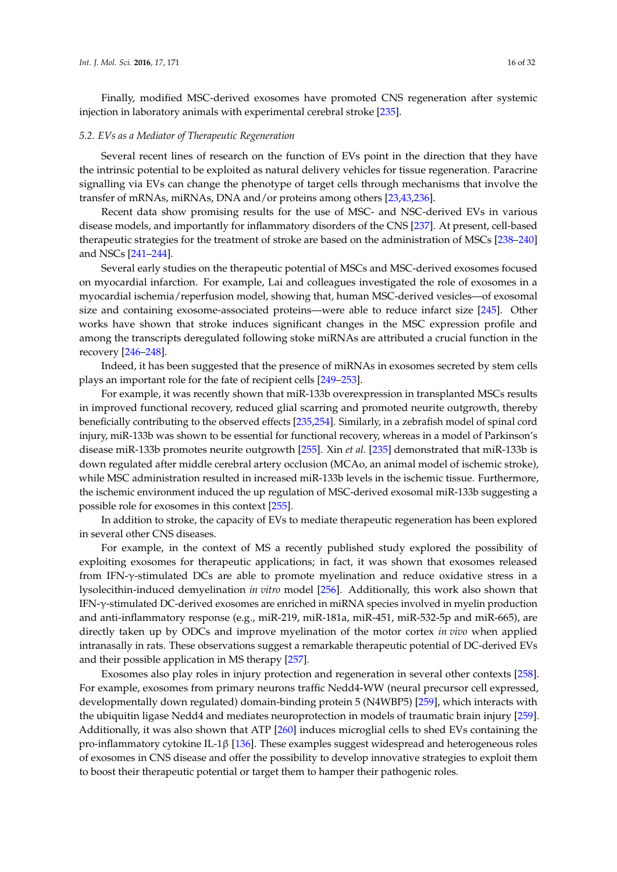Finally, modified MSC-derived exosomes have promoted CNS regeneration after systemic injection in laboratory animals with experimental cerebral stroke [\[235\]](#page-29-2).

#### *5.2. EVs as a Mediator of Therapeutic Regeneration*

Several recent lines of research on the function of EVs point in the direction that they have the intrinsic potential to be exploited as natural delivery vehicles for tissue regeneration. Paracrine signalling via EVs can change the phenotype of target cells through mechanisms that involve the transfer of mRNAs, miRNAs, DNA and/or proteins among others [\[23,](#page-18-9)[43,](#page-19-6)[236\]](#page-29-3).

Recent data show promising results for the use of MSC- and NSC-derived EVs in various disease models, and importantly for inflammatory disorders of the CNS [\[237\]](#page-29-4). At present, cell-based therapeutic strategies for the treatment of stroke are based on the administration of MSCs [\[238](#page-29-5)[–240\]](#page-29-6) and NSCs [\[241](#page-29-7)[–244\]](#page-29-8).

Several early studies on the therapeutic potential of MSCs and MSC-derived exosomes focused on myocardial infarction. For example, Lai and colleagues investigated the role of exosomes in a myocardial ischemia/reperfusion model, showing that, human MSC-derived vesicles—of exosomal size and containing exosome-associated proteins—were able to reduce infarct size [\[245\]](#page-29-9). Other works have shown that stroke induces significant changes in the MSC expression profile and among the transcripts deregulated following stoke miRNAs are attributed a crucial function in the recovery [\[246–](#page-29-10)[248\]](#page-29-11).

Indeed, it has been suggested that the presence of miRNAs in exosomes secreted by stem cells plays an important role for the fate of recipient cells [\[249](#page-29-12)[–253\]](#page-30-0).

For example, it was recently shown that miR-133b overexpression in transplanted MSCs results in improved functional recovery, reduced glial scarring and promoted neurite outgrowth, thereby beneficially contributing to the observed effects [\[235](#page-29-2)[,254\]](#page-30-1). Similarly, in a zebrafish model of spinal cord injury, miR-133b was shown to be essential for functional recovery, whereas in a model of Parkinson's disease miR-133b promotes neurite outgrowth [\[255\]](#page-30-2). Xin *et al.* [\[235\]](#page-29-2) demonstrated that miR-133b is down regulated after middle cerebral artery occlusion (MCAo, an animal model of ischemic stroke), while MSC administration resulted in increased miR-133b levels in the ischemic tissue. Furthermore, the ischemic environment induced the up regulation of MSC-derived exosomal miR-133b suggesting a possible role for exosomes in this context [\[255\]](#page-30-2).

In addition to stroke, the capacity of EVs to mediate therapeutic regeneration has been explored in several other CNS diseases.

For example, in the context of MS a recently published study explored the possibility of exploiting exosomes for therapeutic applications; in fact, it was shown that exosomes released from IFN-γ-stimulated DCs are able to promote myelination and reduce oxidative stress in a lysolecithin-induced demyelination *in vitro* model [\[256\]](#page-30-3). Additionally, this work also shown that IFN-γ-stimulated DC-derived exosomes are enriched in miRNA species involved in myelin production and anti-inflammatory response (e.g., miR-219, miR-181a, miR-451, miR-532-5p and miR-665), are directly taken up by ODCs and improve myelination of the motor cortex *in vivo* when applied intranasally in rats. These observations suggest a remarkable therapeutic potential of DC-derived EVs and their possible application in MS therapy [\[257\]](#page-30-4).

Exosomes also play roles in injury protection and regeneration in several other contexts [\[258\]](#page-30-5). For example, exosomes from primary neurons traffic Nedd4-WW (neural precursor cell expressed, developmentally down regulated) domain-binding protein 5 (N4WBP5) [\[259\]](#page-30-6), which interacts with the ubiquitin ligase Nedd4 and mediates neuroprotection in models of traumatic brain injury [\[259\]](#page-30-6). Additionally, it was also shown that ATP [\[260\]](#page-30-7) induces microglial cells to shed EVs containing the pro-inflammatory cytokine IL-1β [\[136\]](#page-24-2). These examples suggest widespread and heterogeneous roles of exosomes in CNS disease and offer the possibility to develop innovative strategies to exploit them to boost their therapeutic potential or target them to hamper their pathogenic roles.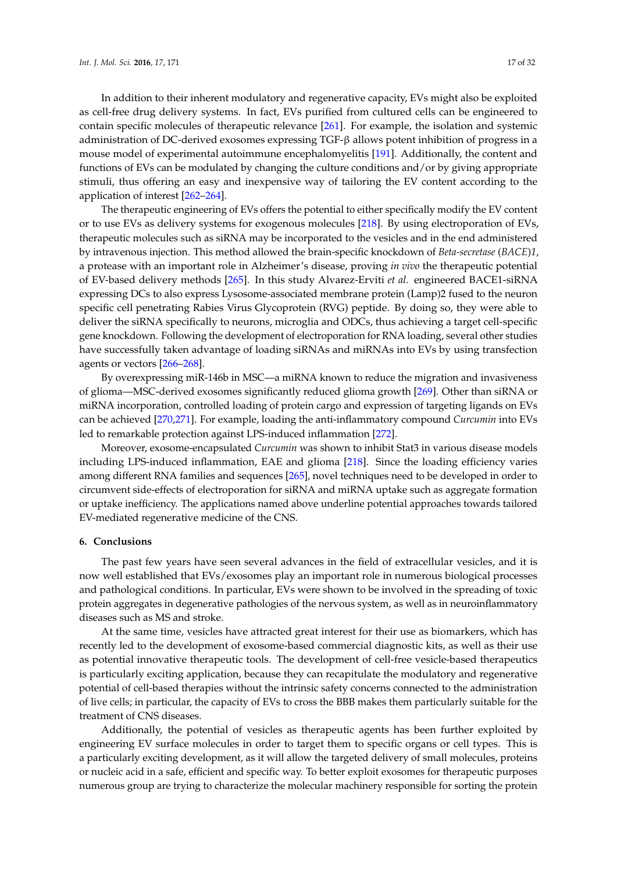In addition to their inherent modulatory and regenerative capacity, EVs might also be exploited as cell-free drug delivery systems. In fact, EVs purified from cultured cells can be engineered to contain specific molecules of therapeutic relevance [\[261\]](#page-30-8). For example, the isolation and systemic administration of DC-derived exosomes expressing TGF-β allows potent inhibition of progress in a mouse model of experimental autoimmune encephalomyelitis [\[191\]](#page-26-17). Additionally, the content and functions of EVs can be modulated by changing the culture conditions and/or by giving appropriate stimuli, thus offering an easy and inexpensive way of tailoring the EV content according to the application of interest [\[262](#page-30-9)[–264\]](#page-30-10).

The therapeutic engineering of EVs offers the potential to either specifically modify the EV content or to use EVs as delivery systems for exogenous molecules [\[218\]](#page-28-5). By using electroporation of EVs, therapeutic molecules such as siRNA may be incorporated to the vesicles and in the end administered by intravenous injection. This method allowed the brain-specific knockdown of *Beta-secretase* (*BACE*)*1*, a protease with an important role in Alzheimer's disease, proving *in vivo* the therapeutic potential of EV-based delivery methods [\[265\]](#page-30-11). In this study Alvarez-Erviti *et al.* engineered BACE1-siRNA expressing DCs to also express Lysosome-associated membrane protein (Lamp)2 fused to the neuron specific cell penetrating Rabies Virus Glycoprotein (RVG) peptide. By doing so, they were able to deliver the siRNA specifically to neurons, microglia and ODCs, thus achieving a target cell-specific gene knockdown. Following the development of electroporation for RNA loading, several other studies have successfully taken advantage of loading siRNAs and miRNAs into EVs by using transfection agents or vectors [\[266–](#page-30-12)[268\]](#page-30-13).

By overexpressing miR-146b in MSC—a miRNA known to reduce the migration and invasiveness of glioma—MSC-derived exosomes significantly reduced glioma growth [\[269\]](#page-30-14). Other than siRNA or miRNA incorporation, controlled loading of protein cargo and expression of targeting ligands on EVs can be achieved [\[270](#page-31-0)[,271\]](#page-31-1). For example, loading the anti-inflammatory compound *Curcumin* into EVs led to remarkable protection against LPS-induced inflammation [\[272\]](#page-31-2).

Moreover, exosome-encapsulated *Curcumin* was shown to inhibit Stat3 in various disease models including LPS-induced inflammation, EAE and glioma [\[218\]](#page-28-5). Since the loading efficiency varies among different RNA families and sequences [\[265\]](#page-30-11), novel techniques need to be developed in order to circumvent side-effects of electroporation for siRNA and miRNA uptake such as aggregate formation or uptake inefficiency. The applications named above underline potential approaches towards tailored EV-mediated regenerative medicine of the CNS.

#### **6. Conclusions**

The past few years have seen several advances in the field of extracellular vesicles, and it is now well established that EVs/exosomes play an important role in numerous biological processes and pathological conditions. In particular, EVs were shown to be involved in the spreading of toxic protein aggregates in degenerative pathologies of the nervous system, as well as in neuroinflammatory diseases such as MS and stroke.

At the same time, vesicles have attracted great interest for their use as biomarkers, which has recently led to the development of exosome-based commercial diagnostic kits, as well as their use as potential innovative therapeutic tools. The development of cell-free vesicle-based therapeutics is particularly exciting application, because they can recapitulate the modulatory and regenerative potential of cell-based therapies without the intrinsic safety concerns connected to the administration of live cells; in particular, the capacity of EVs to cross the BBB makes them particularly suitable for the treatment of CNS diseases.

Additionally, the potential of vesicles as therapeutic agents has been further exploited by engineering EV surface molecules in order to target them to specific organs or cell types. This is a particularly exciting development, as it will allow the targeted delivery of small molecules, proteins or nucleic acid in a safe, efficient and specific way. To better exploit exosomes for therapeutic purposes numerous group are trying to characterize the molecular machinery responsible for sorting the protein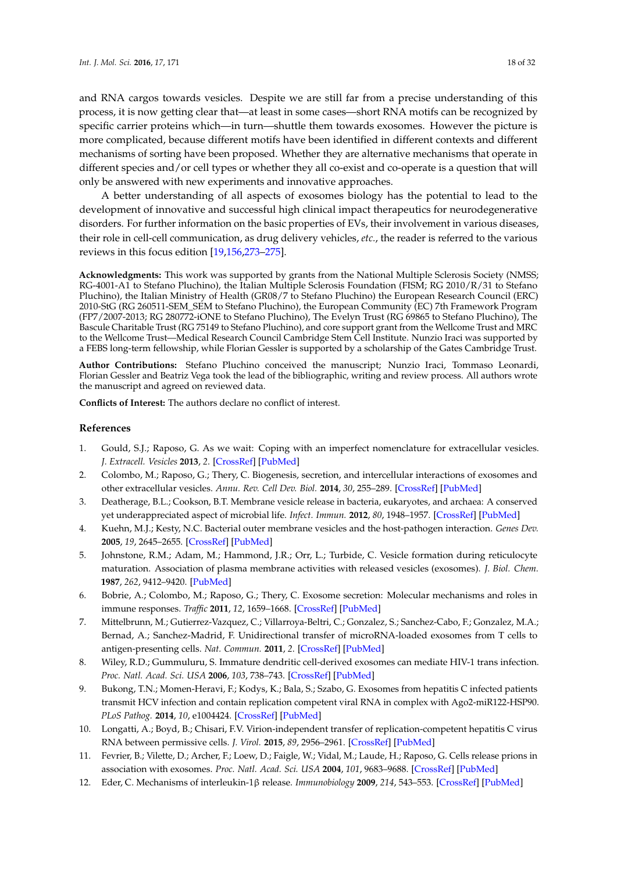and RNA cargos towards vesicles. Despite we are still far from a precise understanding of this process, it is now getting clear that—at least in some cases—short RNA motifs can be recognized by specific carrier proteins which—in turn—shuttle them towards exosomes. However the picture is more complicated, because different motifs have been identified in different contexts and different mechanisms of sorting have been proposed. Whether they are alternative mechanisms that operate in different species and/or cell types or whether they all co-exist and co-operate is a question that will only be answered with new experiments and innovative approaches.

A better understanding of all aspects of exosomes biology has the potential to lead to the development of innovative and successful high clinical impact therapeutics for neurodegenerative disorders. For further information on the basic properties of EVs, their involvement in various diseases, their role in cell-cell communication, as drug delivery vehicles, *etc.*, the reader is referred to the various reviews in this focus edition [\[19,](#page-18-5)[156](#page-25-3)[,273–](#page-31-3)[275\]](#page-31-4).

**Acknowledgments:** This work was supported by grants from the National Multiple Sclerosis Society (NMSS; RG-4001-A1 to Stefano Pluchino), the Italian Multiple Sclerosis Foundation (FISM; RG 2010/R/31 to Stefano Pluchino), the Italian Ministry of Health (GR08/7 to Stefano Pluchino) the European Research Council (ERC) 2010-StG (RG 260511-SEM\_SEM to Stefano Pluchino), the European Community (EC) 7th Framework Program (FP7/2007-2013; RG 280772-iONE to Stefano Pluchino), The Evelyn Trust (RG 69865 to Stefano Pluchino), The Bascule Charitable Trust (RG 75149 to Stefano Pluchino), and core support grant from the Wellcome Trust and MRC to the Wellcome Trust—Medical Research Council Cambridge Stem Cell Institute. Nunzio Iraci was supported by a FEBS long-term fellowship, while Florian Gessler is supported by a scholarship of the Gates Cambridge Trust.

**Author Contributions:** Stefano Pluchino conceived the manuscript; Nunzio Iraci, Tommaso Leonardi, Florian Gessler and Beatriz Vega took the lead of the bibliographic, writing and review process. All authors wrote the manuscript and agreed on reviewed data.

**Conflicts of Interest:** The authors declare no conflict of interest.

# **References**

- <span id="page-17-0"></span>1. Gould, S.J.; Raposo, G. As we wait: Coping with an imperfect nomenclature for extracellular vesicles. *J. Extracell. Vesicles* **2013**, *2*. [\[CrossRef\]](http://dx.doi.org/10.3402/jev.v2i0.20389) [\[PubMed\]](http://www.ncbi.nlm.nih.gov/pubmed/24009890)
- <span id="page-17-1"></span>2. Colombo, M.; Raposo, G.; Thery, C. Biogenesis, secretion, and intercellular interactions of exosomes and other extracellular vesicles. *Annu. Rev. Cell Dev. Biol.* **2014**, *30*, 255–289. [\[CrossRef\]](http://dx.doi.org/10.1146/annurev-cellbio-101512-122326) [\[PubMed\]](http://www.ncbi.nlm.nih.gov/pubmed/25288114)
- <span id="page-17-2"></span>3. Deatherage, B.L.; Cookson, B.T. Membrane vesicle release in bacteria, eukaryotes, and archaea: A conserved yet underappreciated aspect of microbial life. *Infect. Immun.* **2012**, *80*, 1948–1957. [\[CrossRef\]](http://dx.doi.org/10.1128/IAI.06014-11) [\[PubMed\]](http://www.ncbi.nlm.nih.gov/pubmed/22409932)
- <span id="page-17-3"></span>4. Kuehn, M.J.; Kesty, N.C. Bacterial outer membrane vesicles and the host-pathogen interaction. *Genes Dev.* **2005**, *19*, 2645–2655. [\[CrossRef\]](http://dx.doi.org/10.1101/gad.1299905) [\[PubMed\]](http://www.ncbi.nlm.nih.gov/pubmed/16291643)
- <span id="page-17-4"></span>5. Johnstone, R.M.; Adam, M.; Hammond, J.R.; Orr, L.; Turbide, C. Vesicle formation during reticulocyte maturation. Association of plasma membrane activities with released vesicles (exosomes). *J. Biol. Chem.* **1987**, *262*, 9412–9420. [\[PubMed\]](http://www.ncbi.nlm.nih.gov/pubmed/3597417)
- <span id="page-17-5"></span>6. Bobrie, A.; Colombo, M.; Raposo, G.; Thery, C. Exosome secretion: Molecular mechanisms and roles in immune responses. *Traffic* **2011**, *12*, 1659–1668. [\[CrossRef\]](http://dx.doi.org/10.1111/j.1600-0854.2011.01225.x) [\[PubMed\]](http://www.ncbi.nlm.nih.gov/pubmed/21645191)
- <span id="page-17-6"></span>7. Mittelbrunn, M.; Gutierrez-Vazquez, C.; Villarroya-Beltri, C.; Gonzalez, S.; Sanchez-Cabo, F.; Gonzalez, M.A.; Bernad, A.; Sanchez-Madrid, F. Unidirectional transfer of microRNA-loaded exosomes from T cells to antigen-presenting cells. *Nat. Commun.* **2011**, *2*. [\[CrossRef\]](http://dx.doi.org/10.1038/ncomms1285) [\[PubMed\]](http://www.ncbi.nlm.nih.gov/pubmed/21505438)
- <span id="page-17-7"></span>8. Wiley, R.D.; Gummuluru, S. Immature dendritic cell-derived exosomes can mediate HIV-1 trans infection. *Proc. Natl. Acad. Sci. USA* **2006**, *103*, 738–743. [\[CrossRef\]](http://dx.doi.org/10.1073/pnas.0507995103) [\[PubMed\]](http://www.ncbi.nlm.nih.gov/pubmed/16407131)
- 9. Bukong, T.N.; Momen-Heravi, F.; Kodys, K.; Bala, S.; Szabo, G. Exosomes from hepatitis C infected patients transmit HCV infection and contain replication competent viral RNA in complex with Ago2-miR122-HSP90. *PLoS Pathog.* **2014**, *10*, e1004424. [\[CrossRef\]](http://dx.doi.org/10.1371/journal.ppat.1004424) [\[PubMed\]](http://www.ncbi.nlm.nih.gov/pubmed/25275643)
- <span id="page-17-10"></span>10. Longatti, A.; Boyd, B.; Chisari, F.V. Virion-independent transfer of replication-competent hepatitis C virus RNA between permissive cells. *J. Virol.* **2015**, *89*, 2956–2961. [\[CrossRef\]](http://dx.doi.org/10.1128/JVI.02721-14) [\[PubMed\]](http://www.ncbi.nlm.nih.gov/pubmed/25505060)
- <span id="page-17-8"></span>11. Fevrier, B.; Vilette, D.; Archer, F.; Loew, D.; Faigle, W.; Vidal, M.; Laude, H.; Raposo, G. Cells release prions in association with exosomes. *Proc. Natl. Acad. Sci. USA* **2004**, *101*, 9683–9688. [\[CrossRef\]](http://dx.doi.org/10.1073/pnas.0308413101) [\[PubMed\]](http://www.ncbi.nlm.nih.gov/pubmed/15210972)
- <span id="page-17-9"></span>12. Eder, C. Mechanisms of interleukin-1β release. *Immunobiology* **2009**, *214*, 543–553. [\[CrossRef\]](http://dx.doi.org/10.1016/j.imbio.2008.11.007) [\[PubMed\]](http://www.ncbi.nlm.nih.gov/pubmed/19250700)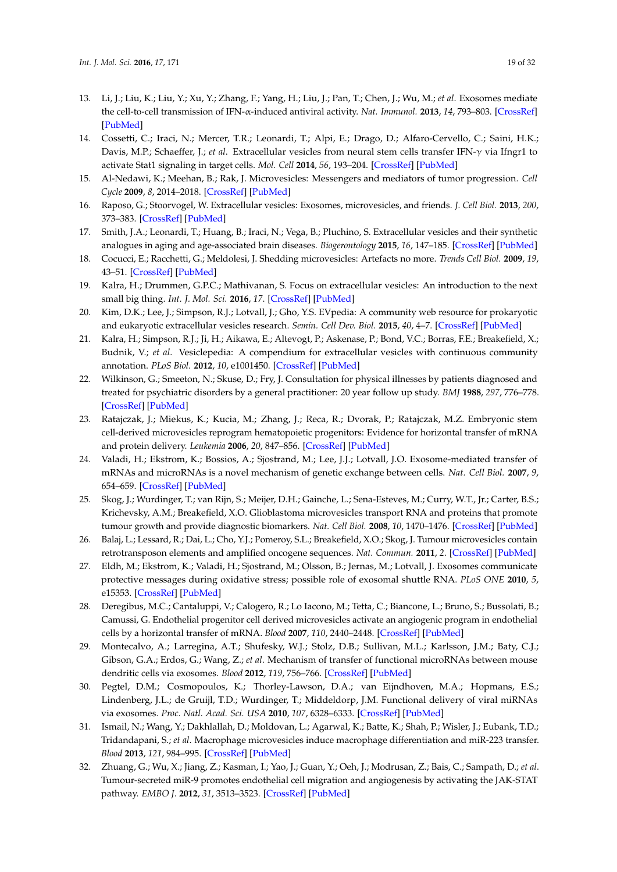- <span id="page-18-19"></span>13. Li, J.; Liu, K.; Liu, Y.; Xu, Y.; Zhang, F.; Yang, H.; Liu, J.; Pan, T.; Chen, J.; Wu, M.; *et al*. Exosomes mediate the cell-to-cell transmission of IFN-α-induced antiviral activity. *Nat. Immunol.* **2013**, *14*, 793–803. [\[CrossRef\]](http://dx.doi.org/10.1038/ni.2647) [\[PubMed\]](http://www.ncbi.nlm.nih.gov/pubmed/23832071)
- <span id="page-18-0"></span>14. Cossetti, C.; Iraci, N.; Mercer, T.R.; Leonardi, T.; Alpi, E.; Drago, D.; Alfaro-Cervello, C.; Saini, H.K.; Davis, M.P.; Schaeffer, J.; *et al*. Extracellular vesicles from neural stem cells transfer IFN-γ via Ifngr1 to activate Stat1 signaling in target cells. *Mol. Cell* **2014**, *56*, 193–204. [\[CrossRef\]](http://dx.doi.org/10.1016/j.molcel.2014.08.020) [\[PubMed\]](http://www.ncbi.nlm.nih.gov/pubmed/25242146)
- <span id="page-18-1"></span>15. Al-Nedawi, K.; Meehan, B.; Rak, J. Microvesicles: Messengers and mediators of tumor progression. *Cell Cycle* **2009**, *8*, 2014–2018. [\[CrossRef\]](http://dx.doi.org/10.4161/cc.8.13.8988) [\[PubMed\]](http://www.ncbi.nlm.nih.gov/pubmed/19535896)
- <span id="page-18-2"></span>16. Raposo, G.; Stoorvogel, W. Extracellular vesicles: Exosomes, microvesicles, and friends. *J. Cell Biol.* **2013**, *200*, 373–383. [\[CrossRef\]](http://dx.doi.org/10.1083/jcb.201211138) [\[PubMed\]](http://www.ncbi.nlm.nih.gov/pubmed/23420871)
- <span id="page-18-3"></span>17. Smith, J.A.; Leonardi, T.; Huang, B.; Iraci, N.; Vega, B.; Pluchino, S. Extracellular vesicles and their synthetic analogues in aging and age-associated brain diseases. *Biogerontology* **2015**, *16*, 147–185. [\[CrossRef\]](http://dx.doi.org/10.1007/s10522-014-9510-7) [\[PubMed\]](http://www.ncbi.nlm.nih.gov/pubmed/24973266)
- <span id="page-18-4"></span>18. Cocucci, E.; Racchetti, G.; Meldolesi, J. Shedding microvesicles: Artefacts no more. *Trends Cell Biol.* **2009**, *19*, 43–51. [\[CrossRef\]](http://dx.doi.org/10.1016/j.tcb.2008.11.003) [\[PubMed\]](http://www.ncbi.nlm.nih.gov/pubmed/19144520)
- <span id="page-18-5"></span>19. Kalra, H.; Drummen, G.P.C.; Mathivanan, S. Focus on extracellular vesicles: An introduction to the next small big thing. *Int. J. Mol. Sci.* **2016**, *17*. [\[CrossRef\]](http://dx.doi.org/10.3390/ijms17020170) [\[PubMed\]](http://www.ncbi.nlm.nih.gov/pubmed/26861301)
- <span id="page-18-6"></span>20. Kim, D.K.; Lee, J.; Simpson, R.J.; Lotvall, J.; Gho, Y.S. EVpedia: A community web resource for prokaryotic and eukaryotic extracellular vesicles research. *Semin. Cell Dev. Biol.* **2015**, *40*, 4–7. [\[CrossRef\]](http://dx.doi.org/10.1016/j.semcdb.2015.02.005) [\[PubMed\]](http://www.ncbi.nlm.nih.gov/pubmed/25704310)
- <span id="page-18-7"></span>21. Kalra, H.; Simpson, R.J.; Ji, H.; Aikawa, E.; Altevogt, P.; Askenase, P.; Bond, V.C.; Borras, F.E.; Breakefield, X.; Budnik, V.; *et al*. Vesiclepedia: A compendium for extracellular vesicles with continuous community annotation. *PLoS Biol.* **2012**, *10*, e1001450. [\[CrossRef\]](http://dx.doi.org/10.1371/journal.pbio.1001450) [\[PubMed\]](http://www.ncbi.nlm.nih.gov/pubmed/23271954)
- <span id="page-18-8"></span>22. Wilkinson, G.; Smeeton, N.; Skuse, D.; Fry, J. Consultation for physical illnesses by patients diagnosed and treated for psychiatric disorders by a general practitioner: 20 year follow up study. *BMJ* **1988**, *297*, 776–778. [\[CrossRef\]](http://dx.doi.org/10.1136/bmj.297.6651.776) [\[PubMed\]](http://www.ncbi.nlm.nih.gov/pubmed/3142546)
- <span id="page-18-9"></span>23. Ratajczak, J.; Miekus, K.; Kucia, M.; Zhang, J.; Reca, R.; Dvorak, P.; Ratajczak, M.Z. Embryonic stem cell-derived microvesicles reprogram hematopoietic progenitors: Evidence for horizontal transfer of mRNA and protein delivery. *Leukemia* **2006**, *20*, 847–856. [\[CrossRef\]](http://dx.doi.org/10.1038/sj.leu.2404132) [\[PubMed\]](http://www.ncbi.nlm.nih.gov/pubmed/16453000)
- <span id="page-18-10"></span>24. Valadi, H.; Ekstrom, K.; Bossios, A.; Sjostrand, M.; Lee, J.J.; Lotvall, J.O. Exosome-mediated transfer of mRNAs and microRNAs is a novel mechanism of genetic exchange between cells. *Nat. Cell Biol.* **2007**, *9*, 654–659. [\[CrossRef\]](http://dx.doi.org/10.1038/ncb1596) [\[PubMed\]](http://www.ncbi.nlm.nih.gov/pubmed/17486113)
- <span id="page-18-11"></span>25. Skog, J.; Wurdinger, T.; van Rijn, S.; Meijer, D.H.; Gainche, L.; Sena-Esteves, M.; Curry, W.T., Jr.; Carter, B.S.; Krichevsky, A.M.; Breakefield, X.O. Glioblastoma microvesicles transport RNA and proteins that promote tumour growth and provide diagnostic biomarkers. *Nat. Cell Biol.* **2008**, *10*, 1470–1476. [\[CrossRef\]](http://dx.doi.org/10.1038/ncb1800) [\[PubMed\]](http://www.ncbi.nlm.nih.gov/pubmed/19011622)
- <span id="page-18-17"></span>26. Balaj, L.; Lessard, R.; Dai, L.; Cho, Y.J.; Pomeroy, S.L.; Breakefield, X.O.; Skog, J. Tumour microvesicles contain retrotransposon elements and amplified oncogene sequences. *Nat. Commun.* **2011**, *2*. [\[CrossRef\]](http://dx.doi.org/10.1038/ncomms1180) [\[PubMed\]](http://www.ncbi.nlm.nih.gov/pubmed/21285958)
- <span id="page-18-18"></span>27. Eldh, M.; Ekstrom, K.; Valadi, H.; Sjostrand, M.; Olsson, B.; Jernas, M.; Lotvall, J. Exosomes communicate protective messages during oxidative stress; possible role of exosomal shuttle RNA. *PLoS ONE* **2010**, *5*, e15353. [\[CrossRef\]](http://dx.doi.org/10.1371/journal.pone.0015353) [\[PubMed\]](http://www.ncbi.nlm.nih.gov/pubmed/21179422)
- <span id="page-18-12"></span>28. Deregibus, M.C.; Cantaluppi, V.; Calogero, R.; Lo Iacono, M.; Tetta, C.; Biancone, L.; Bruno, S.; Bussolati, B.; Camussi, G. Endothelial progenitor cell derived microvesicles activate an angiogenic program in endothelial cells by a horizontal transfer of mRNA. *Blood* **2007**, *110*, 2440–2448. [\[CrossRef\]](http://dx.doi.org/10.1182/blood-2007-03-078709) [\[PubMed\]](http://www.ncbi.nlm.nih.gov/pubmed/17536014)
- <span id="page-18-13"></span>29. Montecalvo, A.; Larregina, A.T.; Shufesky, W.J.; Stolz, D.B.; Sullivan, M.L.; Karlsson, J.M.; Baty, C.J.; Gibson, G.A.; Erdos, G.; Wang, Z.; *et al*. Mechanism of transfer of functional microRNAs between mouse dendritic cells via exosomes. *Blood* **2012**, *119*, 756–766. [\[CrossRef\]](http://dx.doi.org/10.1182/blood-2011-02-338004) [\[PubMed\]](http://www.ncbi.nlm.nih.gov/pubmed/22031862)
- <span id="page-18-15"></span>30. Pegtel, D.M.; Cosmopoulos, K.; Thorley-Lawson, D.A.; van Eijndhoven, M.A.; Hopmans, E.S.; Lindenberg, J.L.; de Gruijl, T.D.; Wurdinger, T.; Middeldorp, J.M. Functional delivery of viral miRNAs via exosomes. *Proc. Natl. Acad. Sci. USA* **2010**, *107*, 6328–6333. [\[CrossRef\]](http://dx.doi.org/10.1073/pnas.0914843107) [\[PubMed\]](http://www.ncbi.nlm.nih.gov/pubmed/20304794)
- <span id="page-18-14"></span>31. Ismail, N.; Wang, Y.; Dakhlallah, D.; Moldovan, L.; Agarwal, K.; Batte, K.; Shah, P.; Wisler, J.; Eubank, T.D.; Tridandapani, S.; *et al*. Macrophage microvesicles induce macrophage differentiation and miR-223 transfer. *Blood* **2013**, *121*, 984–995. [\[CrossRef\]](http://dx.doi.org/10.1182/blood-2011-08-374793) [\[PubMed\]](http://www.ncbi.nlm.nih.gov/pubmed/23144169)
- <span id="page-18-16"></span>32. Zhuang, G.; Wu, X.; Jiang, Z.; Kasman, I.; Yao, J.; Guan, Y.; Oeh, J.; Modrusan, Z.; Bais, C.; Sampath, D.; *et al*. Tumour-secreted miR-9 promotes endothelial cell migration and angiogenesis by activating the JAK-STAT pathway. *EMBO J.* **2012**, *31*, 3513–3523. [\[CrossRef\]](http://dx.doi.org/10.1038/emboj.2012.183) [\[PubMed\]](http://www.ncbi.nlm.nih.gov/pubmed/22773185)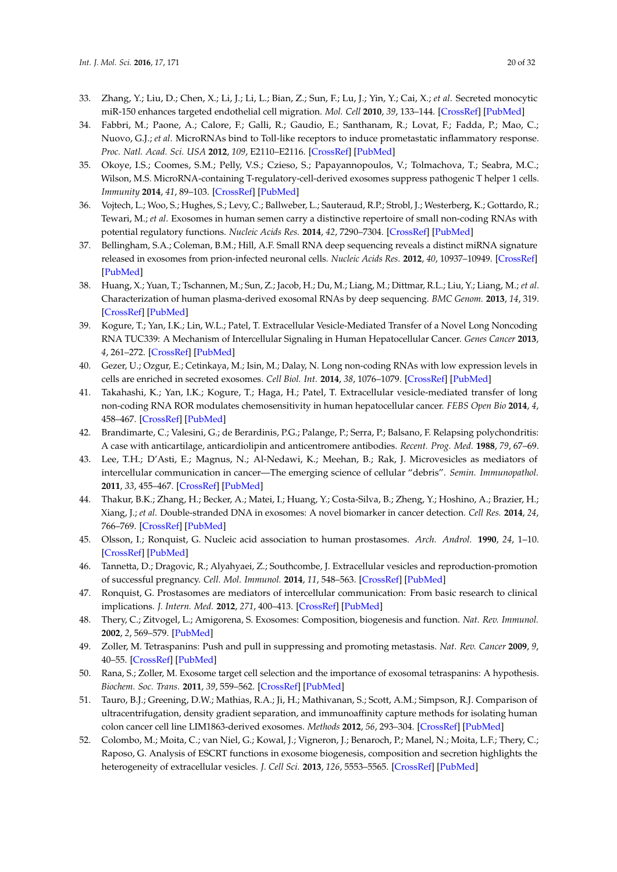- <span id="page-19-0"></span>33. Zhang, Y.; Liu, D.; Chen, X.; Li, J.; Li, L.; Bian, Z.; Sun, F.; Lu, J.; Yin, Y.; Cai, X.; *et al*. Secreted monocytic miR-150 enhances targeted endothelial cell migration. *Mol. Cell* **2010**, *39*, 133–144. [\[CrossRef\]](http://dx.doi.org/10.1016/j.molcel.2010.06.010) [\[PubMed\]](http://www.ncbi.nlm.nih.gov/pubmed/20603081)
- <span id="page-19-1"></span>34. Fabbri, M.; Paone, A.; Calore, F.; Galli, R.; Gaudio, E.; Santhanam, R.; Lovat, F.; Fadda, P.; Mao, C.; Nuovo, G.J.; *et al*. MicroRNAs bind to Toll-like receptors to induce prometastatic inflammatory response. *Proc. Natl. Acad. Sci. USA* **2012**, *109*, E2110–E2116. [\[CrossRef\]](http://dx.doi.org/10.1073/pnas.1209414109) [\[PubMed\]](http://www.ncbi.nlm.nih.gov/pubmed/22753494)
- <span id="page-19-2"></span>35. Okoye, I.S.; Coomes, S.M.; Pelly, V.S.; Czieso, S.; Papayannopoulos, V.; Tolmachova, T.; Seabra, M.C.; Wilson, M.S. MicroRNA-containing T-regulatory-cell-derived exosomes suppress pathogenic T helper 1 cells. *Immunity* **2014**, *41*, 89–103. [\[CrossRef\]](http://dx.doi.org/10.1016/j.immuni.2014.05.019) [\[PubMed\]](http://www.ncbi.nlm.nih.gov/pubmed/25035954)
- <span id="page-19-3"></span>36. Vojtech, L.; Woo, S.; Hughes, S.; Levy, C.; Ballweber, L.; Sauteraud, R.P.; Strobl, J.; Westerberg, K.; Gottardo, R.; Tewari, M.; *et al*. Exosomes in human semen carry a distinctive repertoire of small non-coding RNAs with potential regulatory functions. *Nucleic Acids Res.* **2014**, *42*, 7290–7304. [\[CrossRef\]](http://dx.doi.org/10.1093/nar/gku347) [\[PubMed\]](http://www.ncbi.nlm.nih.gov/pubmed/24838567)
- <span id="page-19-15"></span>37. Bellingham, S.A.; Coleman, B.M.; Hill, A.F. Small RNA deep sequencing reveals a distinct miRNA signature released in exosomes from prion-infected neuronal cells. *Nucleic Acids Res.* **2012**, *40*, 10937–10949. [\[CrossRef\]](http://dx.doi.org/10.1093/nar/gks832) [\[PubMed\]](http://www.ncbi.nlm.nih.gov/pubmed/22965126)
- 38. Huang, X.; Yuan, T.; Tschannen, M.; Sun, Z.; Jacob, H.; Du, M.; Liang, M.; Dittmar, R.L.; Liu, Y.; Liang, M.; *et al*. Characterization of human plasma-derived exosomal RNAs by deep sequencing. *BMC Genom.* **2013**, *14*, 319. [\[CrossRef\]](http://dx.doi.org/10.1186/1471-2164-14-319) [\[PubMed\]](http://www.ncbi.nlm.nih.gov/pubmed/23663360)
- 39. Kogure, T.; Yan, I.K.; Lin, W.L.; Patel, T. Extracellular Vesicle-Mediated Transfer of a Novel Long Noncoding RNA TUC339: A Mechanism of Intercellular Signaling in Human Hepatocellular Cancer. *Genes Cancer* **2013**, *4*, 261–272. [\[CrossRef\]](http://dx.doi.org/10.1177/1947601913499020) [\[PubMed\]](http://www.ncbi.nlm.nih.gov/pubmed/24167654)
- 40. Gezer, U.; Ozgur, E.; Cetinkaya, M.; Isin, M.; Dalay, N. Long non-coding RNAs with low expression levels in cells are enriched in secreted exosomes. *Cell Biol. Int.* **2014**, *38*, 1076–1079. [\[CrossRef\]](http://dx.doi.org/10.1002/cbin.10301) [\[PubMed\]](http://www.ncbi.nlm.nih.gov/pubmed/24798520)
- <span id="page-19-4"></span>41. Takahashi, K.; Yan, I.K.; Kogure, T.; Haga, H.; Patel, T. Extracellular vesicle-mediated transfer of long non-coding RNA ROR modulates chemosensitivity in human hepatocellular cancer. *FEBS Open Bio* **2014**, *4*, 458–467. [\[CrossRef\]](http://dx.doi.org/10.1016/j.fob.2014.04.007) [\[PubMed\]](http://www.ncbi.nlm.nih.gov/pubmed/24918061)
- <span id="page-19-5"></span>42. Brandimarte, C.; Valesini, G.; de Berardinis, P.G.; Palange, P.; Serra, P.; Balsano, F. Relapsing polychondritis: A case with anticartilage, anticardiolipin and anticentromere antibodies. *Recent. Prog. Med.* **1988**, *79*, 67–69.
- <span id="page-19-6"></span>43. Lee, T.H.; D'Asti, E.; Magnus, N.; Al-Nedawi, K.; Meehan, B.; Rak, J. Microvesicles as mediators of intercellular communication in cancer—The emerging science of cellular "debris". *Semin. Immunopathol.* **2011**, *33*, 455–467. [\[CrossRef\]](http://dx.doi.org/10.1007/s00281-011-0250-3) [\[PubMed\]](http://www.ncbi.nlm.nih.gov/pubmed/21318413)
- <span id="page-19-7"></span>44. Thakur, B.K.; Zhang, H.; Becker, A.; Matei, I.; Huang, Y.; Costa-Silva, B.; Zheng, Y.; Hoshino, A.; Brazier, H.; Xiang, J.; *et al*. Double-stranded DNA in exosomes: A novel biomarker in cancer detection. *Cell Res.* **2014**, *24*, 766–769. [\[CrossRef\]](http://dx.doi.org/10.1038/cr.2014.44) [\[PubMed\]](http://www.ncbi.nlm.nih.gov/pubmed/24710597)
- <span id="page-19-8"></span>45. Olsson, I.; Ronquist, G. Nucleic acid association to human prostasomes. *Arch. Androl.* **1990**, *24*, 1–10. [\[CrossRef\]](http://dx.doi.org/10.3109/01485019008986852) [\[PubMed\]](http://www.ncbi.nlm.nih.gov/pubmed/1691619)
- 46. Tannetta, D.; Dragovic, R.; Alyahyaei, Z.; Southcombe, J. Extracellular vesicles and reproduction-promotion of successful pregnancy. *Cell. Mol. Immunol.* **2014**, *11*, 548–563. [\[CrossRef\]](http://dx.doi.org/10.1038/cmi.2014.42) [\[PubMed\]](http://www.ncbi.nlm.nih.gov/pubmed/24954226)
- <span id="page-19-9"></span>47. Ronquist, G. Prostasomes are mediators of intercellular communication: From basic research to clinical implications. *J. Intern. Med.* **2012**, *271*, 400–413. [\[CrossRef\]](http://dx.doi.org/10.1111/j.1365-2796.2011.02487.x) [\[PubMed\]](http://www.ncbi.nlm.nih.gov/pubmed/22112042)
- <span id="page-19-10"></span>48. Thery, C.; Zitvogel, L.; Amigorena, S. Exosomes: Composition, biogenesis and function. *Nat. Rev. Immunol.* **2002**, *2*, 569–579. [\[PubMed\]](http://www.ncbi.nlm.nih.gov/pubmed/12154376)
- <span id="page-19-11"></span>49. Zoller, M. Tetraspanins: Push and pull in suppressing and promoting metastasis. *Nat. Rev. Cancer* **2009**, *9*, 40–55. [\[CrossRef\]](http://dx.doi.org/10.1038/nrc2543) [\[PubMed\]](http://www.ncbi.nlm.nih.gov/pubmed/19078974)
- <span id="page-19-12"></span>50. Rana, S.; Zoller, M. Exosome target cell selection and the importance of exosomal tetraspanins: A hypothesis. *Biochem. Soc. Trans.* **2011**, *39*, 559–562. [\[CrossRef\]](http://dx.doi.org/10.1042/BST0390559) [\[PubMed\]](http://www.ncbi.nlm.nih.gov/pubmed/21428939)
- <span id="page-19-13"></span>51. Tauro, B.J.; Greening, D.W.; Mathias, R.A.; Ji, H.; Mathivanan, S.; Scott, A.M.; Simpson, R.J. Comparison of ultracentrifugation, density gradient separation, and immunoaffinity capture methods for isolating human colon cancer cell line LIM1863-derived exosomes. *Methods* **2012**, *56*, 293–304. [\[CrossRef\]](http://dx.doi.org/10.1016/j.ymeth.2012.01.002) [\[PubMed\]](http://www.ncbi.nlm.nih.gov/pubmed/22285593)
- <span id="page-19-14"></span>52. Colombo, M.; Moita, C.; van Niel, G.; Kowal, J.; Vigneron, J.; Benaroch, P.; Manel, N.; Moita, L.F.; Thery, C.; Raposo, G. Analysis of ESCRT functions in exosome biogenesis, composition and secretion highlights the heterogeneity of extracellular vesicles. *J. Cell Sci.* **2013**, *126*, 5553–5565. [\[CrossRef\]](http://dx.doi.org/10.1242/jcs.128868) [\[PubMed\]](http://www.ncbi.nlm.nih.gov/pubmed/24105262)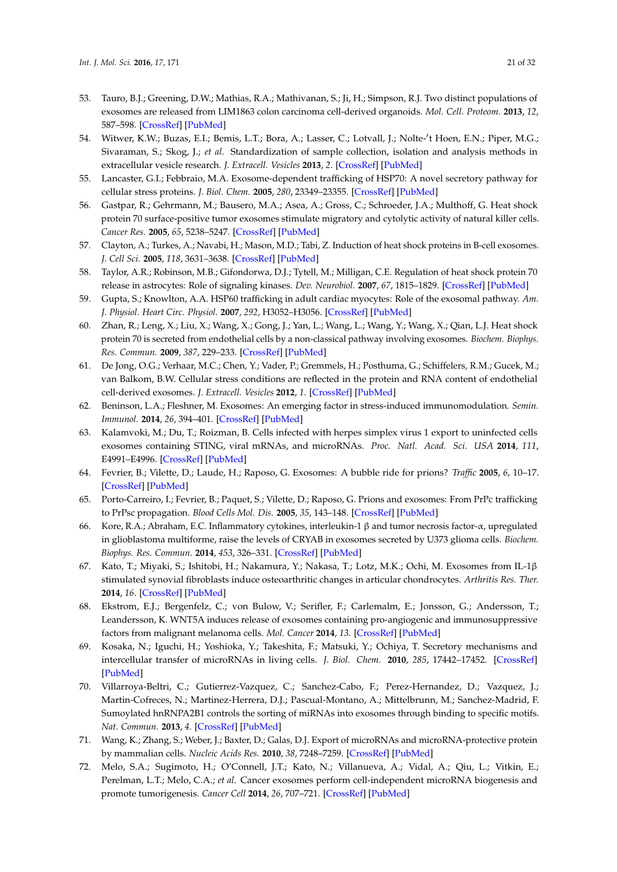- <span id="page-20-0"></span>53. Tauro, B.J.; Greening, D.W.; Mathias, R.A.; Mathivanan, S.; Ji, H.; Simpson, R.J. Two distinct populations of exosomes are released from LIM1863 colon carcinoma cell-derived organoids. *Mol. Cell. Proteom.* **2013**, *12*, 587–598. [\[CrossRef\]](http://dx.doi.org/10.1074/mcp.M112.021303) [\[PubMed\]](http://www.ncbi.nlm.nih.gov/pubmed/23230278)
- <span id="page-20-1"></span>54. Witwer, K.W.; Buzas, E.I.; Bemis, L.T.; Bora, A.; Lasser, C.; Lotvall, J.; Nolte-'t Hoen, E.N.; Piper, M.G.; Sivaraman, S.; Skog, J.; *et al*. Standardization of sample collection, isolation and analysis methods in extracellular vesicle research. *J. Extracell. Vesicles* **2013**, *2*. [\[CrossRef\]](http://dx.doi.org/10.3402/jev.v2i0.20360) [\[PubMed\]](http://www.ncbi.nlm.nih.gov/pubmed/24009894)
- <span id="page-20-2"></span>55. Lancaster, G.I.; Febbraio, M.A. Exosome-dependent trafficking of HSP70: A novel secretory pathway for cellular stress proteins. *J. Biol. Chem.* **2005**, *280*, 23349–23355. [\[CrossRef\]](http://dx.doi.org/10.1074/jbc.M502017200) [\[PubMed\]](http://www.ncbi.nlm.nih.gov/pubmed/15826944)
- 56. Gastpar, R.; Gehrmann, M.; Bausero, M.A.; Asea, A.; Gross, C.; Schroeder, J.A.; Multhoff, G. Heat shock protein 70 surface-positive tumor exosomes stimulate migratory and cytolytic activity of natural killer cells. *Cancer Res.* **2005**, *65*, 5238–5247. [\[CrossRef\]](http://dx.doi.org/10.1158/0008-5472.CAN-04-3804) [\[PubMed\]](http://www.ncbi.nlm.nih.gov/pubmed/15958569)
- 57. Clayton, A.; Turkes, A.; Navabi, H.; Mason, M.D.; Tabi, Z. Induction of heat shock proteins in B-cell exosomes. *J. Cell Sci.* **2005**, *118*, 3631–3638. [\[CrossRef\]](http://dx.doi.org/10.1242/jcs.02494) [\[PubMed\]](http://www.ncbi.nlm.nih.gov/pubmed/16046478)
- 58. Taylor, A.R.; Robinson, M.B.; Gifondorwa, D.J.; Tytell, M.; Milligan, C.E. Regulation of heat shock protein 70 release in astrocytes: Role of signaling kinases. *Dev. Neurobiol.* **2007**, *67*, 1815–1829. [\[CrossRef\]](http://dx.doi.org/10.1002/dneu.20559) [\[PubMed\]](http://www.ncbi.nlm.nih.gov/pubmed/17701989)
- 59. Gupta, S.; Knowlton, A.A. HSP60 trafficking in adult cardiac myocytes: Role of the exosomal pathway. *Am. J. Physiol. Heart Circ. Physiol.* **2007**, *292*, H3052–H3056. [\[CrossRef\]](http://dx.doi.org/10.1152/ajpheart.01355.2006) [\[PubMed\]](http://www.ncbi.nlm.nih.gov/pubmed/17307989)
- 60. Zhan, R.; Leng, X.; Liu, X.; Wang, X.; Gong, J.; Yan, L.; Wang, L.; Wang, Y.; Wang, X.; Qian, L.J. Heat shock protein 70 is secreted from endothelial cells by a non-classical pathway involving exosomes. *Biochem. Biophys. Res. Commun.* **2009**, *387*, 229–233. [\[CrossRef\]](http://dx.doi.org/10.1016/j.bbrc.2009.06.095) [\[PubMed\]](http://www.ncbi.nlm.nih.gov/pubmed/19555663)
- <span id="page-20-7"></span>61. De Jong, O.G.; Verhaar, M.C.; Chen, Y.; Vader, P.; Gremmels, H.; Posthuma, G.; Schiffelers, R.M.; Gucek, M.; van Balkom, B.W. Cellular stress conditions are reflected in the protein and RNA content of endothelial cell-derived exosomes. *J. Extracell. Vesicles* **2012**, *1*. [\[CrossRef\]](http://dx.doi.org/10.3402/jev.v1i0.18396) [\[PubMed\]](http://www.ncbi.nlm.nih.gov/pubmed/24009886)
- <span id="page-20-3"></span>62. Beninson, L.A.; Fleshner, M. Exosomes: An emerging factor in stress-induced immunomodulation. *Semin. Immunol.* **2014**, *26*, 394–401. [\[CrossRef\]](http://dx.doi.org/10.1016/j.smim.2013.12.001) [\[PubMed\]](http://www.ncbi.nlm.nih.gov/pubmed/24405946)
- <span id="page-20-4"></span>63. Kalamvoki, M.; Du, T.; Roizman, B. Cells infected with herpes simplex virus 1 export to uninfected cells exosomes containing STING, viral mRNAs, and microRNAs. *Proc. Natl. Acad. Sci. USA* **2014**, *111*, E4991–E4996. [\[CrossRef\]](http://dx.doi.org/10.1073/pnas.1419338111) [\[PubMed\]](http://www.ncbi.nlm.nih.gov/pubmed/25368198)
- <span id="page-20-5"></span>64. Fevrier, B.; Vilette, D.; Laude, H.; Raposo, G. Exosomes: A bubble ride for prions? *Traffic* **2005**, *6*, 10–17. [\[CrossRef\]](http://dx.doi.org/10.1111/j.1600-0854.2004.00247.x) [\[PubMed\]](http://www.ncbi.nlm.nih.gov/pubmed/15569241)
- <span id="page-20-6"></span>65. Porto-Carreiro, I.; Fevrier, B.; Paquet, S.; Vilette, D.; Raposo, G. Prions and exosomes: From PrPc trafficking to PrPsc propagation. *Blood Cells Mol. Dis.* **2005**, *35*, 143–148. [\[CrossRef\]](http://dx.doi.org/10.1016/j.bcmd.2005.06.013) [\[PubMed\]](http://www.ncbi.nlm.nih.gov/pubmed/16099696)
- <span id="page-20-8"></span>66. Kore, R.A.; Abraham, E.C. Inflammatory cytokines, interleukin-1 β and tumor necrosis factor-α, upregulated in glioblastoma multiforme, raise the levels of CRYAB in exosomes secreted by U373 glioma cells. *Biochem. Biophys. Res. Commun.* **2014**, *453*, 326–331. [\[CrossRef\]](http://dx.doi.org/10.1016/j.bbrc.2014.09.068) [\[PubMed\]](http://www.ncbi.nlm.nih.gov/pubmed/25261722)
- 67. Kato, T.; Miyaki, S.; Ishitobi, H.; Nakamura, Y.; Nakasa, T.; Lotz, M.K.; Ochi, M. Exosomes from IL-1β stimulated synovial fibroblasts induce osteoarthritic changes in articular chondrocytes. *Arthritis Res. Ther.* **2014**, *16*. [\[CrossRef\]](http://dx.doi.org/10.1186/ar4679) [\[PubMed\]](http://www.ncbi.nlm.nih.gov/pubmed/25092378)
- <span id="page-20-9"></span>68. Ekstrom, E.J.; Bergenfelz, C.; von Bulow, V.; Serifler, F.; Carlemalm, E.; Jonsson, G.; Andersson, T.; Leandersson, K. WNT5A induces release of exosomes containing pro-angiogenic and immunosuppressive factors from malignant melanoma cells. *Mol. Cancer* **2014**, *13*. [\[CrossRef\]](http://dx.doi.org/10.1186/1476-4598-13-88) [\[PubMed\]](http://www.ncbi.nlm.nih.gov/pubmed/24766647)
- <span id="page-20-10"></span>69. Kosaka, N.; Iguchi, H.; Yoshioka, Y.; Takeshita, F.; Matsuki, Y.; Ochiya, T. Secretory mechanisms and intercellular transfer of microRNAs in living cells. *J. Biol. Chem.* **2010**, *285*, 17442–17452. [\[CrossRef\]](http://dx.doi.org/10.1074/jbc.M110.107821) [\[PubMed\]](http://www.ncbi.nlm.nih.gov/pubmed/20353945)
- <span id="page-20-11"></span>70. Villarroya-Beltri, C.; Gutierrez-Vazquez, C.; Sanchez-Cabo, F.; Perez-Hernandez, D.; Vazquez, J.; Martin-Cofreces, N.; Martinez-Herrera, D.J.; Pascual-Montano, A.; Mittelbrunn, M.; Sanchez-Madrid, F. Sumoylated hnRNPA2B1 controls the sorting of miRNAs into exosomes through binding to specific motifs. *Nat. Commun.* **2013**, *4*. [\[CrossRef\]](http://dx.doi.org/10.1038/ncomms3980) [\[PubMed\]](http://www.ncbi.nlm.nih.gov/pubmed/24356509)
- <span id="page-20-13"></span>71. Wang, K.; Zhang, S.; Weber, J.; Baxter, D.; Galas, D.J. Export of microRNAs and microRNA-protective protein by mammalian cells. *Nucleic Acids Res.* **2010**, *38*, 7248–7259. [\[CrossRef\]](http://dx.doi.org/10.1093/nar/gkq601) [\[PubMed\]](http://www.ncbi.nlm.nih.gov/pubmed/20615901)
- <span id="page-20-12"></span>72. Melo, S.A.; Sugimoto, H.; O'Connell, J.T.; Kato, N.; Villanueva, A.; Vidal, A.; Qiu, L.; Vitkin, E.; Perelman, L.T.; Melo, C.A.; *et al*. Cancer exosomes perform cell-independent microRNA biogenesis and promote tumorigenesis. *Cancer Cell* **2014**, *26*, 707–721. [\[CrossRef\]](http://dx.doi.org/10.1016/j.ccell.2014.09.005) [\[PubMed\]](http://www.ncbi.nlm.nih.gov/pubmed/25446899)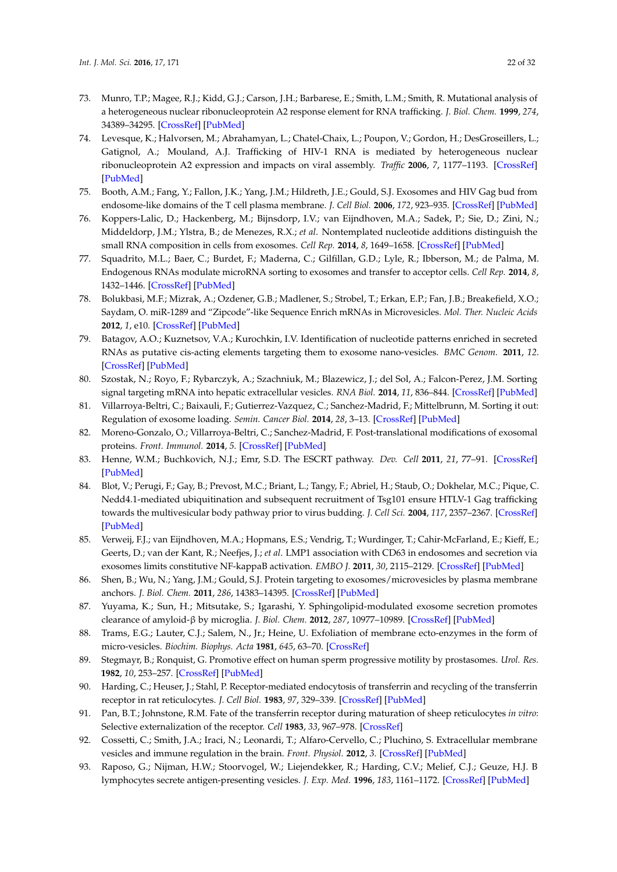- <span id="page-21-0"></span>73. Munro, T.P.; Magee, R.J.; Kidd, G.J.; Carson, J.H.; Barbarese, E.; Smith, L.M.; Smith, R. Mutational analysis of a heterogeneous nuclear ribonucleoprotein A2 response element for RNA trafficking. *J. Biol. Chem.* **1999**, *274*, 34389–34295. [\[CrossRef\]](http://dx.doi.org/10.1074/jbc.274.48.34389) [\[PubMed\]](http://www.ncbi.nlm.nih.gov/pubmed/10567417)
- <span id="page-21-1"></span>74. Levesque, K.; Halvorsen, M.; Abrahamyan, L.; Chatel-Chaix, L.; Poupon, V.; Gordon, H.; DesGroseillers, L.; Gatignol, A.; Mouland, A.J. Trafficking of HIV-1 RNA is mediated by heterogeneous nuclear ribonucleoprotein A2 expression and impacts on viral assembly. *Traffic* **2006**, *7*, 1177–1193. [\[CrossRef\]](http://dx.doi.org/10.1111/j.1600-0854.2006.00461.x) [\[PubMed\]](http://www.ncbi.nlm.nih.gov/pubmed/17004321)
- <span id="page-21-2"></span>75. Booth, A.M.; Fang, Y.; Fallon, J.K.; Yang, J.M.; Hildreth, J.E.; Gould, S.J. Exosomes and HIV Gag bud from endosome-like domains of the T cell plasma membrane. *J. Cell Biol.* **2006**, *172*, 923–935. [\[CrossRef\]](http://dx.doi.org/10.1083/jcb.200508014) [\[PubMed\]](http://www.ncbi.nlm.nih.gov/pubmed/16533950)
- <span id="page-21-3"></span>76. Koppers-Lalic, D.; Hackenberg, M.; Bijnsdorp, I.V.; van Eijndhoven, M.A.; Sadek, P.; Sie, D.; Zini, N.; Middeldorp, J.M.; Ylstra, B.; de Menezes, R.X.; *et al*. Nontemplated nucleotide additions distinguish the small RNA composition in cells from exosomes. *Cell Rep.* **2014**, *8*, 1649–1658. [\[CrossRef\]](http://dx.doi.org/10.1016/j.celrep.2014.08.027) [\[PubMed\]](http://www.ncbi.nlm.nih.gov/pubmed/25242326)
- <span id="page-21-5"></span>77. Squadrito, M.L.; Baer, C.; Burdet, F.; Maderna, C.; Gilfillan, G.D.; Lyle, R.; Ibberson, M.; de Palma, M. Endogenous RNAs modulate microRNA sorting to exosomes and transfer to acceptor cells. *Cell Rep.* **2014**, *8*, 1432–1446. [\[CrossRef\]](http://dx.doi.org/10.1016/j.celrep.2014.07.035) [\[PubMed\]](http://www.ncbi.nlm.nih.gov/pubmed/25159140)
- <span id="page-21-4"></span>78. Bolukbasi, M.F.; Mizrak, A.; Ozdener, G.B.; Madlener, S.; Strobel, T.; Erkan, E.P.; Fan, J.B.; Breakefield, X.O.; Saydam, O. miR-1289 and "Zipcode"-like Sequence Enrich mRNAs in Microvesicles. *Mol. Ther. Nucleic Acids* **2012**, *1*, e10. [\[CrossRef\]](http://dx.doi.org/10.1038/mtna.2011.2) [\[PubMed\]](http://www.ncbi.nlm.nih.gov/pubmed/23344721)
- <span id="page-21-6"></span>79. Batagov, A.O.; Kuznetsov, V.A.; Kurochkin, I.V. Identification of nucleotide patterns enriched in secreted RNAs as putative cis-acting elements targeting them to exosome nano-vesicles. *BMC Genom.* **2011**, *12*. [\[CrossRef\]](http://dx.doi.org/10.1186/1471-2164-12-S3-S18) [\[PubMed\]](http://www.ncbi.nlm.nih.gov/pubmed/22369587)
- <span id="page-21-7"></span>80. Szostak, N.; Royo, F.; Rybarczyk, A.; Szachniuk, M.; Blazewicz, J.; del Sol, A.; Falcon-Perez, J.M. Sorting signal targeting mRNA into hepatic extracellular vesicles. *RNA Biol.* **2014**, *11*, 836–844. [\[CrossRef\]](http://dx.doi.org/10.4161/rna.29305) [\[PubMed\]](http://www.ncbi.nlm.nih.gov/pubmed/24921245)
- <span id="page-21-8"></span>81. Villarroya-Beltri, C.; Baixauli, F.; Gutierrez-Vazquez, C.; Sanchez-Madrid, F.; Mittelbrunn, M. Sorting it out: Regulation of exosome loading. *Semin. Cancer Biol.* **2014**, *28*, 3–13. [\[CrossRef\]](http://dx.doi.org/10.1016/j.semcancer.2014.04.009) [\[PubMed\]](http://www.ncbi.nlm.nih.gov/pubmed/24769058)
- <span id="page-21-9"></span>82. Moreno-Gonzalo, O.; Villarroya-Beltri, C.; Sanchez-Madrid, F. Post-translational modifications of exosomal proteins. *Front. Immunol.* **2014**, *5*. [\[CrossRef\]](http://dx.doi.org/10.3389/fimmu.2014.00383) [\[PubMed\]](http://www.ncbi.nlm.nih.gov/pubmed/25157254)
- <span id="page-21-10"></span>83. Henne, W.M.; Buchkovich, N.J.; Emr, S.D. The ESCRT pathway. *Dev. Cell* **2011**, *21*, 77–91. [\[CrossRef\]](http://dx.doi.org/10.1016/j.devcel.2011.05.015) [\[PubMed\]](http://www.ncbi.nlm.nih.gov/pubmed/21763610)
- <span id="page-21-11"></span>84. Blot, V.; Perugi, F.; Gay, B.; Prevost, M.C.; Briant, L.; Tangy, F.; Abriel, H.; Staub, O.; Dokhelar, M.C.; Pique, C. Nedd4.1-mediated ubiquitination and subsequent recruitment of Tsg101 ensure HTLV-1 Gag trafficking towards the multivesicular body pathway prior to virus budding. *J. Cell Sci.* **2004**, *117*, 2357–2367. [\[CrossRef\]](http://dx.doi.org/10.1242/jcs.01095) [\[PubMed\]](http://www.ncbi.nlm.nih.gov/pubmed/15126635)
- <span id="page-21-12"></span>85. Verweij, F.J.; van Eijndhoven, M.A.; Hopmans, E.S.; Vendrig, T.; Wurdinger, T.; Cahir-McFarland, E.; Kieff, E.; Geerts, D.; van der Kant, R.; Neefjes, J.; *et al*. LMP1 association with CD63 in endosomes and secretion via exosomes limits constitutive NF-kappaB activation. *EMBO J.* **2011**, *30*, 2115–2129. [\[CrossRef\]](http://dx.doi.org/10.1038/emboj.2011.123) [\[PubMed\]](http://www.ncbi.nlm.nih.gov/pubmed/21527913)
- <span id="page-21-13"></span>86. Shen, B.; Wu, N.; Yang, J.M.; Gould, S.J. Protein targeting to exosomes/microvesicles by plasma membrane anchors. *J. Biol. Chem.* **2011**, *286*, 14383–14395. [\[CrossRef\]](http://dx.doi.org/10.1074/jbc.M110.208660) [\[PubMed\]](http://www.ncbi.nlm.nih.gov/pubmed/21300796)
- <span id="page-21-14"></span>87. Yuyama, K.; Sun, H.; Mitsutake, S.; Igarashi, Y. Sphingolipid-modulated exosome secretion promotes clearance of amyloid-β by microglia. *J. Biol. Chem.* **2012**, *287*, 10977–10989. [\[CrossRef\]](http://dx.doi.org/10.1074/jbc.M111.324616) [\[PubMed\]](http://www.ncbi.nlm.nih.gov/pubmed/22303002)
- <span id="page-21-15"></span>88. Trams, E.G.; Lauter, C.J.; Salem, N., Jr.; Heine, U. Exfoliation of membrane ecto-enzymes in the form of micro-vesicles. *Biochim. Biophys. Acta* **1981**, *645*, 63–70. [\[CrossRef\]](http://dx.doi.org/10.1016/0005-2736(81)90512-5)
- <span id="page-21-16"></span>89. Stegmayr, B.; Ronquist, G. Promotive effect on human sperm progressive motility by prostasomes. *Urol. Res.* **1982**, *10*, 253–257. [\[CrossRef\]](http://dx.doi.org/10.1007/BF00255932) [\[PubMed\]](http://www.ncbi.nlm.nih.gov/pubmed/6219486)
- <span id="page-21-17"></span>90. Harding, C.; Heuser, J.; Stahl, P. Receptor-mediated endocytosis of transferrin and recycling of the transferrin receptor in rat reticulocytes. *J. Cell Biol.* **1983**, *97*, 329–339. [\[CrossRef\]](http://dx.doi.org/10.1083/jcb.97.2.329) [\[PubMed\]](http://www.ncbi.nlm.nih.gov/pubmed/6309857)
- <span id="page-21-18"></span>91. Pan, B.T.; Johnstone, R.M. Fate of the transferrin receptor during maturation of sheep reticulocytes *in vitro*: Selective externalization of the receptor. *Cell* **1983**, *33*, 967–978. [\[CrossRef\]](http://dx.doi.org/10.1016/0092-8674(83)90040-5)
- <span id="page-21-19"></span>92. Cossetti, C.; Smith, J.A.; Iraci, N.; Leonardi, T.; Alfaro-Cervello, C.; Pluchino, S. Extracellular membrane vesicles and immune regulation in the brain. *Front. Physiol.* **2012**, *3*. [\[CrossRef\]](http://dx.doi.org/10.3389/fphys.2012.00117) [\[PubMed\]](http://www.ncbi.nlm.nih.gov/pubmed/22557978)
- <span id="page-21-20"></span>93. Raposo, G.; Nijman, H.W.; Stoorvogel, W.; Liejendekker, R.; Harding, C.V.; Melief, C.J.; Geuze, H.J. B lymphocytes secrete antigen-presenting vesicles. *J. Exp. Med.* **1996**, *183*, 1161–1172. [\[CrossRef\]](http://dx.doi.org/10.1084/jem.183.3.1161) [\[PubMed\]](http://www.ncbi.nlm.nih.gov/pubmed/8642258)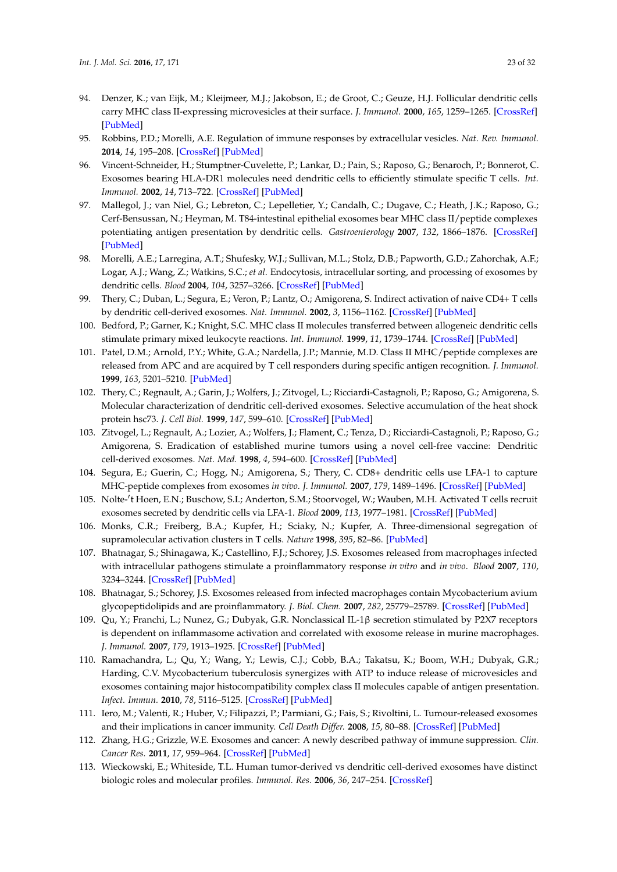- <span id="page-22-0"></span>94. Denzer, K.; van Eijk, M.; Kleijmeer, M.J.; Jakobson, E.; de Groot, C.; Geuze, H.J. Follicular dendritic cells carry MHC class II-expressing microvesicles at their surface. *J. Immunol.* **2000**, *165*, 1259–1265. [\[CrossRef\]](http://dx.doi.org/10.4049/jimmunol.165.3.1259) [\[PubMed\]](http://www.ncbi.nlm.nih.gov/pubmed/10903724)
- <span id="page-22-1"></span>95. Robbins, P.D.; Morelli, A.E. Regulation of immune responses by extracellular vesicles. *Nat. Rev. Immunol.* **2014**, *14*, 195–208. [\[CrossRef\]](http://dx.doi.org/10.1038/nri3622) [\[PubMed\]](http://www.ncbi.nlm.nih.gov/pubmed/24566916)
- <span id="page-22-2"></span>96. Vincent-Schneider, H.; Stumptner-Cuvelette, P.; Lankar, D.; Pain, S.; Raposo, G.; Benaroch, P.; Bonnerot, C. Exosomes bearing HLA-DR1 molecules need dendritic cells to efficiently stimulate specific T cells. *Int. Immunol.* **2002**, *14*, 713–722. [\[CrossRef\]](http://dx.doi.org/10.1093/intimm/dxf048) [\[PubMed\]](http://www.ncbi.nlm.nih.gov/pubmed/12096030)
- 97. Mallegol, J.; van Niel, G.; Lebreton, C.; Lepelletier, Y.; Candalh, C.; Dugave, C.; Heath, J.K.; Raposo, G.; Cerf-Bensussan, N.; Heyman, M. T84-intestinal epithelial exosomes bear MHC class II/peptide complexes potentiating antigen presentation by dendritic cells. *Gastroenterology* **2007**, *132*, 1866–1876. [\[CrossRef\]](http://dx.doi.org/10.1053/j.gastro.2007.02.043) [\[PubMed\]](http://www.ncbi.nlm.nih.gov/pubmed/17484880)
- 98. Morelli, A.E.; Larregina, A.T.; Shufesky, W.J.; Sullivan, M.L.; Stolz, D.B.; Papworth, G.D.; Zahorchak, A.F.; Logar, A.J.; Wang, Z.; Watkins, S.C.; *et al*. Endocytosis, intracellular sorting, and processing of exosomes by dendritic cells. *Blood* **2004**, *104*, 3257–3266. [\[CrossRef\]](http://dx.doi.org/10.1182/blood-2004-03-0824) [\[PubMed\]](http://www.ncbi.nlm.nih.gov/pubmed/15284116)
- 99. Thery, C.; Duban, L.; Segura, E.; Veron, P.; Lantz, O.; Amigorena, S. Indirect activation of naive CD4+ T cells by dendritic cell-derived exosomes. *Nat. Immunol.* **2002**, *3*, 1156–1162. [\[CrossRef\]](http://dx.doi.org/10.1038/ni854) [\[PubMed\]](http://www.ncbi.nlm.nih.gov/pubmed/12426563)
- 100. Bedford, P.; Garner, K.; Knight, S.C. MHC class II molecules transferred between allogeneic dendritic cells stimulate primary mixed leukocyte reactions. *Int. Immunol.* **1999**, *11*, 1739–1744. [\[CrossRef\]](http://dx.doi.org/10.1093/intimm/11.11.1739) [\[PubMed\]](http://www.ncbi.nlm.nih.gov/pubmed/10545477)
- 101. Patel, D.M.; Arnold, P.Y.; White, G.A.; Nardella, J.P.; Mannie, M.D. Class II MHC/peptide complexes are released from APC and are acquired by T cell responders during specific antigen recognition. *J. Immunol.* **1999**, *163*, 5201–5210. [\[PubMed\]](http://www.ncbi.nlm.nih.gov/pubmed/10553040)
- <span id="page-22-12"></span>102. Thery, C.; Regnault, A.; Garin, J.; Wolfers, J.; Zitvogel, L.; Ricciardi-Castagnoli, P.; Raposo, G.; Amigorena, S. Molecular characterization of dendritic cell-derived exosomes. Selective accumulation of the heat shock protein hsc73. *J. Cell Biol.* **1999**, *147*, 599–610. [\[CrossRef\]](http://dx.doi.org/10.1083/jcb.147.3.599) [\[PubMed\]](http://www.ncbi.nlm.nih.gov/pubmed/10545503)
- <span id="page-22-3"></span>103. Zitvogel, L.; Regnault, A.; Lozier, A.; Wolfers, J.; Flament, C.; Tenza, D.; Ricciardi-Castagnoli, P.; Raposo, G.; Amigorena, S. Eradication of established murine tumors using a novel cell-free vaccine: Dendritic cell-derived exosomes. *Nat. Med.* **1998**, *4*, 594–600. [\[CrossRef\]](http://dx.doi.org/10.1038/nm0598-594) [\[PubMed\]](http://www.ncbi.nlm.nih.gov/pubmed/9585234)
- <span id="page-22-4"></span>104. Segura, E.; Guerin, C.; Hogg, N.; Amigorena, S.; Thery, C. CD8+ dendritic cells use LFA-1 to capture MHC-peptide complexes from exosomes *in vivo*. *J. Immunol.* **2007**, *179*, 1489–1496. [\[CrossRef\]](http://dx.doi.org/10.4049/jimmunol.179.3.1489) [\[PubMed\]](http://www.ncbi.nlm.nih.gov/pubmed/17641014)
- <span id="page-22-5"></span>105. Nolte-'t Hoen, E.N.; Buschow, S.I.; Anderton, S.M.; Stoorvogel, W.; Wauben, M.H. Activated T cells recruit exosomes secreted by dendritic cells via LFA-1. *Blood* **2009**, *113*, 1977–1981. [\[CrossRef\]](http://dx.doi.org/10.1182/blood-2008-08-174094) [\[PubMed\]](http://www.ncbi.nlm.nih.gov/pubmed/19064723)
- <span id="page-22-6"></span>106. Monks, C.R.; Freiberg, B.A.; Kupfer, H.; Sciaky, N.; Kupfer, A. Three-dimensional segregation of supramolecular activation clusters in T cells. *Nature* **1998**, *395*, 82–86. [\[PubMed\]](http://www.ncbi.nlm.nih.gov/pubmed/9738502)
- <span id="page-22-7"></span>107. Bhatnagar, S.; Shinagawa, K.; Castellino, F.J.; Schorey, J.S. Exosomes released from macrophages infected with intracellular pathogens stimulate a proinflammatory response *in vitro* and *in vivo*. *Blood* **2007**, *110*, 3234–3244. [\[CrossRef\]](http://dx.doi.org/10.1182/blood-2007-03-079152) [\[PubMed\]](http://www.ncbi.nlm.nih.gov/pubmed/17666571)
- <span id="page-22-8"></span>108. Bhatnagar, S.; Schorey, J.S. Exosomes released from infected macrophages contain Mycobacterium avium glycopeptidolipids and are proinflammatory. *J. Biol. Chem.* **2007**, *282*, 25779–25789. [\[CrossRef\]](http://dx.doi.org/10.1074/jbc.M702277200) [\[PubMed\]](http://www.ncbi.nlm.nih.gov/pubmed/17591775)
- <span id="page-22-9"></span>109. Qu, Y.; Franchi, L.; Nunez, G.; Dubyak, G.R. Nonclassical IL-1β secretion stimulated by P2X7 receptors is dependent on inflammasome activation and correlated with exosome release in murine macrophages. *J. Immunol.* **2007**, *179*, 1913–1925. [\[CrossRef\]](http://dx.doi.org/10.4049/jimmunol.179.3.1913) [\[PubMed\]](http://www.ncbi.nlm.nih.gov/pubmed/17641058)
- <span id="page-22-10"></span>110. Ramachandra, L.; Qu, Y.; Wang, Y.; Lewis, C.J.; Cobb, B.A.; Takatsu, K.; Boom, W.H.; Dubyak, G.R.; Harding, C.V. Mycobacterium tuberculosis synergizes with ATP to induce release of microvesicles and exosomes containing major histocompatibility complex class II molecules capable of antigen presentation. *Infect. Immun.* **2010**, *78*, 5116–5125. [\[CrossRef\]](http://dx.doi.org/10.1128/IAI.01089-09) [\[PubMed\]](http://www.ncbi.nlm.nih.gov/pubmed/20837713)
- <span id="page-22-11"></span>111. Iero, M.; Valenti, R.; Huber, V.; Filipazzi, P.; Parmiani, G.; Fais, S.; Rivoltini, L. Tumour-released exosomes and their implications in cancer immunity. *Cell Death Differ.* **2008**, *15*, 80–88. [\[CrossRef\]](http://dx.doi.org/10.1038/sj.cdd.4402237) [\[PubMed\]](http://www.ncbi.nlm.nih.gov/pubmed/17932500)
- 112. Zhang, H.G.; Grizzle, W.E. Exosomes and cancer: A newly described pathway of immune suppression. *Clin. Cancer Res.* **2011**, *17*, 959–964. [\[CrossRef\]](http://dx.doi.org/10.1158/1078-0432.CCR-10-1489) [\[PubMed\]](http://www.ncbi.nlm.nih.gov/pubmed/21224375)
- 113. Wieckowski, E.; Whiteside, T.L. Human tumor-derived vs dendritic cell-derived exosomes have distinct biologic roles and molecular profiles. *Immunol. Res.* **2006**, *36*, 247–254. [\[CrossRef\]](http://dx.doi.org/10.1385/IR:36:1:247)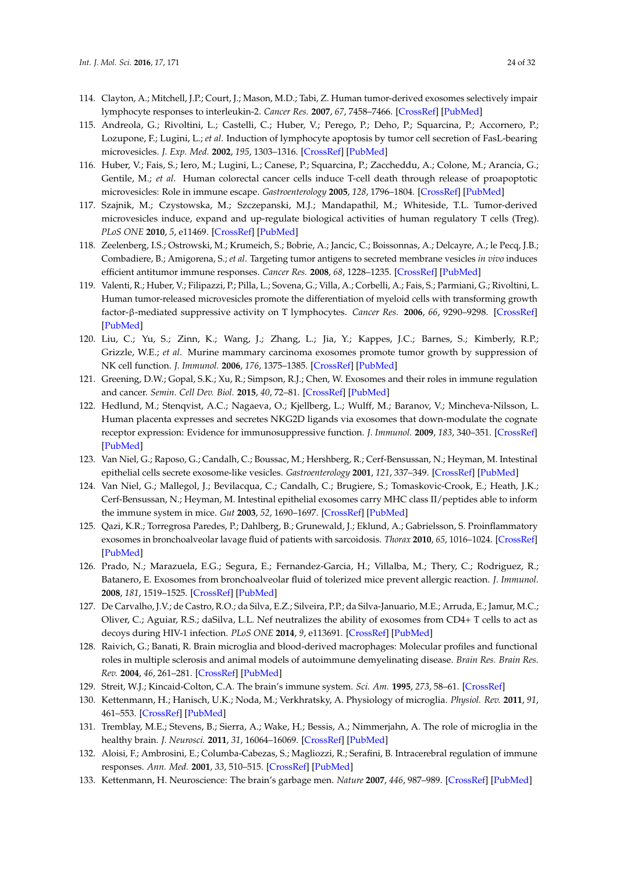- 114. Clayton, A.; Mitchell, J.P.; Court, J.; Mason, M.D.; Tabi, Z. Human tumor-derived exosomes selectively impair lymphocyte responses to interleukin-2. *Cancer Res.* **2007**, *67*, 7458–7466. [\[CrossRef\]](http://dx.doi.org/10.1158/0008-5472.CAN-06-3456) [\[PubMed\]](http://www.ncbi.nlm.nih.gov/pubmed/17671216)
- 115. Andreola, G.; Rivoltini, L.; Castelli, C.; Huber, V.; Perego, P.; Deho, P.; Squarcina, P.; Accornero, P.; Lozupone, F.; Lugini, L.; *et al*. Induction of lymphocyte apoptosis by tumor cell secretion of FasL-bearing microvesicles. *J. Exp. Med.* **2002**, *195*, 1303–1316. [\[CrossRef\]](http://dx.doi.org/10.1084/jem.20011624) [\[PubMed\]](http://www.ncbi.nlm.nih.gov/pubmed/12021310)
- 116. Huber, V.; Fais, S.; Iero, M.; Lugini, L.; Canese, P.; Squarcina, P.; Zaccheddu, A.; Colone, M.; Arancia, G.; Gentile, M.; *et al*. Human colorectal cancer cells induce T-cell death through release of proapoptotic microvesicles: Role in immune escape. *Gastroenterology* **2005**, *128*, 1796–1804. [\[CrossRef\]](http://dx.doi.org/10.1053/j.gastro.2005.03.045) [\[PubMed\]](http://www.ncbi.nlm.nih.gov/pubmed/15940614)
- 117. Szajnik, M.; Czystowska, M.; Szczepanski, M.J.; Mandapathil, M.; Whiteside, T.L. Tumor-derived microvesicles induce, expand and up-regulate biological activities of human regulatory T cells (Treg). *PLoS ONE* **2010**, *5*, e11469. [\[CrossRef\]](http://dx.doi.org/10.1371/journal.pone.0011469) [\[PubMed\]](http://www.ncbi.nlm.nih.gov/pubmed/20661468)
- 118. Zeelenberg, I.S.; Ostrowski, M.; Krumeich, S.; Bobrie, A.; Jancic, C.; Boissonnas, A.; Delcayre, A.; le Pecq, J.B.; Combadiere, B.; Amigorena, S.; *et al*. Targeting tumor antigens to secreted membrane vesicles *in vivo* induces efficient antitumor immune responses. *Cancer Res.* **2008**, *68*, 1228–1235. [\[CrossRef\]](http://dx.doi.org/10.1158/0008-5472.CAN-07-3163) [\[PubMed\]](http://www.ncbi.nlm.nih.gov/pubmed/18281500)
- 119. Valenti, R.; Huber, V.; Filipazzi, P.; Pilla, L.; Sovena, G.; Villa, A.; Corbelli, A.; Fais, S.; Parmiani, G.; Rivoltini, L. Human tumor-released microvesicles promote the differentiation of myeloid cells with transforming growth factor-β-mediated suppressive activity on T lymphocytes. *Cancer Res.* **2006**, *66*, 9290–9298. [\[CrossRef\]](http://dx.doi.org/10.1158/0008-5472.CAN-06-1819) [\[PubMed\]](http://www.ncbi.nlm.nih.gov/pubmed/16982774)
- 120. Liu, C.; Yu, S.; Zinn, K.; Wang, J.; Zhang, L.; Jia, Y.; Kappes, J.C.; Barnes, S.; Kimberly, R.P.; Grizzle, W.E.; *et al*. Murine mammary carcinoma exosomes promote tumor growth by suppression of NK cell function. *J. Immunol.* **2006**, *176*, 1375–1385. [\[CrossRef\]](http://dx.doi.org/10.4049/jimmunol.176.3.1375) [\[PubMed\]](http://www.ncbi.nlm.nih.gov/pubmed/16424164)
- <span id="page-23-0"></span>121. Greening, D.W.; Gopal, S.K.; Xu, R.; Simpson, R.J.; Chen, W. Exosomes and their roles in immune regulation and cancer. *Semin. Cell Dev. Biol.* **2015**, *40*, 72–81. [\[CrossRef\]](http://dx.doi.org/10.1016/j.semcdb.2015.02.009) [\[PubMed\]](http://www.ncbi.nlm.nih.gov/pubmed/25724562)
- <span id="page-23-1"></span>122. Hedlund, M.; Stenqvist, A.C.; Nagaeva, O.; Kjellberg, L.; Wulff, M.; Baranov, V.; Mincheva-Nilsson, L. Human placenta expresses and secretes NKG2D ligands via exosomes that down-modulate the cognate receptor expression: Evidence for immunosuppressive function. *J. Immunol.* **2009**, *183*, 340–351. [\[CrossRef\]](http://dx.doi.org/10.4049/jimmunol.0803477) [\[PubMed\]](http://www.ncbi.nlm.nih.gov/pubmed/19542445)
- <span id="page-23-2"></span>123. Van Niel, G.; Raposo, G.; Candalh, C.; Boussac, M.; Hershberg, R.; Cerf-Bensussan, N.; Heyman, M. Intestinal epithelial cells secrete exosome-like vesicles. *Gastroenterology* **2001**, *121*, 337–349. [\[CrossRef\]](http://dx.doi.org/10.1053/gast.2001.26263) [\[PubMed\]](http://www.ncbi.nlm.nih.gov/pubmed/11487543)
- <span id="page-23-4"></span>124. Van Niel, G.; Mallegol, J.; Bevilacqua, C.; Candalh, C.; Brugiere, S.; Tomaskovic-Crook, E.; Heath, J.K.; Cerf-Bensussan, N.; Heyman, M. Intestinal epithelial exosomes carry MHC class II/peptides able to inform the immune system in mice. *Gut* **2003**, *52*, 1690–1697. [\[CrossRef\]](http://dx.doi.org/10.1136/gut.52.12.1690) [\[PubMed\]](http://www.ncbi.nlm.nih.gov/pubmed/14633944)
- <span id="page-23-3"></span>125. Qazi, K.R.; Torregrosa Paredes, P.; Dahlberg, B.; Grunewald, J.; Eklund, A.; Gabrielsson, S. Proinflammatory exosomes in bronchoalveolar lavage fluid of patients with sarcoidosis. *Thorax* **2010**, *65*, 1016–1024. [\[CrossRef\]](http://dx.doi.org/10.1136/thx.2009.132027) [\[PubMed\]](http://www.ncbi.nlm.nih.gov/pubmed/20880880)
- <span id="page-23-5"></span>126. Prado, N.; Marazuela, E.G.; Segura, E.; Fernandez-Garcia, H.; Villalba, M.; Thery, C.; Rodriguez, R.; Batanero, E. Exosomes from bronchoalveolar fluid of tolerized mice prevent allergic reaction. *J. Immunol.* **2008**, *181*, 1519–1525. [\[CrossRef\]](http://dx.doi.org/10.4049/jimmunol.181.2.1519) [\[PubMed\]](http://www.ncbi.nlm.nih.gov/pubmed/18606707)
- <span id="page-23-6"></span>127. De Carvalho, J.V.; de Castro, R.O.; da Silva, E.Z.; Silveira, P.P.; da Silva-Januario, M.E.; Arruda, E.; Jamur, M.C.; Oliver, C.; Aguiar, R.S.; daSilva, L.L. Nef neutralizes the ability of exosomes from CD4+ T cells to act as decoys during HIV-1 infection. *PLoS ONE* **2014**, *9*, e113691. [\[CrossRef\]](http://dx.doi.org/10.1371/journal.pone.0113691) [\[PubMed\]](http://www.ncbi.nlm.nih.gov/pubmed/25423108)
- <span id="page-23-7"></span>128. Raivich, G.; Banati, R. Brain microglia and blood-derived macrophages: Molecular profiles and functional roles in multiple sclerosis and animal models of autoimmune demyelinating disease. *Brain Res. Brain Res. Rev.* **2004**, *46*, 261–281. [\[CrossRef\]](http://dx.doi.org/10.1016/j.brainresrev.2004.06.006) [\[PubMed\]](http://www.ncbi.nlm.nih.gov/pubmed/15571769)
- <span id="page-23-8"></span>129. Streit, W.J.; Kincaid-Colton, C.A. The brain's immune system. *Sci. Am.* **1995**, *273*, 58–61. [\[CrossRef\]](http://dx.doi.org/10.1038/scientificamerican1195-54)
- <span id="page-23-9"></span>130. Kettenmann, H.; Hanisch, U.K.; Noda, M.; Verkhratsky, A. Physiology of microglia. *Physiol. Rev.* **2011**, *91*, 461–553. [\[CrossRef\]](http://dx.doi.org/10.1152/physrev.00011.2010) [\[PubMed\]](http://www.ncbi.nlm.nih.gov/pubmed/21527731)
- 131. Tremblay, M.E.; Stevens, B.; Sierra, A.; Wake, H.; Bessis, A.; Nimmerjahn, A. The role of microglia in the healthy brain. *J. Neurosci.* **2011**, *31*, 16064–16069. [\[CrossRef\]](http://dx.doi.org/10.1523/JNEUROSCI.4158-11.2011) [\[PubMed\]](http://www.ncbi.nlm.nih.gov/pubmed/22072657)
- 132. Aloisi, F.; Ambrosini, E.; Columba-Cabezas, S.; Magliozzi, R.; Serafini, B. Intracerebral regulation of immune responses. *Ann. Med.* **2001**, *33*, 510–515. [\[CrossRef\]](http://dx.doi.org/10.3109/07853890108995960) [\[PubMed\]](http://www.ncbi.nlm.nih.gov/pubmed/11730157)
- <span id="page-23-10"></span>133. Kettenmann, H. Neuroscience: The brain's garbage men. *Nature* **2007**, *446*, 987–989. [\[CrossRef\]](http://dx.doi.org/10.1038/nature05713) [\[PubMed\]](http://www.ncbi.nlm.nih.gov/pubmed/17410127)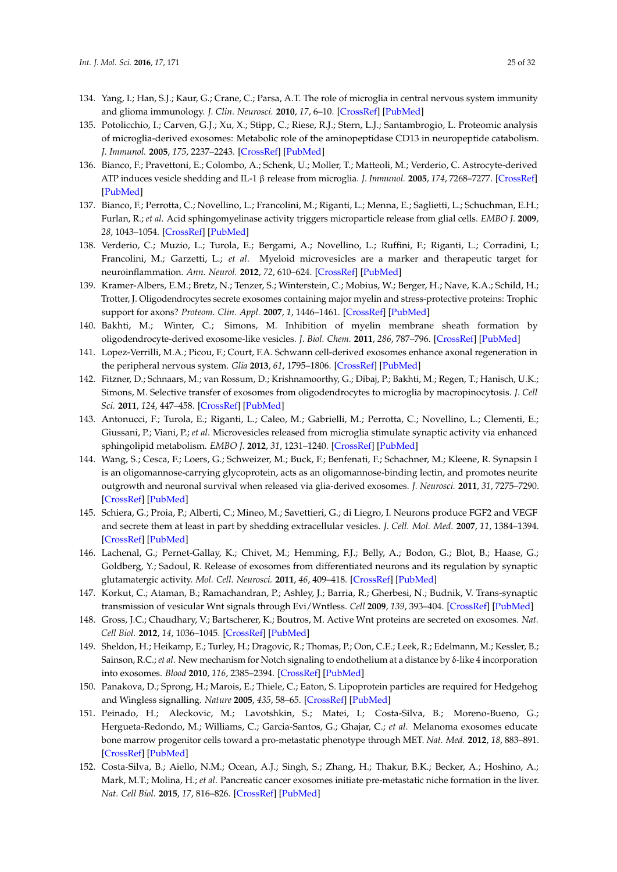- <span id="page-24-0"></span>134. Yang, I.; Han, S.J.; Kaur, G.; Crane, C.; Parsa, A.T. The role of microglia in central nervous system immunity and glioma immunology. *J. Clin. Neurosci.* **2010**, *17*, 6–10. [\[CrossRef\]](http://dx.doi.org/10.1016/j.jocn.2009.05.006) [\[PubMed\]](http://www.ncbi.nlm.nih.gov/pubmed/19926287)
- <span id="page-24-1"></span>135. Potolicchio, I.; Carven, G.J.; Xu, X.; Stipp, C.; Riese, R.J.; Stern, L.J.; Santambrogio, L. Proteomic analysis of microglia-derived exosomes: Metabolic role of the aminopeptidase CD13 in neuropeptide catabolism. *J. Immunol.* **2005**, *175*, 2237–2243. [\[CrossRef\]](http://dx.doi.org/10.4049/jimmunol.175.4.2237) [\[PubMed\]](http://www.ncbi.nlm.nih.gov/pubmed/16081791)
- <span id="page-24-2"></span>136. Bianco, F.; Pravettoni, E.; Colombo, A.; Schenk, U.; Moller, T.; Matteoli, M.; Verderio, C. Astrocyte-derived ATP induces vesicle shedding and IL-1 β release from microglia. *J. Immunol.* **2005**, *174*, 7268–7277. [\[CrossRef\]](http://dx.doi.org/10.4049/jimmunol.174.11.7268) [\[PubMed\]](http://www.ncbi.nlm.nih.gov/pubmed/15905573)
- <span id="page-24-3"></span>137. Bianco, F.; Perrotta, C.; Novellino, L.; Francolini, M.; Riganti, L.; Menna, E.; Saglietti, L.; Schuchman, E.H.; Furlan, R.; *et al*. Acid sphingomyelinase activity triggers microparticle release from glial cells. *EMBO J.* **2009**, *28*, 1043–1054. [\[CrossRef\]](http://dx.doi.org/10.1038/emboj.2009.45) [\[PubMed\]](http://www.ncbi.nlm.nih.gov/pubmed/19300439)
- <span id="page-24-4"></span>138. Verderio, C.; Muzio, L.; Turola, E.; Bergami, A.; Novellino, L.; Ruffini, F.; Riganti, L.; Corradini, I.; Francolini, M.; Garzetti, L.; *et al*. Myeloid microvesicles are a marker and therapeutic target for neuroinflammation. *Ann. Neurol.* **2012**, *72*, 610–624. [\[CrossRef\]](http://dx.doi.org/10.1002/ana.23627) [\[PubMed\]](http://www.ncbi.nlm.nih.gov/pubmed/23109155)
- <span id="page-24-5"></span>139. Kramer-Albers, E.M.; Bretz, N.; Tenzer, S.; Winterstein, C.; Mobius, W.; Berger, H.; Nave, K.A.; Schild, H.; Trotter, J. Oligodendrocytes secrete exosomes containing major myelin and stress-protective proteins: Trophic support for axons? *Proteom. Clin. Appl.* **2007**, *1*, 1446–1461. [\[CrossRef\]](http://dx.doi.org/10.1002/prca.200700522) [\[PubMed\]](http://www.ncbi.nlm.nih.gov/pubmed/21136642)
- <span id="page-24-6"></span>140. Bakhti, M.; Winter, C.; Simons, M. Inhibition of myelin membrane sheath formation by oligodendrocyte-derived exosome-like vesicles. *J. Biol. Chem.* **2011**, *286*, 787–796. [\[CrossRef\]](http://dx.doi.org/10.1074/jbc.M110.190009) [\[PubMed\]](http://www.ncbi.nlm.nih.gov/pubmed/20978131)
- <span id="page-24-7"></span>141. Lopez-Verrilli, M.A.; Picou, F.; Court, F.A. Schwann cell-derived exosomes enhance axonal regeneration in the peripheral nervous system. *Glia* **2013**, *61*, 1795–1806. [\[CrossRef\]](http://dx.doi.org/10.1002/glia.22558) [\[PubMed\]](http://www.ncbi.nlm.nih.gov/pubmed/24038411)
- <span id="page-24-8"></span>142. Fitzner, D.; Schnaars, M.; van Rossum, D.; Krishnamoorthy, G.; Dibaj, P.; Bakhti, M.; Regen, T.; Hanisch, U.K.; Simons, M. Selective transfer of exosomes from oligodendrocytes to microglia by macropinocytosis. *J. Cell Sci.* **2011**, *124*, 447–458. [\[CrossRef\]](http://dx.doi.org/10.1242/jcs.074088) [\[PubMed\]](http://www.ncbi.nlm.nih.gov/pubmed/21242314)
- <span id="page-24-9"></span>143. Antonucci, F.; Turola, E.; Riganti, L.; Caleo, M.; Gabrielli, M.; Perrotta, C.; Novellino, L.; Clementi, E.; Giussani, P.; Viani, P.; *et al*. Microvesicles released from microglia stimulate synaptic activity via enhanced sphingolipid metabolism. *EMBO J.* **2012**, *31*, 1231–1240. [\[CrossRef\]](http://dx.doi.org/10.1038/emboj.2011.489) [\[PubMed\]](http://www.ncbi.nlm.nih.gov/pubmed/22246184)
- <span id="page-24-10"></span>144. Wang, S.; Cesca, F.; Loers, G.; Schweizer, M.; Buck, F.; Benfenati, F.; Schachner, M.; Kleene, R. Synapsin I is an oligomannose-carrying glycoprotein, acts as an oligomannose-binding lectin, and promotes neurite outgrowth and neuronal survival when released via glia-derived exosomes. *J. Neurosci.* **2011**, *31*, 7275–7290. [\[CrossRef\]](http://dx.doi.org/10.1523/JNEUROSCI.6476-10.2011) [\[PubMed\]](http://www.ncbi.nlm.nih.gov/pubmed/21593312)
- <span id="page-24-11"></span>145. Schiera, G.; Proia, P.; Alberti, C.; Mineo, M.; Savettieri, G.; di Liegro, I. Neurons produce FGF2 and VEGF and secrete them at least in part by shedding extracellular vesicles. *J. Cell. Mol. Med.* **2007**, *11*, 1384–1394. [\[CrossRef\]](http://dx.doi.org/10.1111/j.1582-4934.2007.00100.x) [\[PubMed\]](http://www.ncbi.nlm.nih.gov/pubmed/18205708)
- <span id="page-24-12"></span>146. Lachenal, G.; Pernet-Gallay, K.; Chivet, M.; Hemming, F.J.; Belly, A.; Bodon, G.; Blot, B.; Haase, G.; Goldberg, Y.; Sadoul, R. Release of exosomes from differentiated neurons and its regulation by synaptic glutamatergic activity. *Mol. Cell. Neurosci.* **2011**, *46*, 409–418. [\[CrossRef\]](http://dx.doi.org/10.1016/j.mcn.2010.11.004) [\[PubMed\]](http://www.ncbi.nlm.nih.gov/pubmed/21111824)
- <span id="page-24-13"></span>147. Korkut, C.; Ataman, B.; Ramachandran, P.; Ashley, J.; Barria, R.; Gherbesi, N.; Budnik, V. Trans-synaptic transmission of vesicular Wnt signals through Evi/Wntless. *Cell* **2009**, *139*, 393–404. [\[CrossRef\]](http://dx.doi.org/10.1016/j.cell.2009.07.051) [\[PubMed\]](http://www.ncbi.nlm.nih.gov/pubmed/19837038)
- <span id="page-24-14"></span>148. Gross, J.C.; Chaudhary, V.; Bartscherer, K.; Boutros, M. Active Wnt proteins are secreted on exosomes. *Nat. Cell Biol.* **2012**, *14*, 1036–1045. [\[CrossRef\]](http://dx.doi.org/10.1038/ncb2574) [\[PubMed\]](http://www.ncbi.nlm.nih.gov/pubmed/22983114)
- 149. Sheldon, H.; Heikamp, E.; Turley, H.; Dragovic, R.; Thomas, P.; Oon, C.E.; Leek, R.; Edelmann, M.; Kessler, B.; Sainson, R.C.; *et al*. New mechanism for Notch signaling to endothelium at a distance by δ-like 4 incorporation into exosomes. *Blood* **2010**, *116*, 2385–2394. [\[CrossRef\]](http://dx.doi.org/10.1182/blood-2009-08-239228) [\[PubMed\]](http://www.ncbi.nlm.nih.gov/pubmed/20558614)
- <span id="page-24-15"></span>150. Panakova, D.; Sprong, H.; Marois, E.; Thiele, C.; Eaton, S. Lipoprotein particles are required for Hedgehog and Wingless signalling. *Nature* **2005**, *435*, 58–65. [\[CrossRef\]](http://dx.doi.org/10.1038/nature03504) [\[PubMed\]](http://www.ncbi.nlm.nih.gov/pubmed/15875013)
- <span id="page-24-16"></span>151. Peinado, H.; Aleckovic, M.; Lavotshkin, S.; Matei, I.; Costa-Silva, B.; Moreno-Bueno, G.; Hergueta-Redondo, M.; Williams, C.; Garcia-Santos, G.; Ghajar, C.; *et al*. Melanoma exosomes educate bone marrow progenitor cells toward a pro-metastatic phenotype through MET. *Nat. Med.* **2012**, *18*, 883–891. [\[CrossRef\]](http://dx.doi.org/10.1038/nm.2753) [\[PubMed\]](http://www.ncbi.nlm.nih.gov/pubmed/22635005)
- <span id="page-24-17"></span>152. Costa-Silva, B.; Aiello, N.M.; Ocean, A.J.; Singh, S.; Zhang, H.; Thakur, B.K.; Becker, A.; Hoshino, A.; Mark, M.T.; Molina, H.; *et al*. Pancreatic cancer exosomes initiate pre-metastatic niche formation in the liver. *Nat. Cell Biol.* **2015**, *17*, 816–826. [\[CrossRef\]](http://dx.doi.org/10.1038/ncb3169) [\[PubMed\]](http://www.ncbi.nlm.nih.gov/pubmed/25985394)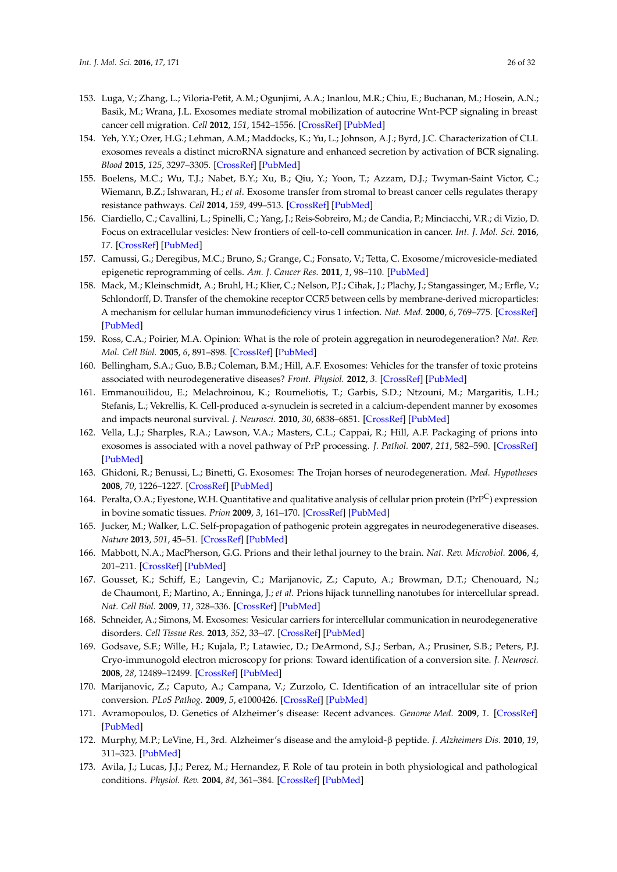- <span id="page-25-0"></span>153. Luga, V.; Zhang, L.; Viloria-Petit, A.M.; Ogunjimi, A.A.; Inanlou, M.R.; Chiu, E.; Buchanan, M.; Hosein, A.N.; Basik, M.; Wrana, J.L. Exosomes mediate stromal mobilization of autocrine Wnt-PCP signaling in breast cancer cell migration. *Cell* **2012**, *151*, 1542–1556. [\[CrossRef\]](http://dx.doi.org/10.1016/j.cell.2012.11.024) [\[PubMed\]](http://www.ncbi.nlm.nih.gov/pubmed/23260141)
- <span id="page-25-1"></span>154. Yeh, Y.Y.; Ozer, H.G.; Lehman, A.M.; Maddocks, K.; Yu, L.; Johnson, A.J.; Byrd, J.C. Characterization of CLL exosomes reveals a distinct microRNA signature and enhanced secretion by activation of BCR signaling. *Blood* **2015**, *125*, 3297–3305. [\[CrossRef\]](http://dx.doi.org/10.1182/blood-2014-12-618470) [\[PubMed\]](http://www.ncbi.nlm.nih.gov/pubmed/25833959)
- <span id="page-25-2"></span>155. Boelens, M.C.; Wu, T.J.; Nabet, B.Y.; Xu, B.; Qiu, Y.; Yoon, T.; Azzam, D.J.; Twyman-Saint Victor, C.; Wiemann, B.Z.; Ishwaran, H.; *et al*. Exosome transfer from stromal to breast cancer cells regulates therapy resistance pathways. *Cell* **2014**, *159*, 499–513. [\[CrossRef\]](http://dx.doi.org/10.1016/j.cell.2014.09.051) [\[PubMed\]](http://www.ncbi.nlm.nih.gov/pubmed/25417103)
- <span id="page-25-3"></span>156. Ciardiello, C.; Cavallini, L.; Spinelli, C.; Yang, J.; Reis-Sobreiro, M.; de Candia, P.; Minciacchi, V.R.; di Vizio, D. Focus on extracellular vesicles: New frontiers of cell-to-cell communication in cancer. *Int. J. Mol. Sci.* **2016**, *17*. [\[CrossRef\]](http://dx.doi.org/10.3390/ijms17020175) [\[PubMed\]](http://www.ncbi.nlm.nih.gov/pubmed/26861306)
- <span id="page-25-4"></span>157. Camussi, G.; Deregibus, M.C.; Bruno, S.; Grange, C.; Fonsato, V.; Tetta, C. Exosome/microvesicle-mediated epigenetic reprogramming of cells. *Am. J. Cancer Res.* **2011**, *1*, 98–110. [\[PubMed\]](http://www.ncbi.nlm.nih.gov/pubmed/21969178)
- <span id="page-25-5"></span>158. Mack, M.; Kleinschmidt, A.; Bruhl, H.; Klier, C.; Nelson, P.J.; Cihak, J.; Plachy, J.; Stangassinger, M.; Erfle, V.; Schlondorff, D. Transfer of the chemokine receptor CCR5 between cells by membrane-derived microparticles: A mechanism for cellular human immunodeficiency virus 1 infection. *Nat. Med.* **2000**, *6*, 769–775. [\[CrossRef\]](http://dx.doi.org/10.1038/77498) [\[PubMed\]](http://www.ncbi.nlm.nih.gov/pubmed/10888925)
- <span id="page-25-6"></span>159. Ross, C.A.; Poirier, M.A. Opinion: What is the role of protein aggregation in neurodegeneration? *Nat. Rev. Mol. Cell Biol.* **2005**, *6*, 891–898. [\[CrossRef\]](http://dx.doi.org/10.1038/nrm1742) [\[PubMed\]](http://www.ncbi.nlm.nih.gov/pubmed/16167052)
- <span id="page-25-7"></span>160. Bellingham, S.A.; Guo, B.B.; Coleman, B.M.; Hill, A.F. Exosomes: Vehicles for the transfer of toxic proteins associated with neurodegenerative diseases? *Front. Physiol.* **2012**, *3*. [\[CrossRef\]](http://dx.doi.org/10.3389/fphys.2012.00124) [\[PubMed\]](http://www.ncbi.nlm.nih.gov/pubmed/22563321)
- <span id="page-25-8"></span>161. Emmanouilidou, E.; Melachroinou, K.; Roumeliotis, T.; Garbis, S.D.; Ntzouni, M.; Margaritis, L.H.; Stefanis, L.; Vekrellis, K. Cell-produced α-synuclein is secreted in a calcium-dependent manner by exosomes and impacts neuronal survival. *J. Neurosci.* **2010**, *30*, 6838–6851. [\[CrossRef\]](http://dx.doi.org/10.1523/JNEUROSCI.5699-09.2010) [\[PubMed\]](http://www.ncbi.nlm.nih.gov/pubmed/20484626)
- <span id="page-25-9"></span>162. Vella, L.J.; Sharples, R.A.; Lawson, V.A.; Masters, C.L.; Cappai, R.; Hill, A.F. Packaging of prions into exosomes is associated with a novel pathway of PrP processing. *J. Pathol.* **2007**, *211*, 582–590. [\[CrossRef\]](http://dx.doi.org/10.1002/path.2145) [\[PubMed\]](http://www.ncbi.nlm.nih.gov/pubmed/17334982)
- <span id="page-25-10"></span>163. Ghidoni, R.; Benussi, L.; Binetti, G. Exosomes: The Trojan horses of neurodegeneration. *Med. Hypotheses* **2008**, *70*, 1226–1227. [\[CrossRef\]](http://dx.doi.org/10.1016/j.mehy.2007.12.003) [\[PubMed\]](http://www.ncbi.nlm.nih.gov/pubmed/18226468)
- <span id="page-25-11"></span>164. Peralta, O.A.; Eyestone, W.H. Quantitative and qualitative analysis of cellular prion protein ( $Pr^{PC}$ ) expression in bovine somatic tissues. *Prion* **2009**, *3*, 161–170. [\[CrossRef\]](http://dx.doi.org/10.4161/pri.3.3.9772) [\[PubMed\]](http://www.ncbi.nlm.nih.gov/pubmed/19806026)
- <span id="page-25-12"></span>165. Jucker, M.; Walker, L.C. Self-propagation of pathogenic protein aggregates in neurodegenerative diseases. *Nature* **2013**, *501*, 45–51. [\[CrossRef\]](http://dx.doi.org/10.1038/nature12481) [\[PubMed\]](http://www.ncbi.nlm.nih.gov/pubmed/24005412)
- <span id="page-25-13"></span>166. Mabbott, N.A.; MacPherson, G.G. Prions and their lethal journey to the brain. *Nat. Rev. Microbiol.* **2006**, *4*, 201–211. [\[CrossRef\]](http://dx.doi.org/10.1038/nrmicro1346) [\[PubMed\]](http://www.ncbi.nlm.nih.gov/pubmed/16462753)
- <span id="page-25-14"></span>167. Gousset, K.; Schiff, E.; Langevin, C.; Marijanovic, Z.; Caputo, A.; Browman, D.T.; Chenouard, N.; de Chaumont, F.; Martino, A.; Enninga, J.; *et al*. Prions hijack tunnelling nanotubes for intercellular spread. *Nat. Cell Biol.* **2009**, *11*, 328–336. [\[CrossRef\]](http://dx.doi.org/10.1038/ncb1841) [\[PubMed\]](http://www.ncbi.nlm.nih.gov/pubmed/19198598)
- <span id="page-25-15"></span>168. Schneider, A.; Simons, M. Exosomes: Vesicular carriers for intercellular communication in neurodegenerative disorders. *Cell Tissue Res.* **2013**, *352*, 33–47. [\[CrossRef\]](http://dx.doi.org/10.1007/s00441-012-1428-2) [\[PubMed\]](http://www.ncbi.nlm.nih.gov/pubmed/22610588)
- <span id="page-25-16"></span>169. Godsave, S.F.; Wille, H.; Kujala, P.; Latawiec, D.; DeArmond, S.J.; Serban, A.; Prusiner, S.B.; Peters, P.J. Cryo-immunogold electron microscopy for prions: Toward identification of a conversion site. *J. Neurosci.* **2008**, *28*, 12489–12499. [\[CrossRef\]](http://dx.doi.org/10.1523/JNEUROSCI.4474-08.2008) [\[PubMed\]](http://www.ncbi.nlm.nih.gov/pubmed/19020041)
- <span id="page-25-17"></span>170. Marijanovic, Z.; Caputo, A.; Campana, V.; Zurzolo, C. Identification of an intracellular site of prion conversion. *PLoS Pathog.* **2009**, *5*, e1000426. [\[CrossRef\]](http://dx.doi.org/10.1371/journal.ppat.1000426) [\[PubMed\]](http://www.ncbi.nlm.nih.gov/pubmed/19424437)
- <span id="page-25-18"></span>171. Avramopoulos, D. Genetics of Alzheimer's disease: Recent advances. *Genome Med.* **2009**, *1*. [\[CrossRef\]](http://dx.doi.org/10.1186/gm34) [\[PubMed\]](http://www.ncbi.nlm.nih.gov/pubmed/19341505)
- <span id="page-25-19"></span>172. Murphy, M.P.; LeVine, H., 3rd. Alzheimer's disease and the amyloid-β peptide. *J. Alzheimers Dis.* **2010**, *19*, 311–323. [\[PubMed\]](http://www.ncbi.nlm.nih.gov/pubmed/20061647)
- <span id="page-25-20"></span>173. Avila, J.; Lucas, J.J.; Perez, M.; Hernandez, F. Role of tau protein in both physiological and pathological conditions. *Physiol. Rev.* **2004**, *84*, 361–384. [\[CrossRef\]](http://dx.doi.org/10.1152/physrev.00024.2003) [\[PubMed\]](http://www.ncbi.nlm.nih.gov/pubmed/15044677)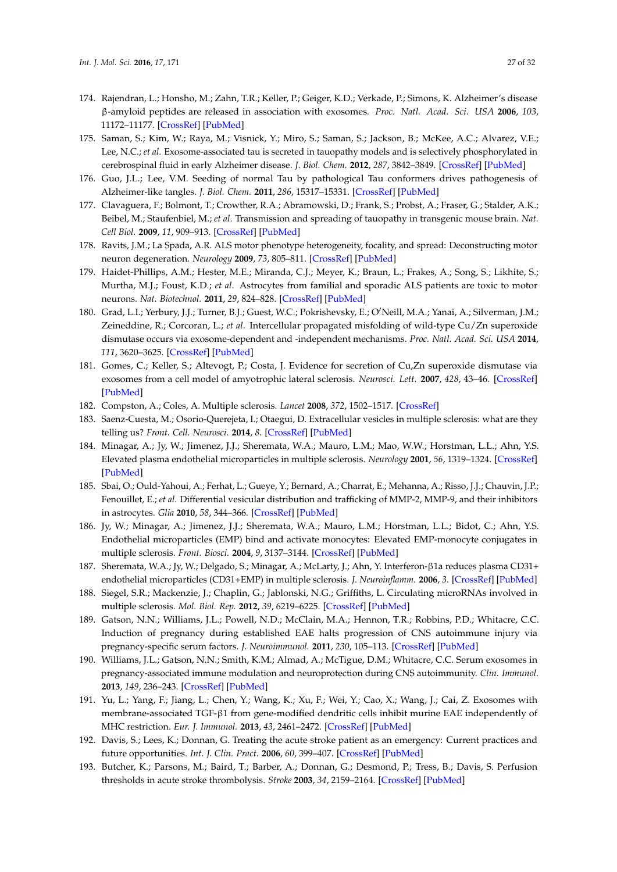- <span id="page-26-0"></span>174. Rajendran, L.; Honsho, M.; Zahn, T.R.; Keller, P.; Geiger, K.D.; Verkade, P.; Simons, K. Alzheimer's disease β-amyloid peptides are released in association with exosomes. *Proc. Natl. Acad. Sci. USA* **2006**, *103*, 11172–11177. [\[CrossRef\]](http://dx.doi.org/10.1073/pnas.0603838103) [\[PubMed\]](http://www.ncbi.nlm.nih.gov/pubmed/16837572)
- <span id="page-26-1"></span>175. Saman, S.; Kim, W.; Raya, M.; Visnick, Y.; Miro, S.; Saman, S.; Jackson, B.; McKee, A.C.; Alvarez, V.E.; Lee, N.C.; *et al*. Exosome-associated tau is secreted in tauopathy models and is selectively phosphorylated in cerebrospinal fluid in early Alzheimer disease. *J. Biol. Chem.* **2012**, *287*, 3842–3849. [\[CrossRef\]](http://dx.doi.org/10.1074/jbc.M111.277061) [\[PubMed\]](http://www.ncbi.nlm.nih.gov/pubmed/22057275)
- <span id="page-26-2"></span>176. Guo, J.L.; Lee, V.M. Seeding of normal Tau by pathological Tau conformers drives pathogenesis of Alzheimer-like tangles. *J. Biol. Chem.* **2011**, *286*, 15317–15331. [\[CrossRef\]](http://dx.doi.org/10.1074/jbc.M110.209296) [\[PubMed\]](http://www.ncbi.nlm.nih.gov/pubmed/21372138)
- <span id="page-26-3"></span>177. Clavaguera, F.; Bolmont, T.; Crowther, R.A.; Abramowski, D.; Frank, S.; Probst, A.; Fraser, G.; Stalder, A.K.; Beibel, M.; Staufenbiel, M.; *et al*. Transmission and spreading of tauopathy in transgenic mouse brain. *Nat. Cell Biol.* **2009**, *11*, 909–913. [\[CrossRef\]](http://dx.doi.org/10.1038/ncb1901) [\[PubMed\]](http://www.ncbi.nlm.nih.gov/pubmed/19503072)
- <span id="page-26-4"></span>178. Ravits, J.M.; La Spada, A.R. ALS motor phenotype heterogeneity, focality, and spread: Deconstructing motor neuron degeneration. *Neurology* **2009**, *73*, 805–811. [\[CrossRef\]](http://dx.doi.org/10.1212/WNL.0b013e3181b6bbbd) [\[PubMed\]](http://www.ncbi.nlm.nih.gov/pubmed/19738176)
- <span id="page-26-5"></span>179. Haidet-Phillips, A.M.; Hester, M.E.; Miranda, C.J.; Meyer, K.; Braun, L.; Frakes, A.; Song, S.; Likhite, S.; Murtha, M.J.; Foust, K.D.; *et al*. Astrocytes from familial and sporadic ALS patients are toxic to motor neurons. *Nat. Biotechnol.* **2011**, *29*, 824–828. [\[CrossRef\]](http://dx.doi.org/10.1038/nbt.1957) [\[PubMed\]](http://www.ncbi.nlm.nih.gov/pubmed/21832997)
- <span id="page-26-6"></span>180. Grad, L.I.; Yerbury, J.J.; Turner, B.J.; Guest, W.C.; Pokrishevsky, E.; O'Neill, M.A.; Yanai, A.; Silverman, J.M.; Zeineddine, R.; Corcoran, L.; *et al*. Intercellular propagated misfolding of wild-type Cu/Zn superoxide dismutase occurs via exosome-dependent and -independent mechanisms. *Proc. Natl. Acad. Sci. USA* **2014**, *111*, 3620–3625. [\[CrossRef\]](http://dx.doi.org/10.1073/pnas.1312245111) [\[PubMed\]](http://www.ncbi.nlm.nih.gov/pubmed/24550511)
- <span id="page-26-7"></span>181. Gomes, C.; Keller, S.; Altevogt, P.; Costa, J. Evidence for secretion of Cu,Zn superoxide dismutase via exosomes from a cell model of amyotrophic lateral sclerosis. *Neurosci. Lett.* **2007**, *428*, 43–46. [\[CrossRef\]](http://dx.doi.org/10.1016/j.neulet.2007.09.024) [\[PubMed\]](http://www.ncbi.nlm.nih.gov/pubmed/17942226)
- <span id="page-26-9"></span><span id="page-26-8"></span>182. Compston, A.; Coles, A. Multiple sclerosis. *Lancet* **2008**, *372*, 1502–1517. [\[CrossRef\]](http://dx.doi.org/10.1016/S0140-6736(08)61620-7)
- 183. Saenz-Cuesta, M.; Osorio-Querejeta, I.; Otaegui, D. Extracellular vesicles in multiple sclerosis: what are they telling us? *Front. Cell. Neurosci.* **2014**, *8*. [\[CrossRef\]](http://dx.doi.org/10.3389/fncel.2014.00100) [\[PubMed\]](http://www.ncbi.nlm.nih.gov/pubmed/24734004)
- <span id="page-26-10"></span>184. Minagar, A.; Jy, W.; Jimenez, J.J.; Sheremata, W.A.; Mauro, L.M.; Mao, W.W.; Horstman, L.L.; Ahn, Y.S. Elevated plasma endothelial microparticles in multiple sclerosis. *Neurology* **2001**, *56*, 1319–1324. [\[CrossRef\]](http://dx.doi.org/10.1212/WNL.56.10.1319) [\[PubMed\]](http://www.ncbi.nlm.nih.gov/pubmed/11376181)
- <span id="page-26-11"></span>185. Sbai, O.; Ould-Yahoui, A.; Ferhat, L.; Gueye, Y.; Bernard, A.; Charrat, E.; Mehanna, A.; Risso, J.J.; Chauvin, J.P.; Fenouillet, E.; *et al*. Differential vesicular distribution and trafficking of MMP-2, MMP-9, and their inhibitors in astrocytes. *Glia* **2010**, *58*, 344–366. [\[CrossRef\]](http://dx.doi.org/10.1002/glia.20927) [\[PubMed\]](http://www.ncbi.nlm.nih.gov/pubmed/19780201)
- <span id="page-26-12"></span>186. Jy, W.; Minagar, A.; Jimenez, J.J.; Sheremata, W.A.; Mauro, L.M.; Horstman, L.L.; Bidot, C.; Ahn, Y.S. Endothelial microparticles (EMP) bind and activate monocytes: Elevated EMP-monocyte conjugates in multiple sclerosis. *Front. Biosci.* **2004**, *9*, 3137–3144. [\[CrossRef\]](http://dx.doi.org/10.2741/1466) [\[PubMed\]](http://www.ncbi.nlm.nih.gov/pubmed/15353343)
- <span id="page-26-13"></span>187. Sheremata, W.A.; Jy, W.; Delgado, S.; Minagar, A.; McLarty, J.; Ahn, Y. Interferon-β1a reduces plasma CD31+ endothelial microparticles (CD31+EMP) in multiple sclerosis. *J. Neuroinflamm.* **2006**, *3*. [\[CrossRef\]](http://dx.doi.org/10.1186/1742-2094-3-23) [\[PubMed\]](http://www.ncbi.nlm.nih.gov/pubmed/16952316)
- <span id="page-26-14"></span>188. Siegel, S.R.; Mackenzie, J.; Chaplin, G.; Jablonski, N.G.; Griffiths, L. Circulating microRNAs involved in multiple sclerosis. *Mol. Biol. Rep.* **2012**, *39*, 6219–6225. [\[CrossRef\]](http://dx.doi.org/10.1007/s11033-011-1441-7) [\[PubMed\]](http://www.ncbi.nlm.nih.gov/pubmed/22231906)
- <span id="page-26-15"></span>189. Gatson, N.N.; Williams, J.L.; Powell, N.D.; McClain, M.A.; Hennon, T.R.; Robbins, P.D.; Whitacre, C.C. Induction of pregnancy during established EAE halts progression of CNS autoimmune injury via pregnancy-specific serum factors. *J. Neuroimmunol.* **2011**, *230*, 105–113. [\[CrossRef\]](http://dx.doi.org/10.1016/j.jneuroim.2010.09.010) [\[PubMed\]](http://www.ncbi.nlm.nih.gov/pubmed/20950868)
- <span id="page-26-16"></span>190. Williams, J.L.; Gatson, N.N.; Smith, K.M.; Almad, A.; McTigue, D.M.; Whitacre, C.C. Serum exosomes in pregnancy-associated immune modulation and neuroprotection during CNS autoimmunity. *Clin. Immunol.* **2013**, *149*, 236–243. [\[CrossRef\]](http://dx.doi.org/10.1016/j.clim.2013.04.005) [\[PubMed\]](http://www.ncbi.nlm.nih.gov/pubmed/23706172)
- <span id="page-26-17"></span>191. Yu, L.; Yang, F.; Jiang, L.; Chen, Y.; Wang, K.; Xu, F.; Wei, Y.; Cao, X.; Wang, J.; Cai, Z. Exosomes with membrane-associated TGF-β1 from gene-modified dendritic cells inhibit murine EAE independently of MHC restriction. *Eur. J. Immunol.* **2013**, *43*, 2461–2472. [\[CrossRef\]](http://dx.doi.org/10.1002/eji.201243295) [\[PubMed\]](http://www.ncbi.nlm.nih.gov/pubmed/23716181)
- <span id="page-26-18"></span>192. Davis, S.; Lees, K.; Donnan, G. Treating the acute stroke patient as an emergency: Current practices and future opportunities. *Int. J. Clin. Pract.* **2006**, *60*, 399–407. [\[CrossRef\]](http://dx.doi.org/10.1111/j.1368-5031.2006.00873.x) [\[PubMed\]](http://www.ncbi.nlm.nih.gov/pubmed/16620351)
- <span id="page-26-19"></span>193. Butcher, K.; Parsons, M.; Baird, T.; Barber, A.; Donnan, G.; Desmond, P.; Tress, B.; Davis, S. Perfusion thresholds in acute stroke thrombolysis. *Stroke* **2003**, *34*, 2159–2164. [\[CrossRef\]](http://dx.doi.org/10.1161/01.STR.0000086529.83878.A2) [\[PubMed\]](http://www.ncbi.nlm.nih.gov/pubmed/12893953)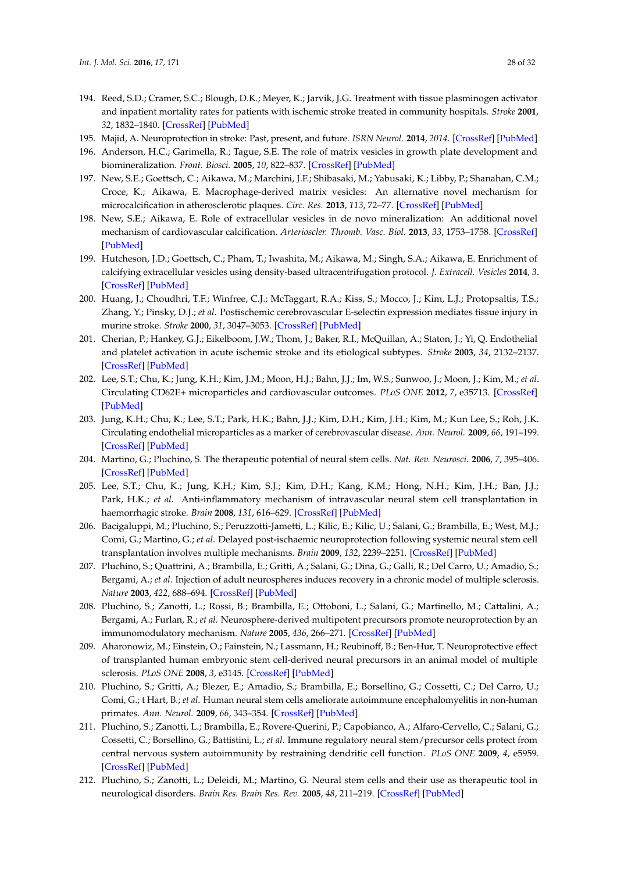- <span id="page-27-0"></span>194. Reed, S.D.; Cramer, S.C.; Blough, D.K.; Meyer, K.; Jarvik, J.G. Treatment with tissue plasminogen activator and inpatient mortality rates for patients with ischemic stroke treated in community hospitals. *Stroke* **2001**, *32*, 1832–1840. [\[CrossRef\]](http://dx.doi.org/10.1161/01.STR.32.8.1832) [\[PubMed\]](http://www.ncbi.nlm.nih.gov/pubmed/11486113)
- <span id="page-27-1"></span>195. Majid, A. Neuroprotection in stroke: Past, present, and future. *ISRN Neurol.* **2014**, *2014*. [\[CrossRef\]](http://dx.doi.org/10.1155/2014/515716) [\[PubMed\]](http://www.ncbi.nlm.nih.gov/pubmed/24579051)
- <span id="page-27-2"></span>196. Anderson, H.C.; Garimella, R.; Tague, S.E. The role of matrix vesicles in growth plate development and biomineralization. *Front. Biosci.* **2005**, *10*, 822–837. [\[CrossRef\]](http://dx.doi.org/10.2741/1576) [\[PubMed\]](http://www.ncbi.nlm.nih.gov/pubmed/15569622)
- <span id="page-27-3"></span>197. New, S.E.; Goettsch, C.; Aikawa, M.; Marchini, J.F.; Shibasaki, M.; Yabusaki, K.; Libby, P.; Shanahan, C.M.; Croce, K.; Aikawa, E. Macrophage-derived matrix vesicles: An alternative novel mechanism for microcalcification in atherosclerotic plaques. *Circ. Res.* **2013**, *113*, 72–77. [\[CrossRef\]](http://dx.doi.org/10.1161/CIRCRESAHA.113.301036) [\[PubMed\]](http://www.ncbi.nlm.nih.gov/pubmed/23616621)
- <span id="page-27-4"></span>198. New, S.E.; Aikawa, E. Role of extracellular vesicles in de novo mineralization: An additional novel mechanism of cardiovascular calcification. *Arterioscler. Thromb. Vasc. Biol.* **2013**, *33*, 1753–1758. [\[CrossRef\]](http://dx.doi.org/10.1161/ATVBAHA.112.300128) [\[PubMed\]](http://www.ncbi.nlm.nih.gov/pubmed/23766262)
- <span id="page-27-5"></span>199. Hutcheson, J.D.; Goettsch, C.; Pham, T.; Iwashita, M.; Aikawa, M.; Singh, S.A.; Aikawa, E. Enrichment of calcifying extracellular vesicles using density-based ultracentrifugation protocol. *J. Extracell. Vesicles* **2014**, *3*. [\[CrossRef\]](http://dx.doi.org/10.3402/jev.v3.25129) [\[PubMed\]](http://www.ncbi.nlm.nih.gov/pubmed/25491249)
- <span id="page-27-6"></span>200. Huang, J.; Choudhri, T.F.; Winfree, C.J.; McTaggart, R.A.; Kiss, S.; Mocco, J.; Kim, L.J.; Protopsaltis, T.S.; Zhang, Y.; Pinsky, D.J.; *et al*. Postischemic cerebrovascular E-selectin expression mediates tissue injury in murine stroke. *Stroke* **2000**, *31*, 3047–3053. [\[CrossRef\]](http://dx.doi.org/10.1161/01.STR.31.12.3047) [\[PubMed\]](http://www.ncbi.nlm.nih.gov/pubmed/11108771)
- <span id="page-27-7"></span>201. Cherian, P.; Hankey, G.J.; Eikelboom, J.W.; Thom, J.; Baker, R.I.; McQuillan, A.; Staton, J.; Yi, Q. Endothelial and platelet activation in acute ischemic stroke and its etiological subtypes. *Stroke* **2003**, *34*, 2132–2137. [\[CrossRef\]](http://dx.doi.org/10.1161/01.STR.0000086466.32421.F4) [\[PubMed\]](http://www.ncbi.nlm.nih.gov/pubmed/12907813)
- <span id="page-27-8"></span>202. Lee, S.T.; Chu, K.; Jung, K.H.; Kim, J.M.; Moon, H.J.; Bahn, J.J.; Im, W.S.; Sunwoo, J.; Moon, J.; Kim, M.; *et al*. Circulating CD62E+ microparticles and cardiovascular outcomes. *PLoS ONE* **2012**, *7*, e35713. [\[CrossRef\]](http://dx.doi.org/10.1371/journal.pone.0035713) [\[PubMed\]](http://www.ncbi.nlm.nih.gov/pubmed/22563392)
- <span id="page-27-9"></span>203. Jung, K.H.; Chu, K.; Lee, S.T.; Park, H.K.; Bahn, J.J.; Kim, D.H.; Kim, J.H.; Kim, M.; Kun Lee, S.; Roh, J.K. Circulating endothelial microparticles as a marker of cerebrovascular disease. *Ann. Neurol.* **2009**, *66*, 191–199. [\[CrossRef\]](http://dx.doi.org/10.1002/ana.21681) [\[PubMed\]](http://www.ncbi.nlm.nih.gov/pubmed/19743467)
- <span id="page-27-10"></span>204. Martino, G.; Pluchino, S. The therapeutic potential of neural stem cells. *Nat. Rev. Neurosci.* **2006**, *7*, 395–406. [\[CrossRef\]](http://dx.doi.org/10.1038/nrn1908) [\[PubMed\]](http://www.ncbi.nlm.nih.gov/pubmed/16760919)
- <span id="page-27-11"></span>205. Lee, S.T.; Chu, K.; Jung, K.H.; Kim, S.J.; Kim, D.H.; Kang, K.M.; Hong, N.H.; Kim, J.H.; Ban, J.J.; Park, H.K.; *et al*. Anti-inflammatory mechanism of intravascular neural stem cell transplantation in haemorrhagic stroke. *Brain* **2008**, *131*, 616–629. [\[CrossRef\]](http://dx.doi.org/10.1093/brain/awm306) [\[PubMed\]](http://www.ncbi.nlm.nih.gov/pubmed/18156155)
- <span id="page-27-12"></span>206. Bacigaluppi, M.; Pluchino, S.; Peruzzotti-Jametti, L.; Kilic, E.; Kilic, U.; Salani, G.; Brambilla, E.; West, M.J.; Comi, G.; Martino, G.; *et al*. Delayed post-ischaemic neuroprotection following systemic neural stem cell transplantation involves multiple mechanisms. *Brain* **2009**, *132*, 2239–2251. [\[CrossRef\]](http://dx.doi.org/10.1093/brain/awp174) [\[PubMed\]](http://www.ncbi.nlm.nih.gov/pubmed/19617198)
- 207. Pluchino, S.; Quattrini, A.; Brambilla, E.; Gritti, A.; Salani, G.; Dina, G.; Galli, R.; Del Carro, U.; Amadio, S.; Bergami, A.; *et al*. Injection of adult neurospheres induces recovery in a chronic model of multiple sclerosis. *Nature* **2003**, *422*, 688–694. [\[CrossRef\]](http://dx.doi.org/10.1038/nature01552) [\[PubMed\]](http://www.ncbi.nlm.nih.gov/pubmed/12700753)
- 208. Pluchino, S.; Zanotti, L.; Rossi, B.; Brambilla, E.; Ottoboni, L.; Salani, G.; Martinello, M.; Cattalini, A.; Bergami, A.; Furlan, R.; *et al*. Neurosphere-derived multipotent precursors promote neuroprotection by an immunomodulatory mechanism. *Nature* **2005**, *436*, 266–271. [\[CrossRef\]](http://dx.doi.org/10.1038/nature03889) [\[PubMed\]](http://www.ncbi.nlm.nih.gov/pubmed/16015332)
- 209. Aharonowiz, M.; Einstein, O.; Fainstein, N.; Lassmann, H.; Reubinoff, B.; Ben-Hur, T. Neuroprotective effect of transplanted human embryonic stem cell-derived neural precursors in an animal model of multiple sclerosis. *PLoS ONE* **2008**, *3*, e3145. [\[CrossRef\]](http://dx.doi.org/10.1371/journal.pone.0003145) [\[PubMed\]](http://www.ncbi.nlm.nih.gov/pubmed/18773082)
- <span id="page-27-13"></span>210. Pluchino, S.; Gritti, A.; Blezer, E.; Amadio, S.; Brambilla, E.; Borsellino, G.; Cossetti, C.; Del Carro, U.; Comi, G.; t Hart, B.; *et al*. Human neural stem cells ameliorate autoimmune encephalomyelitis in non-human primates. *Ann. Neurol.* **2009**, *66*, 343–354. [\[CrossRef\]](http://dx.doi.org/10.1002/ana.21745) [\[PubMed\]](http://www.ncbi.nlm.nih.gov/pubmed/19798728)
- <span id="page-27-14"></span>211. Pluchino, S.; Zanotti, L.; Brambilla, E.; Rovere-Querini, P.; Capobianco, A.; Alfaro-Cervello, C.; Salani, G.; Cossetti, C.; Borsellino, G.; Battistini, L.; *et al*. Immune regulatory neural stem/precursor cells protect from central nervous system autoimmunity by restraining dendritic cell function. *PLoS ONE* **2009**, *4*, e5959. [\[CrossRef\]](http://dx.doi.org/10.1371/journal.pone.0005959) [\[PubMed\]](http://www.ncbi.nlm.nih.gov/pubmed/19543526)
- <span id="page-27-15"></span>212. Pluchino, S.; Zanotti, L.; Deleidi, M.; Martino, G. Neural stem cells and their use as therapeutic tool in neurological disorders. *Brain Res. Brain Res. Rev.* **2005**, *48*, 211–219. [\[CrossRef\]](http://dx.doi.org/10.1016/j.brainresrev.2004.12.011) [\[PubMed\]](http://www.ncbi.nlm.nih.gov/pubmed/15850660)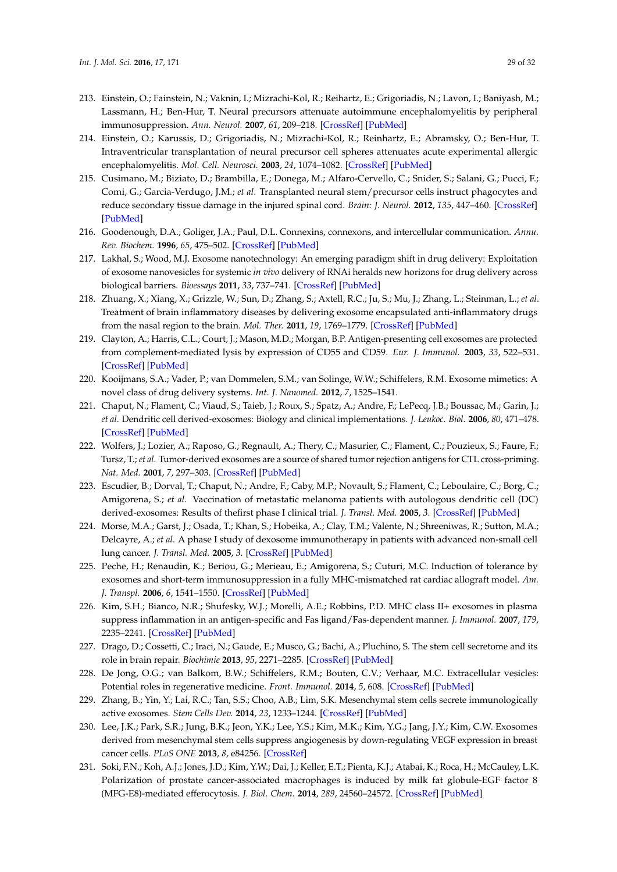- <span id="page-28-0"></span>213. Einstein, O.; Fainstein, N.; Vaknin, I.; Mizrachi-Kol, R.; Reihartz, E.; Grigoriadis, N.; Lavon, I.; Baniyash, M.; Lassmann, H.; Ben-Hur, T. Neural precursors attenuate autoimmune encephalomyelitis by peripheral immunosuppression. *Ann. Neurol.* **2007**, *61*, 209–218. [\[CrossRef\]](http://dx.doi.org/10.1002/ana.21033) [\[PubMed\]](http://www.ncbi.nlm.nih.gov/pubmed/17187374)
- <span id="page-28-1"></span>214. Einstein, O.; Karussis, D.; Grigoriadis, N.; Mizrachi-Kol, R.; Reinhartz, E.; Abramsky, O.; Ben-Hur, T. Intraventricular transplantation of neural precursor cell spheres attenuates acute experimental allergic encephalomyelitis. *Mol. Cell. Neurosci.* **2003**, *24*, 1074–1082. [\[CrossRef\]](http://dx.doi.org/10.1016/j.mcn.2003.08.009) [\[PubMed\]](http://www.ncbi.nlm.nih.gov/pubmed/14697670)
- <span id="page-28-2"></span>215. Cusimano, M.; Biziato, D.; Brambilla, E.; Donega, M.; Alfaro-Cervello, C.; Snider, S.; Salani, G.; Pucci, F.; Comi, G.; Garcia-Verdugo, J.M.; *et al*. Transplanted neural stem/precursor cells instruct phagocytes and reduce secondary tissue damage in the injured spinal cord. *Brain: J. Neurol.* **2012**, *135*, 447–460. [\[CrossRef\]](http://dx.doi.org/10.1093/brain/awr339) [\[PubMed\]](http://www.ncbi.nlm.nih.gov/pubmed/22271661)
- <span id="page-28-3"></span>216. Goodenough, D.A.; Goliger, J.A.; Paul, D.L. Connexins, connexons, and intercellular communication. *Annu. Rev. Biochem.* **1996**, *65*, 475–502. [\[CrossRef\]](http://dx.doi.org/10.1146/annurev.bi.65.070196.002355) [\[PubMed\]](http://www.ncbi.nlm.nih.gov/pubmed/8811187)
- <span id="page-28-4"></span>217. Lakhal, S.; Wood, M.J. Exosome nanotechnology: An emerging paradigm shift in drug delivery: Exploitation of exosome nanovesicles for systemic *in vivo* delivery of RNAi heralds new horizons for drug delivery across biological barriers. *Bioessays* **2011**, *33*, 737–741. [\[CrossRef\]](http://dx.doi.org/10.1002/bies.201100076) [\[PubMed\]](http://www.ncbi.nlm.nih.gov/pubmed/21932222)
- <span id="page-28-5"></span>218. Zhuang, X.; Xiang, X.; Grizzle, W.; Sun, D.; Zhang, S.; Axtell, R.C.; Ju, S.; Mu, J.; Zhang, L.; Steinman, L.; *et al*. Treatment of brain inflammatory diseases by delivering exosome encapsulated anti-inflammatory drugs from the nasal region to the brain. *Mol. Ther.* **2011**, *19*, 1769–1779. [\[CrossRef\]](http://dx.doi.org/10.1038/mt.2011.164) [\[PubMed\]](http://www.ncbi.nlm.nih.gov/pubmed/21915101)
- <span id="page-28-6"></span>219. Clayton, A.; Harris, C.L.; Court, J.; Mason, M.D.; Morgan, B.P. Antigen-presenting cell exosomes are protected from complement-mediated lysis by expression of CD55 and CD59. *Eur. J. Immunol.* **2003**, *33*, 522–531. [\[CrossRef\]](http://dx.doi.org/10.1002/immu.200310028) [\[PubMed\]](http://www.ncbi.nlm.nih.gov/pubmed/12645951)
- <span id="page-28-7"></span>220. Kooijmans, S.A.; Vader, P.; van Dommelen, S.M.; van Solinge, W.W.; Schiffelers, R.M. Exosome mimetics: A novel class of drug delivery systems. *Int. J. Nanomed.* **2012**, *7*, 1525–1541.
- <span id="page-28-8"></span>221. Chaput, N.; Flament, C.; Viaud, S.; Taieb, J.; Roux, S.; Spatz, A.; Andre, F.; LePecq, J.B.; Boussac, M.; Garin, J.; *et al*. Dendritic cell derived-exosomes: Biology and clinical implementations. *J. Leukoc. Biol.* **2006**, *80*, 471–478. [\[CrossRef\]](http://dx.doi.org/10.1189/jlb.0206094) [\[PubMed\]](http://www.ncbi.nlm.nih.gov/pubmed/16809645)
- <span id="page-28-9"></span>222. Wolfers, J.; Lozier, A.; Raposo, G.; Regnault, A.; Thery, C.; Masurier, C.; Flament, C.; Pouzieux, S.; Faure, F.; Tursz, T.; *et al*. Tumor-derived exosomes are a source of shared tumor rejection antigens for CTL cross-priming. *Nat. Med.* **2001**, *7*, 297–303. [\[CrossRef\]](http://dx.doi.org/10.1038/85438) [\[PubMed\]](http://www.ncbi.nlm.nih.gov/pubmed/11231627)
- <span id="page-28-10"></span>223. Escudier, B.; Dorval, T.; Chaput, N.; Andre, F.; Caby, M.P.; Novault, S.; Flament, C.; Leboulaire, C.; Borg, C.; Amigorena, S.; *et al*. Vaccination of metastatic melanoma patients with autologous dendritic cell (DC) derived-exosomes: Results of thefirst phase I clinical trial. *J. Transl. Med.* **2005**, *3*. [\[CrossRef\]](http://dx.doi.org/10.1186/1479-5876-3-10) [\[PubMed\]](http://www.ncbi.nlm.nih.gov/pubmed/15740633)
- <span id="page-28-11"></span>224. Morse, M.A.; Garst, J.; Osada, T.; Khan, S.; Hobeika, A.; Clay, T.M.; Valente, N.; Shreeniwas, R.; Sutton, M.A.; Delcayre, A.; *et al*. A phase I study of dexosome immunotherapy in patients with advanced non-small cell lung cancer. *J. Transl. Med.* **2005**, *3*. [\[CrossRef\]](http://dx.doi.org/10.1186/1479-5876-3-9) [\[PubMed\]](http://www.ncbi.nlm.nih.gov/pubmed/15723705)
- <span id="page-28-12"></span>225. Peche, H.; Renaudin, K.; Beriou, G.; Merieau, E.; Amigorena, S.; Cuturi, M.C. Induction of tolerance by exosomes and short-term immunosuppression in a fully MHC-mismatched rat cardiac allograft model. *Am. J. Transpl.* **2006**, *6*, 1541–1550. [\[CrossRef\]](http://dx.doi.org/10.1111/j.1600-6143.2006.01344.x) [\[PubMed\]](http://www.ncbi.nlm.nih.gov/pubmed/16827854)
- <span id="page-28-13"></span>226. Kim, S.H.; Bianco, N.R.; Shufesky, W.J.; Morelli, A.E.; Robbins, P.D. MHC class II+ exosomes in plasma suppress inflammation in an antigen-specific and Fas ligand/Fas-dependent manner. *J. Immunol.* **2007**, *179*, 2235–2241. [\[CrossRef\]](http://dx.doi.org/10.4049/jimmunol.179.4.2235) [\[PubMed\]](http://www.ncbi.nlm.nih.gov/pubmed/17675484)
- <span id="page-28-14"></span>227. Drago, D.; Cossetti, C.; Iraci, N.; Gaude, E.; Musco, G.; Bachi, A.; Pluchino, S. The stem cell secretome and its role in brain repair. *Biochimie* **2013**, *95*, 2271–2285. [\[CrossRef\]](http://dx.doi.org/10.1016/j.biochi.2013.06.020) [\[PubMed\]](http://www.ncbi.nlm.nih.gov/pubmed/23827856)
- <span id="page-28-15"></span>228. De Jong, O.G.; van Balkom, B.W.; Schiffelers, R.M.; Bouten, C.V.; Verhaar, M.C. Extracellular vesicles: Potential roles in regenerative medicine. *Front. Immunol.* **2014**, *5*, 608. [\[CrossRef\]](http://dx.doi.org/10.3389/fimmu.2014.00608) [\[PubMed\]](http://www.ncbi.nlm.nih.gov/pubmed/25520717)
- <span id="page-28-16"></span>229. Zhang, B.; Yin, Y.; Lai, R.C.; Tan, S.S.; Choo, A.B.; Lim, S.K. Mesenchymal stem cells secrete immunologically active exosomes. *Stem Cells Dev.* **2014**, *23*, 1233–1244. [\[CrossRef\]](http://dx.doi.org/10.1089/scd.2013.0479) [\[PubMed\]](http://www.ncbi.nlm.nih.gov/pubmed/24367916)
- <span id="page-28-17"></span>230. Lee, J.K.; Park, S.R.; Jung, B.K.; Jeon, Y.K.; Lee, Y.S.; Kim, M.K.; Kim, Y.G.; Jang, J.Y.; Kim, C.W. Exosomes derived from mesenchymal stem cells suppress angiogenesis by down-regulating VEGF expression in breast cancer cells. *PLoS ONE* **2013**, *8*, e84256. [\[CrossRef\]](http://dx.doi.org/10.1371/journal.pone.0084256)
- <span id="page-28-18"></span>231. Soki, F.N.; Koh, A.J.; Jones, J.D.; Kim, Y.W.; Dai, J.; Keller, E.T.; Pienta, K.J.; Atabai, K.; Roca, H.; McCauley, L.K. Polarization of prostate cancer-associated macrophages is induced by milk fat globule-EGF factor 8 (MFG-E8)-mediated efferocytosis. *J. Biol. Chem.* **2014**, *289*, 24560–24572. [\[CrossRef\]](http://dx.doi.org/10.1074/jbc.M114.571620) [\[PubMed\]](http://www.ncbi.nlm.nih.gov/pubmed/25006249)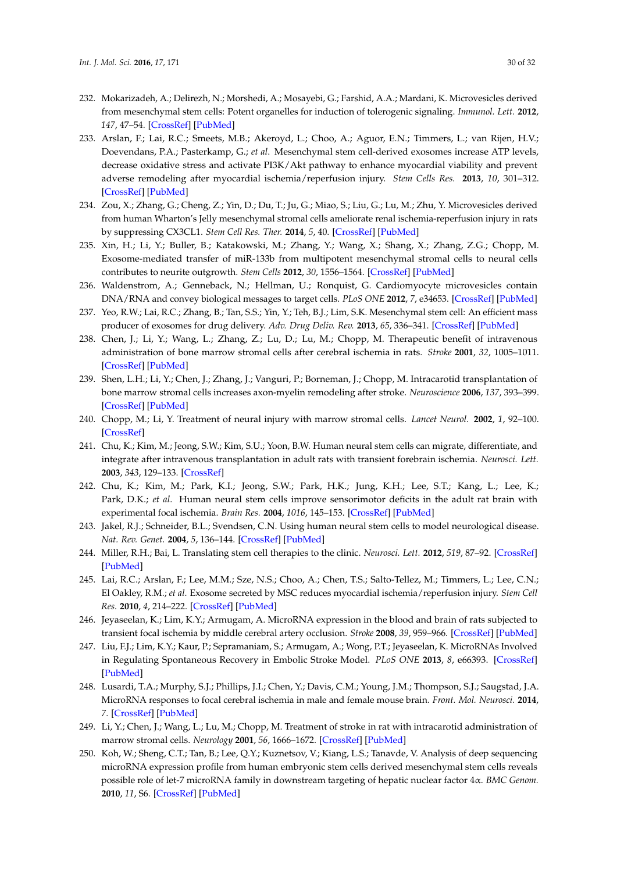- <span id="page-29-0"></span>232. Mokarizadeh, A.; Delirezh, N.; Morshedi, A.; Mosayebi, G.; Farshid, A.A.; Mardani, K. Microvesicles derived from mesenchymal stem cells: Potent organelles for induction of tolerogenic signaling. *Immunol. Lett.* **2012**, *147*, 47–54. [\[CrossRef\]](http://dx.doi.org/10.1016/j.imlet.2012.06.001) [\[PubMed\]](http://www.ncbi.nlm.nih.gov/pubmed/22705267)
- 233. Arslan, F.; Lai, R.C.; Smeets, M.B.; Akeroyd, L.; Choo, A.; Aguor, E.N.; Timmers, L.; van Rijen, H.V.; Doevendans, P.A.; Pasterkamp, G.; *et al*. Mesenchymal stem cell-derived exosomes increase ATP levels, decrease oxidative stress and activate PI3K/Akt pathway to enhance myocardial viability and prevent adverse remodeling after myocardial ischemia/reperfusion injury. *Stem Cells Res.* **2013**, *10*, 301–312. [\[CrossRef\]](http://dx.doi.org/10.1016/j.scr.2013.01.002) [\[PubMed\]](http://www.ncbi.nlm.nih.gov/pubmed/23399448)
- <span id="page-29-1"></span>234. Zou, X.; Zhang, G.; Cheng, Z.; Yin, D.; Du, T.; Ju, G.; Miao, S.; Liu, G.; Lu, M.; Zhu, Y. Microvesicles derived from human Wharton's Jelly mesenchymal stromal cells ameliorate renal ischemia-reperfusion injury in rats by suppressing CX3CL1. *Stem Cell Res. Ther.* **2014**, *5*, 40. [\[CrossRef\]](http://dx.doi.org/10.1186/scrt428) [\[PubMed\]](http://www.ncbi.nlm.nih.gov/pubmed/24646750)
- <span id="page-29-2"></span>235. Xin, H.; Li, Y.; Buller, B.; Katakowski, M.; Zhang, Y.; Wang, X.; Shang, X.; Zhang, Z.G.; Chopp, M. Exosome-mediated transfer of miR-133b from multipotent mesenchymal stromal cells to neural cells contributes to neurite outgrowth. *Stem Cells* **2012**, *30*, 1556–1564. [\[CrossRef\]](http://dx.doi.org/10.1002/stem.1129) [\[PubMed\]](http://www.ncbi.nlm.nih.gov/pubmed/22605481)
- <span id="page-29-3"></span>236. Waldenstrom, A.; Genneback, N.; Hellman, U.; Ronquist, G. Cardiomyocyte microvesicles contain DNA/RNA and convey biological messages to target cells. *PLoS ONE* **2012**, *7*, e34653. [\[CrossRef\]](http://dx.doi.org/10.1371/journal.pone.0034653) [\[PubMed\]](http://www.ncbi.nlm.nih.gov/pubmed/22506041)
- <span id="page-29-4"></span>237. Yeo, R.W.; Lai, R.C.; Zhang, B.; Tan, S.S.; Yin, Y.; Teh, B.J.; Lim, S.K. Mesenchymal stem cell: An efficient mass producer of exosomes for drug delivery. *Adv. Drug Deliv. Rev.* **2013**, *65*, 336–341. [\[CrossRef\]](http://dx.doi.org/10.1016/j.addr.2012.07.001) [\[PubMed\]](http://www.ncbi.nlm.nih.gov/pubmed/22780955)
- <span id="page-29-5"></span>238. Chen, J.; Li, Y.; Wang, L.; Zhang, Z.; Lu, D.; Lu, M.; Chopp, M. Therapeutic benefit of intravenous administration of bone marrow stromal cells after cerebral ischemia in rats. *Stroke* **2001**, *32*, 1005–1011. [\[CrossRef\]](http://dx.doi.org/10.1161/01.STR.32.4.1005) [\[PubMed\]](http://www.ncbi.nlm.nih.gov/pubmed/11283404)
- 239. Shen, L.H.; Li, Y.; Chen, J.; Zhang, J.; Vanguri, P.; Borneman, J.; Chopp, M. Intracarotid transplantation of bone marrow stromal cells increases axon-myelin remodeling after stroke. *Neuroscience* **2006**, *137*, 393–399. [\[CrossRef\]](http://dx.doi.org/10.1016/j.neuroscience.2005.08.092) [\[PubMed\]](http://www.ncbi.nlm.nih.gov/pubmed/16298076)
- <span id="page-29-6"></span>240. Chopp, M.; Li, Y. Treatment of neural injury with marrow stromal cells. *Lancet Neurol.* **2002**, *1*, 92–100. [\[CrossRef\]](http://dx.doi.org/10.1016/S1474-4422(02)00040-6)
- <span id="page-29-7"></span>241. Chu, K.; Kim, M.; Jeong, S.W.; Kim, S.U.; Yoon, B.W. Human neural stem cells can migrate, differentiate, and integrate after intravenous transplantation in adult rats with transient forebrain ischemia. *Neurosci. Lett.* **2003**, *343*, 129–133. [\[CrossRef\]](http://dx.doi.org/10.1016/S0304-3940(03)00174-5)
- 242. Chu, K.; Kim, M.; Park, K.I.; Jeong, S.W.; Park, H.K.; Jung, K.H.; Lee, S.T.; Kang, L.; Lee, K.; Park, D.K.; *et al*. Human neural stem cells improve sensorimotor deficits in the adult rat brain with experimental focal ischemia. *Brain Res.* **2004**, *1016*, 145–153. [\[CrossRef\]](http://dx.doi.org/10.1016/j.brainres.2004.04.038) [\[PubMed\]](http://www.ncbi.nlm.nih.gov/pubmed/15246850)
- 243. Jakel, R.J.; Schneider, B.L.; Svendsen, C.N. Using human neural stem cells to model neurological disease. *Nat. Rev. Genet.* **2004**, *5*, 136–144. [\[CrossRef\]](http://dx.doi.org/10.1038/nrg1268) [\[PubMed\]](http://www.ncbi.nlm.nih.gov/pubmed/14735124)
- <span id="page-29-8"></span>244. Miller, R.H.; Bai, L. Translating stem cell therapies to the clinic. *Neurosci. Lett.* **2012**, *519*, 87–92. [\[CrossRef\]](http://dx.doi.org/10.1016/j.neulet.2012.01.043) [\[PubMed\]](http://www.ncbi.nlm.nih.gov/pubmed/22306614)
- <span id="page-29-9"></span>245. Lai, R.C.; Arslan, F.; Lee, M.M.; Sze, N.S.; Choo, A.; Chen, T.S.; Salto-Tellez, M.; Timmers, L.; Lee, C.N.; El Oakley, R.M.; *et al*. Exosome secreted by MSC reduces myocardial ischemia/reperfusion injury. *Stem Cell Res.* **2010**, *4*, 214–222. [\[CrossRef\]](http://dx.doi.org/10.1016/j.scr.2009.12.003) [\[PubMed\]](http://www.ncbi.nlm.nih.gov/pubmed/20138817)
- <span id="page-29-10"></span>246. Jeyaseelan, K.; Lim, K.Y.; Armugam, A. MicroRNA expression in the blood and brain of rats subjected to transient focal ischemia by middle cerebral artery occlusion. *Stroke* **2008**, *39*, 959–966. [\[CrossRef\]](http://dx.doi.org/10.1161/STROKEAHA.107.500736) [\[PubMed\]](http://www.ncbi.nlm.nih.gov/pubmed/18258830)
- 247. Liu, F.J.; Lim, K.Y.; Kaur, P.; Sepramaniam, S.; Armugam, A.; Wong, P.T.; Jeyaseelan, K. MicroRNAs Involved in Regulating Spontaneous Recovery in Embolic Stroke Model. *PLoS ONE* **2013**, *8*, e66393. [\[CrossRef\]](http://dx.doi.org/10.1371/journal.pone.0066393) [\[PubMed\]](http://www.ncbi.nlm.nih.gov/pubmed/23823624)
- <span id="page-29-11"></span>248. Lusardi, T.A.; Murphy, S.J.; Phillips, J.I.; Chen, Y.; Davis, C.M.; Young, J.M.; Thompson, S.J.; Saugstad, J.A. MicroRNA responses to focal cerebral ischemia in male and female mouse brain. *Front. Mol. Neurosci.* **2014**, *7*. [\[CrossRef\]](http://dx.doi.org/10.3389/fnmol.2014.00011) [\[PubMed\]](http://www.ncbi.nlm.nih.gov/pubmed/24574964)
- <span id="page-29-12"></span>249. Li, Y.; Chen, J.; Wang, L.; Lu, M.; Chopp, M. Treatment of stroke in rat with intracarotid administration of marrow stromal cells. *Neurology* **2001**, *56*, 1666–1672. [\[CrossRef\]](http://dx.doi.org/10.1212/WNL.56.12.1666) [\[PubMed\]](http://www.ncbi.nlm.nih.gov/pubmed/11425931)
- 250. Koh, W.; Sheng, C.T.; Tan, B.; Lee, Q.Y.; Kuznetsov, V.; Kiang, L.S.; Tanavde, V. Analysis of deep sequencing microRNA expression profile from human embryonic stem cells derived mesenchymal stem cells reveals possible role of let-7 microRNA family in downstream targeting of hepatic nuclear factor 4α. *BMC Genom.* **2010**, *11*, S6. [\[CrossRef\]](http://dx.doi.org/10.1186/1471-2164-11-S1-S6) [\[PubMed\]](http://www.ncbi.nlm.nih.gov/pubmed/20158877)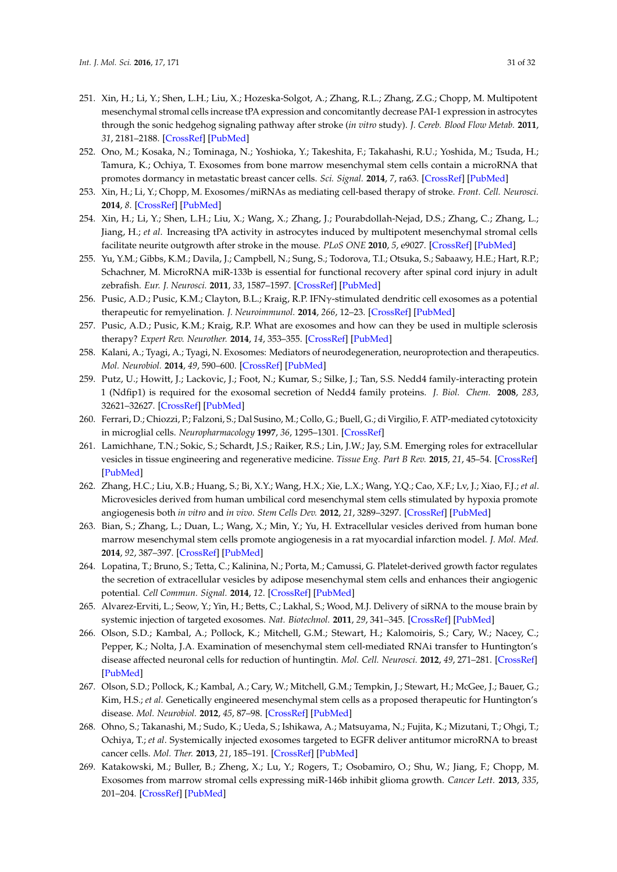- 251. Xin, H.; Li, Y.; Shen, L.H.; Liu, X.; Hozeska-Solgot, A.; Zhang, R.L.; Zhang, Z.G.; Chopp, M. Multipotent mesenchymal stromal cells increase tPA expression and concomitantly decrease PAI-1 expression in astrocytes through the sonic hedgehog signaling pathway after stroke (*in vitro* study). *J. Cereb. Blood Flow Metab.* **2011**, *31*, 2181–2188. [\[CrossRef\]](http://dx.doi.org/10.1038/jcbfm.2011.116) [\[PubMed\]](http://www.ncbi.nlm.nih.gov/pubmed/21829213)
- 252. Ono, M.; Kosaka, N.; Tominaga, N.; Yoshioka, Y.; Takeshita, F.; Takahashi, R.U.; Yoshida, M.; Tsuda, H.; Tamura, K.; Ochiya, T. Exosomes from bone marrow mesenchymal stem cells contain a microRNA that promotes dormancy in metastatic breast cancer cells. *Sci. Signal.* **2014**, *7*, ra63. [\[CrossRef\]](http://dx.doi.org/10.1126/scisignal.2005231) [\[PubMed\]](http://www.ncbi.nlm.nih.gov/pubmed/24985346)
- <span id="page-30-0"></span>253. Xin, H.; Li, Y.; Chopp, M. Exosomes/miRNAs as mediating cell-based therapy of stroke. *Front. Cell. Neurosci.* **2014**, *8*. [\[CrossRef\]](http://dx.doi.org/10.3389/fncel.2014.00377) [\[PubMed\]](http://www.ncbi.nlm.nih.gov/pubmed/25426026)
- <span id="page-30-1"></span>254. Xin, H.; Li, Y.; Shen, L.H.; Liu, X.; Wang, X.; Zhang, J.; Pourabdollah-Nejad, D.S.; Zhang, C.; Zhang, L.; Jiang, H.; *et al*. Increasing tPA activity in astrocytes induced by multipotent mesenchymal stromal cells facilitate neurite outgrowth after stroke in the mouse. *PLoS ONE* **2010**, *5*, e9027. [\[CrossRef\]](http://dx.doi.org/10.1371/journal.pone.0009027) [\[PubMed\]](http://www.ncbi.nlm.nih.gov/pubmed/20140248)
- <span id="page-30-2"></span>255. Yu, Y.M.; Gibbs, K.M.; Davila, J.; Campbell, N.; Sung, S.; Todorova, T.I.; Otsuka, S.; Sabaawy, H.E.; Hart, R.P.; Schachner, M. MicroRNA miR-133b is essential for functional recovery after spinal cord injury in adult zebrafish. *Eur. J. Neurosci.* **2011**, *33*, 1587–1597. [\[CrossRef\]](http://dx.doi.org/10.1111/j.1460-9568.2011.07643.x) [\[PubMed\]](http://www.ncbi.nlm.nih.gov/pubmed/21447094)
- <span id="page-30-3"></span>256. Pusic, A.D.; Pusic, K.M.; Clayton, B.L.; Kraig, R.P. IFNγ-stimulated dendritic cell exosomes as a potential therapeutic for remyelination. *J. Neuroimmunol.* **2014**, *266*, 12–23. [\[CrossRef\]](http://dx.doi.org/10.1016/j.jneuroim.2013.10.014) [\[PubMed\]](http://www.ncbi.nlm.nih.gov/pubmed/24275061)
- <span id="page-30-4"></span>257. Pusic, A.D.; Pusic, K.M.; Kraig, R.P. What are exosomes and how can they be used in multiple sclerosis therapy? *Expert Rev. Neurother.* **2014**, *14*, 353–355. [\[CrossRef\]](http://dx.doi.org/10.1586/14737175.2014.890893) [\[PubMed\]](http://www.ncbi.nlm.nih.gov/pubmed/24552578)
- <span id="page-30-5"></span>258. Kalani, A.; Tyagi, A.; Tyagi, N. Exosomes: Mediators of neurodegeneration, neuroprotection and therapeutics. *Mol. Neurobiol.* **2014**, *49*, 590–600. [\[CrossRef\]](http://dx.doi.org/10.1007/s12035-013-8544-1) [\[PubMed\]](http://www.ncbi.nlm.nih.gov/pubmed/23999871)
- <span id="page-30-6"></span>259. Putz, U.; Howitt, J.; Lackovic, J.; Foot, N.; Kumar, S.; Silke, J.; Tan, S.S. Nedd4 family-interacting protein 1 (Ndfip1) is required for the exosomal secretion of Nedd4 family proteins. *J. Biol. Chem.* **2008**, *283*, 32621–32627. [\[CrossRef\]](http://dx.doi.org/10.1074/jbc.M804120200) [\[PubMed\]](http://www.ncbi.nlm.nih.gov/pubmed/18819914)
- <span id="page-30-7"></span>260. Ferrari, D.; Chiozzi, P.; Falzoni, S.; Dal Susino, M.; Collo, G.; Buell, G.; di Virgilio, F. ATP-mediated cytotoxicity in microglial cells. *Neuropharmacology* **1997**, *36*, 1295–1301. [\[CrossRef\]](http://dx.doi.org/10.1016/S0028-3908(97)00137-8)
- <span id="page-30-8"></span>261. Lamichhane, T.N.; Sokic, S.; Schardt, J.S.; Raiker, R.S.; Lin, J.W.; Jay, S.M. Emerging roles for extracellular vesicles in tissue engineering and regenerative medicine. *Tissue Eng. Part B Rev.* **2015**, *21*, 45–54. [\[CrossRef\]](http://dx.doi.org/10.1089/ten.teb.2014.0300) [\[PubMed\]](http://www.ncbi.nlm.nih.gov/pubmed/24957510)
- <span id="page-30-9"></span>262. Zhang, H.C.; Liu, X.B.; Huang, S.; Bi, X.Y.; Wang, H.X.; Xie, L.X.; Wang, Y.Q.; Cao, X.F.; Lv, J.; Xiao, F.J.; *et al*. Microvesicles derived from human umbilical cord mesenchymal stem cells stimulated by hypoxia promote angiogenesis both *in vitro* and *in vivo*. *Stem Cells Dev.* **2012**, *21*, 3289–3297. [\[CrossRef\]](http://dx.doi.org/10.1089/scd.2012.0095) [\[PubMed\]](http://www.ncbi.nlm.nih.gov/pubmed/22839741)
- 263. Bian, S.; Zhang, L.; Duan, L.; Wang, X.; Min, Y.; Yu, H. Extracellular vesicles derived from human bone marrow mesenchymal stem cells promote angiogenesis in a rat myocardial infarction model. *J. Mol. Med.* **2014**, *92*, 387–397. [\[CrossRef\]](http://dx.doi.org/10.1007/s00109-013-1110-5) [\[PubMed\]](http://www.ncbi.nlm.nih.gov/pubmed/24337504)
- <span id="page-30-10"></span>264. Lopatina, T.; Bruno, S.; Tetta, C.; Kalinina, N.; Porta, M.; Camussi, G. Platelet-derived growth factor regulates the secretion of extracellular vesicles by adipose mesenchymal stem cells and enhances their angiogenic potential. *Cell Commun. Signal.* **2014**, *12*. [\[CrossRef\]](http://dx.doi.org/10.1186/1478-811X-12-26) [\[PubMed\]](http://www.ncbi.nlm.nih.gov/pubmed/24725987)
- <span id="page-30-11"></span>265. Alvarez-Erviti, L.; Seow, Y.; Yin, H.; Betts, C.; Lakhal, S.; Wood, M.J. Delivery of siRNA to the mouse brain by systemic injection of targeted exosomes. *Nat. Biotechnol.* **2011**, *29*, 341–345. [\[CrossRef\]](http://dx.doi.org/10.1038/nbt.1807) [\[PubMed\]](http://www.ncbi.nlm.nih.gov/pubmed/21423189)
- <span id="page-30-12"></span>266. Olson, S.D.; Kambal, A.; Pollock, K.; Mitchell, G.M.; Stewart, H.; Kalomoiris, S.; Cary, W.; Nacey, C.; Pepper, K.; Nolta, J.A. Examination of mesenchymal stem cell-mediated RNAi transfer to Huntington's disease affected neuronal cells for reduction of huntingtin. *Mol. Cell. Neurosci.* **2012**, *49*, 271–281. [\[CrossRef\]](http://dx.doi.org/10.1016/j.mcn.2011.12.001) [\[PubMed\]](http://www.ncbi.nlm.nih.gov/pubmed/22198539)
- 267. Olson, S.D.; Pollock, K.; Kambal, A.; Cary, W.; Mitchell, G.M.; Tempkin, J.; Stewart, H.; McGee, J.; Bauer, G.; Kim, H.S.; *et al*. Genetically engineered mesenchymal stem cells as a proposed therapeutic for Huntington's disease. *Mol. Neurobiol.* **2012**, *45*, 87–98. [\[CrossRef\]](http://dx.doi.org/10.1007/s12035-011-8219-8) [\[PubMed\]](http://www.ncbi.nlm.nih.gov/pubmed/22161544)
- <span id="page-30-13"></span>268. Ohno, S.; Takanashi, M.; Sudo, K.; Ueda, S.; Ishikawa, A.; Matsuyama, N.; Fujita, K.; Mizutani, T.; Ohgi, T.; Ochiya, T.; *et al*. Systemically injected exosomes targeted to EGFR deliver antitumor microRNA to breast cancer cells. *Mol. Ther.* **2013**, *21*, 185–191. [\[CrossRef\]](http://dx.doi.org/10.1038/mt.2012.180) [\[PubMed\]](http://www.ncbi.nlm.nih.gov/pubmed/23032975)
- <span id="page-30-14"></span>269. Katakowski, M.; Buller, B.; Zheng, X.; Lu, Y.; Rogers, T.; Osobamiro, O.; Shu, W.; Jiang, F.; Chopp, M. Exosomes from marrow stromal cells expressing miR-146b inhibit glioma growth. *Cancer Lett.* **2013**, *335*, 201–204. [\[CrossRef\]](http://dx.doi.org/10.1016/j.canlet.2013.02.019) [\[PubMed\]](http://www.ncbi.nlm.nih.gov/pubmed/23419525)